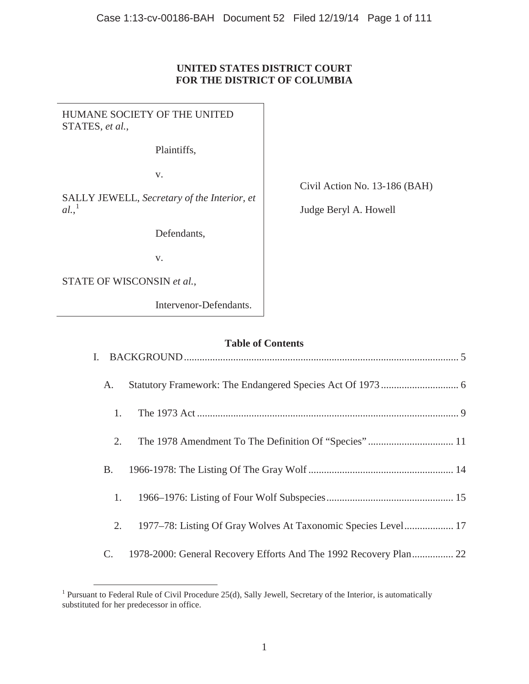## **UNITED STATES DISTRICT COURT FOR THE DISTRICT OF COLUMBIA**

HUMANE SOCIETY OF THE UNITED STATES, *et al.*, Plaintiffs, v. SALLY JEWELL, *Secretary of the Interior, et al.*, 1 Defendants, v. STATE OF WISCONSIN *et al.*,

Intervenor-Defendants.

Civil Action No. 13-186 (BAH)

Judge Beryl A. Howell

# **Table of Contents**

| A. |                                                                   |
|----|-------------------------------------------------------------------|
| 1. |                                                                   |
| 2. |                                                                   |
| B. |                                                                   |
| 1. |                                                                   |
| 2. | 1977–78: Listing Of Gray Wolves At Taxonomic Species Level 17     |
| C. | 1978-2000: General Recovery Efforts And The 1992 Recovery Plan 22 |

<sup>&</sup>lt;sup>1</sup> Pursuant to Federal Rule of Civil Procedure 25(d), Sally Jewell, Secretary of the Interior, is automatically substituted for her predecessor in office.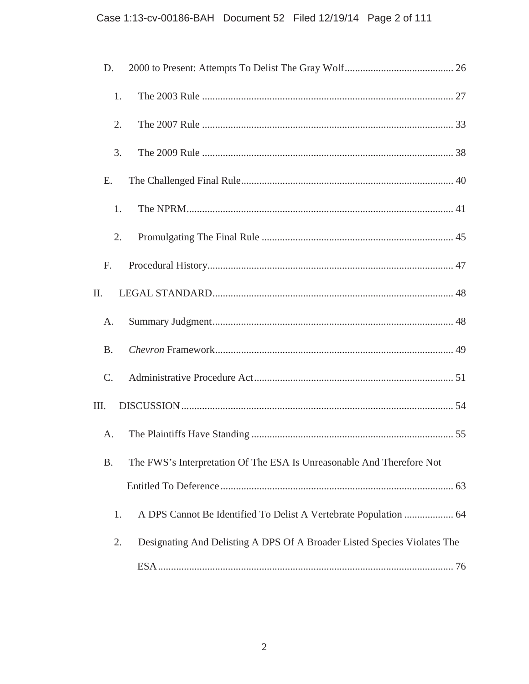# Case 1:13-cv-00186-BAH Document 52 Filed 12/19/14 Page 2 of 111

| D.        |    |                                                                          |  |
|-----------|----|--------------------------------------------------------------------------|--|
|           | 1. |                                                                          |  |
|           | 2. |                                                                          |  |
|           | 3. |                                                                          |  |
| E.        |    |                                                                          |  |
|           | 1. |                                                                          |  |
|           | 2. |                                                                          |  |
| F.        |    |                                                                          |  |
| Π.        |    |                                                                          |  |
| A.        |    |                                                                          |  |
| <b>B.</b> |    |                                                                          |  |
| C.        |    |                                                                          |  |
| III.      |    |                                                                          |  |
| A.        |    |                                                                          |  |
| <b>B.</b> |    | The FWS's Interpretation Of The ESA Is Unreasonable And Therefore Not    |  |
|           |    |                                                                          |  |
|           | 1. |                                                                          |  |
|           | 2. | Designating And Delisting A DPS Of A Broader Listed Species Violates The |  |
|           |    |                                                                          |  |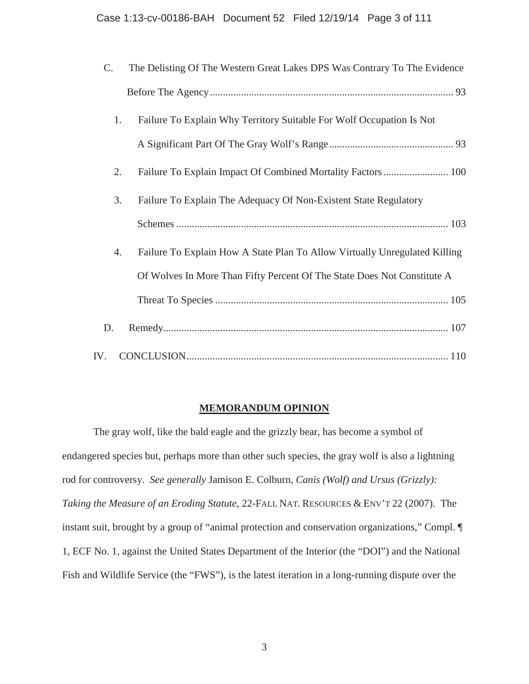| $\mathcal{C}$ . | The Delisting Of The Western Great Lakes DPS Was Contrary To The Evidence  |
|-----------------|----------------------------------------------------------------------------|
|                 |                                                                            |
| 1.              | Failure To Explain Why Territory Suitable For Wolf Occupation Is Not       |
|                 |                                                                            |
| 2.              |                                                                            |
| 3.              | Failure To Explain The Adequacy Of Non-Existent State Regulatory           |
|                 |                                                                            |
| 4.              | Failure To Explain How A State Plan To Allow Virtually Unregulated Killing |
|                 | Of Wolves In More Than Fifty Percent Of The State Does Not Constitute A    |
|                 |                                                                            |
| D.              |                                                                            |
| IV.             |                                                                            |

## **MEMORANDUM OPINION**

The gray wolf, like the bald eagle and the grizzly bear, has become a symbol of endangered species but, perhaps more than other such species, the gray wolf is also a lightning rod for controversy. *See generally* Jamison E. Colburn, *Canis (Wolf) and Ursus (Grizzly): Taking the Measure of an Eroding Statute*, 22-FALL NAT. RESOURCES & ENV'T 22 (2007). The instant suit, brought by a group of "animal protection and conservation organizations," Compl. ¶ 1, ECF No. 1, against the United States Department of the Interior (the "DOI") and the National Fish and Wildlife Service (the "FWS"), is the latest iteration in a long-running dispute over the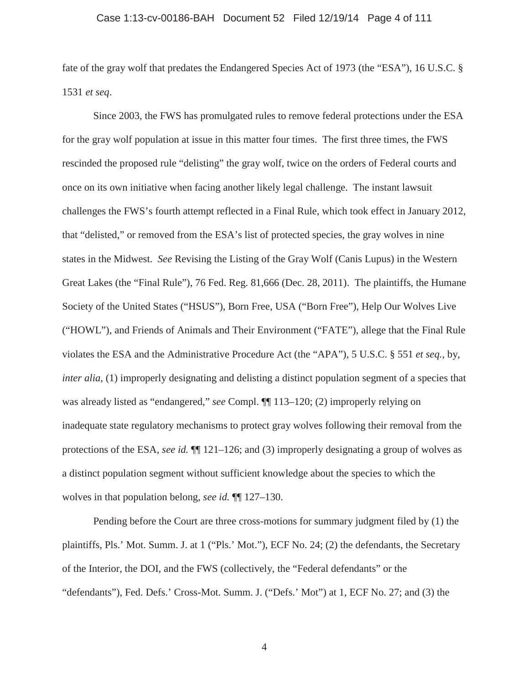#### Case 1:13-cv-00186-BAH Document 52 Filed 12/19/14 Page 4 of 111

fate of the gray wolf that predates the Endangered Species Act of 1973 (the "ESA"), 16 U.S.C. § 1531 *et seq*.

Since 2003, the FWS has promulgated rules to remove federal protections under the ESA for the gray wolf population at issue in this matter four times. The first three times, the FWS rescinded the proposed rule "delisting" the gray wolf, twice on the orders of Federal courts and once on its own initiative when facing another likely legal challenge. The instant lawsuit challenges the FWS's fourth attempt reflected in a Final Rule, which took effect in January 2012, that "delisted," or removed from the ESA's list of protected species, the gray wolves in nine states in the Midwest. *See* Revising the Listing of the Gray Wolf (Canis Lupus) in the Western Great Lakes (the "Final Rule"), 76 Fed. Reg. 81,666 (Dec. 28, 2011). The plaintiffs, the Humane Society of the United States ("HSUS"), Born Free, USA ("Born Free"), Help Our Wolves Live ("HOWL"), and Friends of Animals and Their Environment ("FATE"), allege that the Final Rule violates the ESA and the Administrative Procedure Act (the "APA"), 5 U.S.C. § 551 *et seq.*, by, *inter alia*, (1) improperly designating and delisting a distinct population segment of a species that was already listed as "endangered," *see* Compl. ¶¶ 113–120; (2) improperly relying on inadequate state regulatory mechanisms to protect gray wolves following their removal from the protections of the ESA, *see id.* ¶¶ 121–126; and (3) improperly designating a group of wolves as a distinct population segment without sufficient knowledge about the species to which the wolves in that population belong, *see id.* ¶¶ 127–130.

Pending before the Court are three cross-motions for summary judgment filed by (1) the plaintiffs, Pls.' Mot. Summ. J. at 1 ("Pls.' Mot."), ECF No. 24; (2) the defendants, the Secretary of the Interior, the DOI, and the FWS (collectively, the "Federal defendants" or the "defendants"), Fed. Defs.' Cross-Mot. Summ. J. ("Defs.' Mot") at 1, ECF No. 27; and (3) the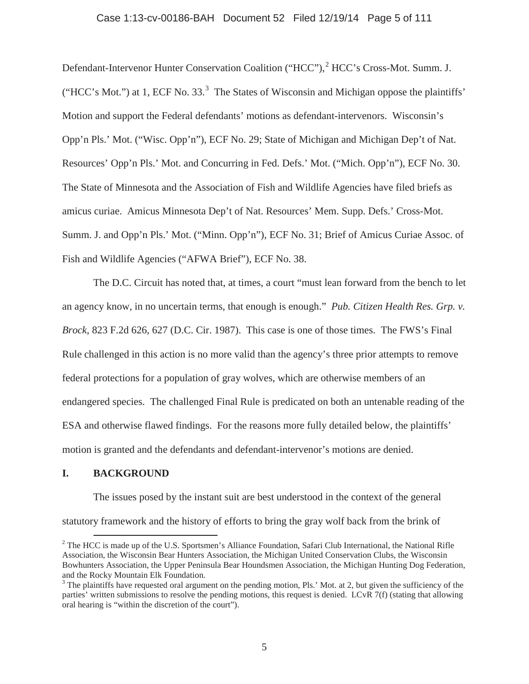#### Case 1:13-cv-00186-BAH Document 52 Filed 12/19/14 Page 5 of 111

Defendant-Intervenor Hunter Conservation Coalition ("HCC"),<sup>2</sup> HCC's Cross-Mot. Summ. J. ("HCC's Mot.") at 1, ECF No. 33. $3$  The States of Wisconsin and Michigan oppose the plaintiffs' Motion and support the Federal defendants' motions as defendant-intervenors. Wisconsin's Opp'n Pls.' Mot. ("Wisc. Opp'n"), ECF No. 29; State of Michigan and Michigan Dep't of Nat. Resources' Opp'n Pls.' Mot. and Concurring in Fed. Defs.' Mot. ("Mich. Opp'n"), ECF No. 30. The State of Minnesota and the Association of Fish and Wildlife Agencies have filed briefs as amicus curiae. Amicus Minnesota Dep't of Nat. Resources' Mem. Supp. Defs.' Cross-Mot. Summ. J. and Opp'n Pls.' Mot. ("Minn. Opp'n"), ECF No. 31; Brief of Amicus Curiae Assoc. of Fish and Wildlife Agencies ("AFWA Brief"), ECF No. 38.

The D.C. Circuit has noted that, at times, a court "must lean forward from the bench to let an agency know, in no uncertain terms, that enough is enough." *Pub. Citizen Health Res. Grp. v. Brock*, 823 F.2d 626, 627 (D.C. Cir. 1987). This case is one of those times. The FWS's Final Rule challenged in this action is no more valid than the agency's three prior attempts to remove federal protections for a population of gray wolves, which are otherwise members of an endangered species. The challenged Final Rule is predicated on both an untenable reading of the ESA and otherwise flawed findings. For the reasons more fully detailed below, the plaintiffs' motion is granted and the defendants and defendant-intervenor's motions are denied.

## **I. BACKGROUND**

The issues posed by the instant suit are best understood in the context of the general statutory framework and the history of efforts to bring the gray wolf back from the brink of

<sup>&</sup>lt;sup>2</sup> The HCC is made up of the U.S. Sportsmen's Alliance Foundation, Safari Club International, the National Rifle Association, the Wisconsin Bear Hunters Association, the Michigan United Conservation Clubs, the Wisconsin Bowhunters Association, the Upper Peninsula Bear Houndsmen Association, the Michigan Hunting Dog Federation, and the Rocky Mountain Elk Foundation.

 $3$  The plaintiffs have requested oral argument on the pending motion, Pls.' Mot. at 2, but given the sufficiency of the parties' written submissions to resolve the pending motions, this request is denied. LCvR 7(f) (stating that allowing oral hearing is "within the discretion of the court").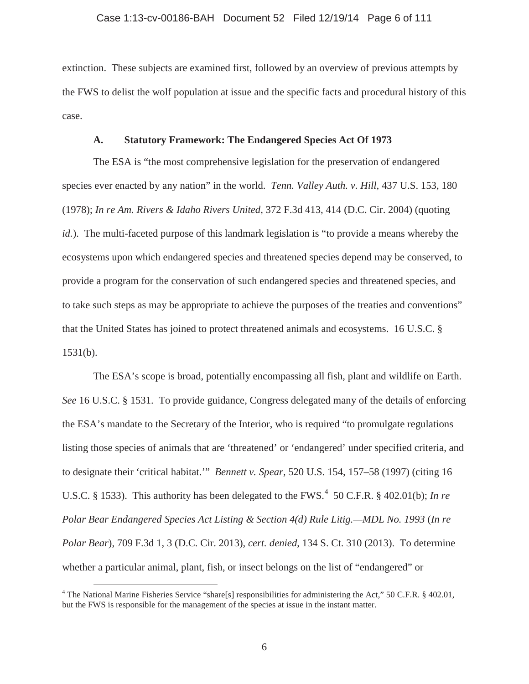#### Case 1:13-cv-00186-BAH Document 52 Filed 12/19/14 Page 6 of 111

extinction. These subjects are examined first, followed by an overview of previous attempts by the FWS to delist the wolf population at issue and the specific facts and procedural history of this case.

## **A. Statutory Framework: The Endangered Species Act Of 1973**

The ESA is "the most comprehensive legislation for the preservation of endangered species ever enacted by any nation" in the world. *Tenn. Valley Auth. v. Hill,* 437 U.S. 153, 180 (1978); *In re Am. Rivers & Idaho Rivers United,* 372 F.3d 413, 414 (D.C. Cir. 2004) (quoting *id.*). The multi-faceted purpose of this landmark legislation is "to provide a means whereby the ecosystems upon which endangered species and threatened species depend may be conserved, to provide a program for the conservation of such endangered species and threatened species, and to take such steps as may be appropriate to achieve the purposes of the treaties and conventions" that the United States has joined to protect threatened animals and ecosystems. 16 U.S.C. §  $1531(b)$ .

The ESA's scope is broad, potentially encompassing all fish, plant and wildlife on Earth. *See* 16 U.S.C. § 1531. To provide guidance, Congress delegated many of the details of enforcing the ESA's mandate to the Secretary of the Interior, who is required "to promulgate regulations listing those species of animals that are 'threatened' or 'endangered' under specified criteria, and to designate their 'critical habitat.'" *Bennett v. Spear,* 520 U.S. 154, 157–58 (1997) (citing 16 U.S.C. § 1533). This authority has been delegated to the FWS.<sup>4</sup> 50 C.F.R. § 402.01(b); *In re Polar Bear Endangered Species Act Listing & Section 4(d) Rule Litig.—MDL No. 1993* (*In re Polar Bear*), 709 F.3d 1, 3 (D.C. Cir. 2013), *cert. denied*, 134 S. Ct. 310 (2013). To determine whether a particular animal, plant, fish, or insect belongs on the list of "endangered" or

<sup>&</sup>lt;sup>4</sup> The National Marine Fisheries Service "share[s] responsibilities for administering the Act," 50 C.F.R. § 402.01, but the FWS is responsible for the management of the species at issue in the instant matter.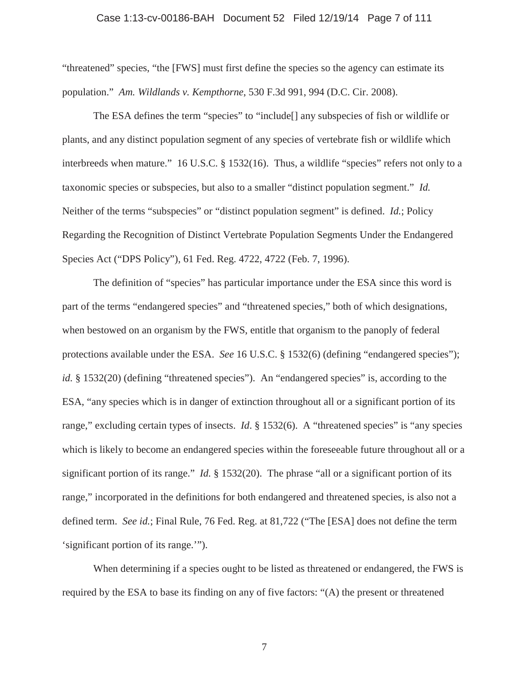#### Case 1:13-cv-00186-BAH Document 52 Filed 12/19/14 Page 7 of 111

"threatened" species, "the [FWS] must first define the species so the agency can estimate its population." *Am. Wildlands v. Kempthorne*, 530 F.3d 991, 994 (D.C. Cir. 2008).

The ESA defines the term "species" to "include[] any subspecies of fish or wildlife or plants, and any distinct population segment of any species of vertebrate fish or wildlife which interbreeds when mature." 16 U.S.C. § 1532(16). Thus, a wildlife "species" refers not only to a taxonomic species or subspecies, but also to a smaller "distinct population segment." *Id.* Neither of the terms "subspecies" or "distinct population segment" is defined. *Id.*; Policy Regarding the Recognition of Distinct Vertebrate Population Segments Under the Endangered Species Act ("DPS Policy"), 61 Fed. Reg. 4722, 4722 (Feb. 7, 1996).

The definition of "species" has particular importance under the ESA since this word is part of the terms "endangered species" and "threatened species," both of which designations, when bestowed on an organism by the FWS, entitle that organism to the panoply of federal protections available under the ESA. *See* 16 U.S.C. § 1532(6) (defining "endangered species"); *id.* § 1532(20) (defining "threatened species"). An "endangered species" is, according to the ESA, "any species which is in danger of extinction throughout all or a significant portion of its range," excluding certain types of insects. *Id.* § 1532(6). A "threatened species" is "any species which is likely to become an endangered species within the foreseeable future throughout all or a significant portion of its range." *Id.* § 1532(20). The phrase "all or a significant portion of its range," incorporated in the definitions for both endangered and threatened species, is also not a defined term. *See id.*; Final Rule, 76 Fed. Reg. at 81,722 ("The [ESA] does not define the term 'significant portion of its range.'").

When determining if a species ought to be listed as threatened or endangered, the FWS is required by the ESA to base its finding on any of five factors: "(A) the present or threatened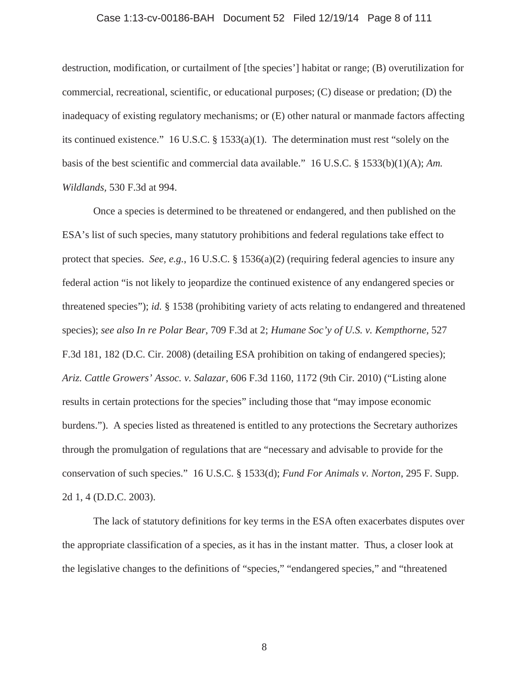# Case 1:13-cv-00186-BAH Document 52 Filed 12/19/14 Page 8 of 111

destruction, modification, or curtailment of [the species'] habitat or range; (B) overutilization for commercial, recreational, scientific, or educational purposes; (C) disease or predation; (D) the inadequacy of existing regulatory mechanisms; or (E) other natural or manmade factors affecting its continued existence." 16 U.S.C. § 1533(a)(1). The determination must rest "solely on the basis of the best scientific and commercial data available." 16 U.S.C. § 1533(b)(1)(A); *Am. Wildlands,* 530 F.3d at 994.

Once a species is determined to be threatened or endangered, and then published on the ESA's list of such species, many statutory prohibitions and federal regulations take effect to protect that species. *See, e.g.*, 16 U.S.C. § 1536(a)(2) (requiring federal agencies to insure any federal action "is not likely to jeopardize the continued existence of any endangered species or threatened species"); *id.* § 1538 (prohibiting variety of acts relating to endangered and threatened species); *see also In re Polar Bear*, 709 F.3d at 2; *Humane Soc'y of U.S. v. Kempthorne,* 527 F.3d 181, 182 (D.C. Cir. 2008) (detailing ESA prohibition on taking of endangered species); *Ariz. Cattle Growers' Assoc. v. Salazar*, 606 F.3d 1160, 1172 (9th Cir. 2010) ("Listing alone results in certain protections for the species" including those that "may impose economic burdens."). A species listed as threatened is entitled to any protections the Secretary authorizes through the promulgation of regulations that are "necessary and advisable to provide for the conservation of such species." 16 U.S.C. § 1533(d); *Fund For Animals v. Norton*, 295 F. Supp. 2d 1, 4 (D.D.C. 2003).

The lack of statutory definitions for key terms in the ESA often exacerbates disputes over the appropriate classification of a species, as it has in the instant matter. Thus, a closer look at the legislative changes to the definitions of "species," "endangered species," and "threatened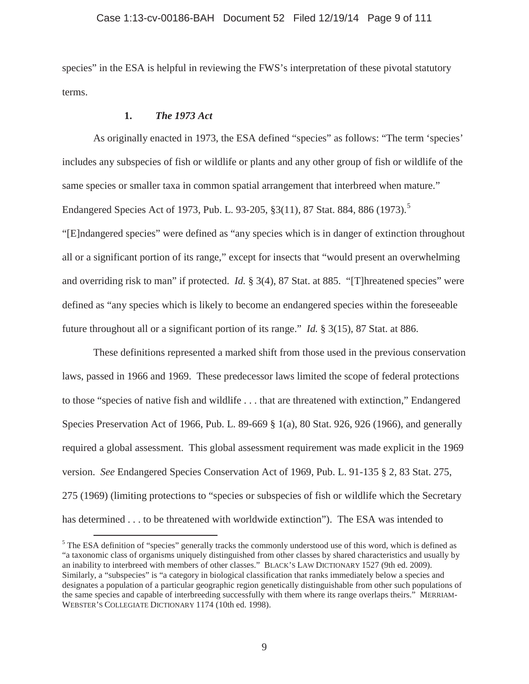#### Case 1:13-cv-00186-BAH Document 52 Filed 12/19/14 Page 9 of 111

species" in the ESA is helpful in reviewing the FWS's interpretation of these pivotal statutory terms.

## **1.** *The 1973 Act*

As originally enacted in 1973, the ESA defined "species" as follows: "The term 'species' includes any subspecies of fish or wildlife or plants and any other group of fish or wildlife of the same species or smaller taxa in common spatial arrangement that interbreed when mature." Endangered Species Act of 1973, Pub. L. 93-205, §3(11), 87 Stat. 884, 886 (1973).<sup>5</sup> "[E]ndangered species" were defined as "any species which is in danger of extinction throughout all or a significant portion of its range," except for insects that "would present an overwhelming and overriding risk to man" if protected. *Id.* § 3(4), 87 Stat. at 885. "[T]hreatened species" were defined as "any species which is likely to become an endangered species within the foreseeable future throughout all or a significant portion of its range." *Id.* § 3(15), 87 Stat. at 886.

These definitions represented a marked shift from those used in the previous conservation laws, passed in 1966 and 1969. These predecessor laws limited the scope of federal protections to those "species of native fish and wildlife . . . that are threatened with extinction," Endangered Species Preservation Act of 1966, Pub. L. 89-669 § 1(a), 80 Stat. 926, 926 (1966), and generally required a global assessment. This global assessment requirement was made explicit in the 1969 version. *See* Endangered Species Conservation Act of 1969, Pub. L. 91-135 § 2, 83 Stat. 275, 275 (1969) (limiting protections to "species or subspecies of fish or wildlife which the Secretary has determined . . . to be threatened with worldwide extinction"). The ESA was intended to

<sup>&</sup>lt;sup>5</sup> The ESA definition of "species" generally tracks the commonly understood use of this word, which is defined as "a taxonomic class of organisms uniquely distinguished from other classes by shared characteristics and usually by an inability to interbreed with members of other classes." BLACK'S LAW DICTIONARY 1527 (9th ed. 2009). Similarly, a "subspecies" is "a category in biological classification that ranks immediately below a species and designates a population of a particular geographic region genetically distinguishable from other such populations of the same species and capable of interbreeding successfully with them where its range overlaps theirs." MERRIAM-WEBSTER'S COLLEGIATE DICTIONARY 1174 (10th ed. 1998).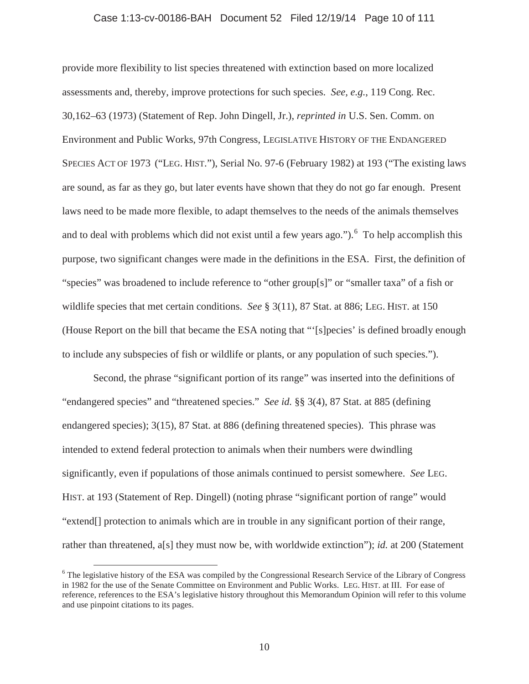#### Case 1:13-cv-00186-BAH Document 52 Filed 12/19/14 Page 10 of 111

provide more flexibility to list species threatened with extinction based on more localized assessments and, thereby, improve protections for such species. *See, e.g.*, 119 Cong. Rec. 30,162–63 (1973) (Statement of Rep. John Dingell, Jr.), *reprinted in* U.S. Sen. Comm. on Environment and Public Works, 97th Congress, LEGISLATIVE HISTORY OF THE ENDANGERED SPECIES ACT OF 1973 ("LEG. HIST."), Serial No. 97-6 (February 1982) at 193 ("The existing laws are sound, as far as they go, but later events have shown that they do not go far enough. Present laws need to be made more flexible, to adapt themselves to the needs of the animals themselves and to deal with problems which did not exist until a few years ago."). <sup>6</sup> To help accomplish this purpose, two significant changes were made in the definitions in the ESA. First, the definition of "species" was broadened to include reference to "other group[s]" or "smaller taxa" of a fish or wildlife species that met certain conditions. *See* § 3(11), 87 Stat. at 886; LEG. HIST. at 150 (House Report on the bill that became the ESA noting that "'[s]pecies' is defined broadly enough to include any subspecies of fish or wildlife or plants, or any population of such species.").

Second, the phrase "significant portion of its range" was inserted into the definitions of "endangered species" and "threatened species." *See id.* §§ 3(4), 87 Stat. at 885 (defining endangered species); 3(15), 87 Stat. at 886 (defining threatened species). This phrase was intended to extend federal protection to animals when their numbers were dwindling significantly, even if populations of those animals continued to persist somewhere. *See* LEG. HIST. at 193 (Statement of Rep. Dingell) (noting phrase "significant portion of range" would "extend[] protection to animals which are in trouble in any significant portion of their range, rather than threatened, a[s] they must now be, with worldwide extinction"); *id.* at 200 (Statement

<sup>&</sup>lt;sup>6</sup> The legislative history of the ESA was compiled by the Congressional Research Service of the Library of Congress in 1982 for the use of the Senate Committee on Environment and Public Works. LEG. HIST. at III. For ease of reference, references to the ESA's legislative history throughout this Memorandum Opinion will refer to this volume and use pinpoint citations to its pages.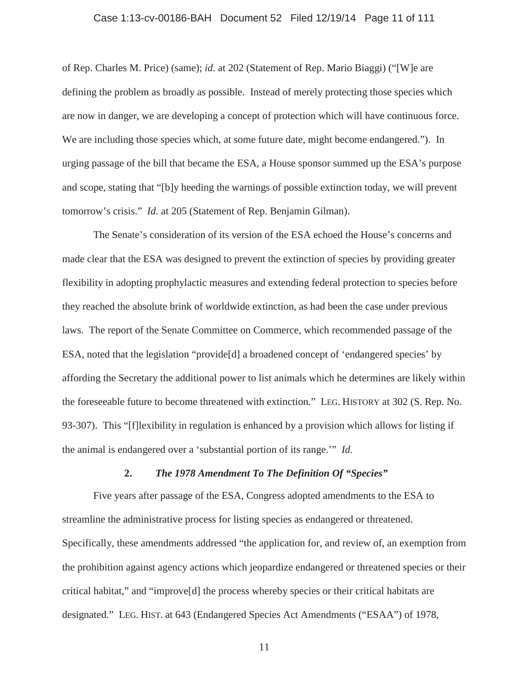#### Case 1:13-cv-00186-BAH Document 52 Filed 12/19/14 Page 11 of 111

of Rep. Charles M. Price) (same); *id.* at 202 (Statement of Rep. Mario Biaggi) ("[W]e are defining the problem as broadly as possible. Instead of merely protecting those species which are now in danger, we are developing a concept of protection which will have continuous force. We are including those species which, at some future date, might become endangered."). In urging passage of the bill that became the ESA, a House sponsor summed up the ESA's purpose and scope, stating that "[b]y heeding the warnings of possible extinction today, we will prevent tomorrow's crisis." *Id.* at 205 (Statement of Rep. Benjamin Gilman).

The Senate's consideration of its version of the ESA echoed the House's concerns and made clear that the ESA was designed to prevent the extinction of species by providing greater flexibility in adopting prophylactic measures and extending federal protection to species before they reached the absolute brink of worldwide extinction, as had been the case under previous laws. The report of the Senate Committee on Commerce, which recommended passage of the ESA, noted that the legislation "provide[d] a broadened concept of 'endangered species' by affording the Secretary the additional power to list animals which he determines are likely within the foreseeable future to become threatened with extinction." LEG. HISTORY at 302 (S. Rep. No. 93-307). This "[f]lexibility in regulation is enhanced by a provision which allows for listing if the animal is endangered over a 'substantial portion of its range.'" *Id.*

## **2.** *The 1978 Amendment To The Definition Of "Species"*

Five years after passage of the ESA, Congress adopted amendments to the ESA to streamline the administrative process for listing species as endangered or threatened. Specifically, these amendments addressed "the application for, and review of, an exemption from the prohibition against agency actions which jeopardize endangered or threatened species or their critical habitat," and "improve[d] the process whereby species or their critical habitats are designated." LEG. HIST. at 643 (Endangered Species Act Amendments ("ESAA") of 1978,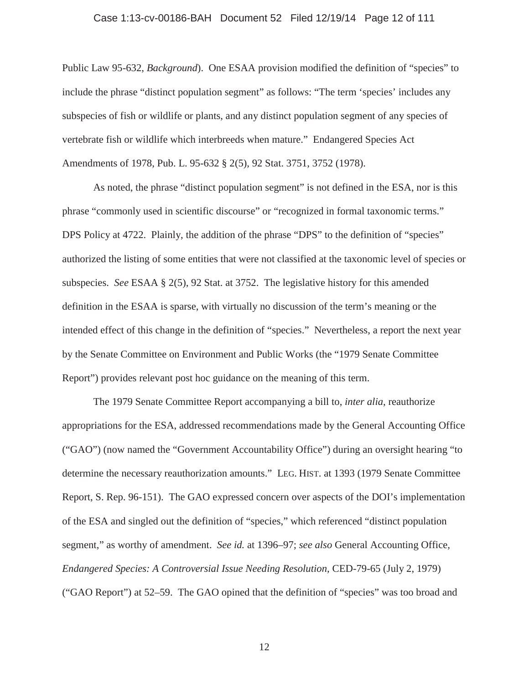#### Case 1:13-cv-00186-BAH Document 52 Filed 12/19/14 Page 12 of 111

Public Law 95-632, *Background*). One ESAA provision modified the definition of "species" to include the phrase "distinct population segment" as follows: "The term 'species' includes any subspecies of fish or wildlife or plants, and any distinct population segment of any species of vertebrate fish or wildlife which interbreeds when mature." Endangered Species Act Amendments of 1978, Pub. L. 95-632 § 2(5), 92 Stat. 3751, 3752 (1978).

As noted, the phrase "distinct population segment" is not defined in the ESA, nor is this phrase "commonly used in scientific discourse" or "recognized in formal taxonomic terms." DPS Policy at 4722. Plainly, the addition of the phrase "DPS" to the definition of "species" authorized the listing of some entities that were not classified at the taxonomic level of species or subspecies. *See* ESAA § 2(5), 92 Stat. at 3752. The legislative history for this amended definition in the ESAA is sparse, with virtually no discussion of the term's meaning or the intended effect of this change in the definition of "species." Nevertheless, a report the next year by the Senate Committee on Environment and Public Works (the "1979 Senate Committee Report") provides relevant post hoc guidance on the meaning of this term.

The 1979 Senate Committee Report accompanying a bill to, *inter alia*, reauthorize appropriations for the ESA, addressed recommendations made by the General Accounting Office ("GAO") (now named the "Government Accountability Office") during an oversight hearing "to determine the necessary reauthorization amounts." LEG. HIST. at 1393 (1979 Senate Committee Report, S. Rep. 96-151). The GAO expressed concern over aspects of the DOI's implementation of the ESA and singled out the definition of "species," which referenced "distinct population segment," as worthy of amendment. *See id.* at 1396–97; *see also* General Accounting Office*, Endangered Species: A Controversial Issue Needing Resolution,* CED-79-65 (July 2, 1979) ("GAO Report") at 52–59. The GAO opined that the definition of "species" was too broad and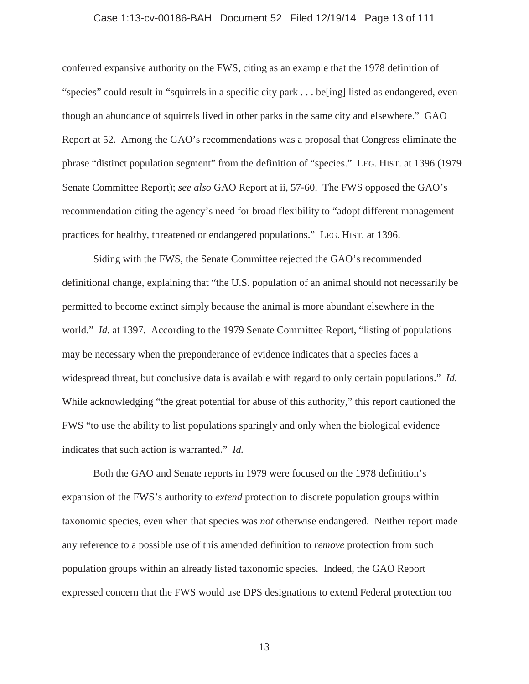#### Case 1:13-cv-00186-BAH Document 52 Filed 12/19/14 Page 13 of 111

conferred expansive authority on the FWS, citing as an example that the 1978 definition of "species" could result in "squirrels in a specific city park . . . be[ing] listed as endangered, even though an abundance of squirrels lived in other parks in the same city and elsewhere." GAO Report at 52. Among the GAO's recommendations was a proposal that Congress eliminate the phrase "distinct population segment" from the definition of "species." LEG. HIST. at 1396 (1979 Senate Committee Report); *see also* GAO Report at ii, 57-60. The FWS opposed the GAO's recommendation citing the agency's need for broad flexibility to "adopt different management practices for healthy, threatened or endangered populations." LEG. HIST. at 1396.

Siding with the FWS, the Senate Committee rejected the GAO's recommended definitional change, explaining that "the U.S. population of an animal should not necessarily be permitted to become extinct simply because the animal is more abundant elsewhere in the world." *Id.* at 1397*.* According to the 1979 Senate Committee Report, "listing of populations may be necessary when the preponderance of evidence indicates that a species faces a widespread threat, but conclusive data is available with regard to only certain populations." *Id.* While acknowledging "the great potential for abuse of this authority," this report cautioned the FWS "to use the ability to list populations sparingly and only when the biological evidence indicates that such action is warranted." *Id.*

Both the GAO and Senate reports in 1979 were focused on the 1978 definition's expansion of the FWS's authority to *extend* protection to discrete population groups within taxonomic species, even when that species was *not* otherwise endangered. Neither report made any reference to a possible use of this amended definition to *remove* protection from such population groups within an already listed taxonomic species. Indeed, the GAO Report expressed concern that the FWS would use DPS designations to extend Federal protection too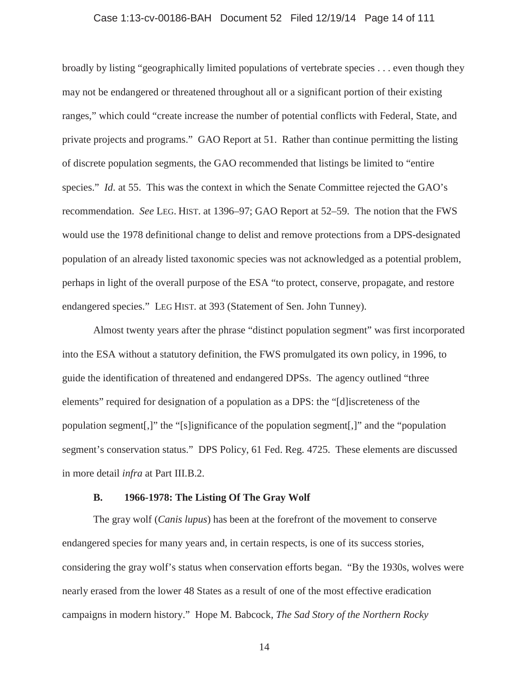#### Case 1:13-cv-00186-BAH Document 52 Filed 12/19/14 Page 14 of 111

broadly by listing "geographically limited populations of vertebrate species . . . even though they may not be endangered or threatened throughout all or a significant portion of their existing ranges," which could "create increase the number of potential conflicts with Federal, State, and private projects and programs." GAO Report at 51. Rather than continue permitting the listing of discrete population segments, the GAO recommended that listings be limited to "entire species." *Id.* at 55. This was the context in which the Senate Committee rejected the GAO's recommendation. *See* LEG. HIST. at 1396–97; GAO Report at 52–59. The notion that the FWS would use the 1978 definitional change to delist and remove protections from a DPS-designated population of an already listed taxonomic species was not acknowledged as a potential problem, perhaps in light of the overall purpose of the ESA "to protect, conserve, propagate, and restore endangered species." LEG HIST. at 393 (Statement of Sen. John Tunney).

Almost twenty years after the phrase "distinct population segment" was first incorporated into the ESA without a statutory definition, the FWS promulgated its own policy, in 1996, to guide the identification of threatened and endangered DPSs. The agency outlined "three elements" required for designation of a population as a DPS: the "[d]iscreteness of the population segment[,]" the "[s]ignificance of the population segment[,]" and the "population segment's conservation status." DPS Policy, 61 Fed. Reg. 4725. These elements are discussed in more detail *infra* at Part III.B.2.

#### **B. 1966-1978: The Listing Of The Gray Wolf**

The gray wolf (*Canis lupus*) has been at the forefront of the movement to conserve endangered species for many years and, in certain respects, is one of its success stories, considering the gray wolf's status when conservation efforts began. "By the 1930s, wolves were nearly erased from the lower 48 States as a result of one of the most effective eradication campaigns in modern history." Hope M. Babcock, *The Sad Story of the Northern Rocky*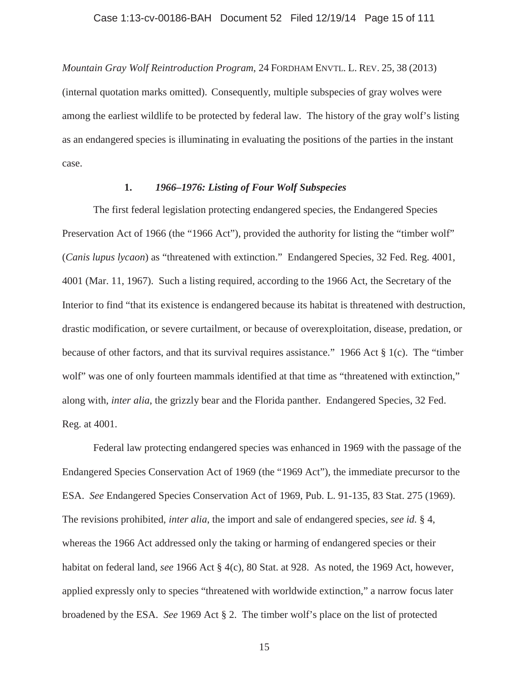*Mountain Gray Wolf Reintroduction Program*, 24 FORDHAM ENVTL. L. REV. 25, 38 (2013) (internal quotation marks omitted). Consequently, multiple subspecies of gray wolves were among the earliest wildlife to be protected by federal law. The history of the gray wolf's listing as an endangered species is illuminating in evaluating the positions of the parties in the instant case.

## **1.** *1966–1976: Listing of Four Wolf Subspecies*

The first federal legislation protecting endangered species, the Endangered Species Preservation Act of 1966 (the "1966 Act"), provided the authority for listing the "timber wolf" (*Canis lupus lycaon*) as "threatened with extinction." Endangered Species, 32 Fed. Reg. 4001, 4001 (Mar. 11, 1967). Such a listing required, according to the 1966 Act, the Secretary of the Interior to find "that its existence is endangered because its habitat is threatened with destruction, drastic modification, or severe curtailment, or because of overexploitation, disease, predation, or because of other factors, and that its survival requires assistance." 1966 Act § 1(c). The "timber wolf" was one of only fourteen mammals identified at that time as "threatened with extinction," along with, *inter alia*, the grizzly bear and the Florida panther. Endangered Species, 32 Fed. Reg. at 4001.

Federal law protecting endangered species was enhanced in 1969 with the passage of the Endangered Species Conservation Act of 1969 (the "1969 Act"), the immediate precursor to the ESA. *See* Endangered Species Conservation Act of 1969, Pub. L. 91-135, 83 Stat. 275 (1969). The revisions prohibited, *inter alia*, the import and sale of endangered species, *see id.* § 4, whereas the 1966 Act addressed only the taking or harming of endangered species or their habitat on federal land, *see* 1966 Act § 4(c), 80 Stat. at 928. As noted, the 1969 Act, however, applied expressly only to species "threatened with worldwide extinction," a narrow focus later broadened by the ESA. *See* 1969 Act § 2. The timber wolf's place on the list of protected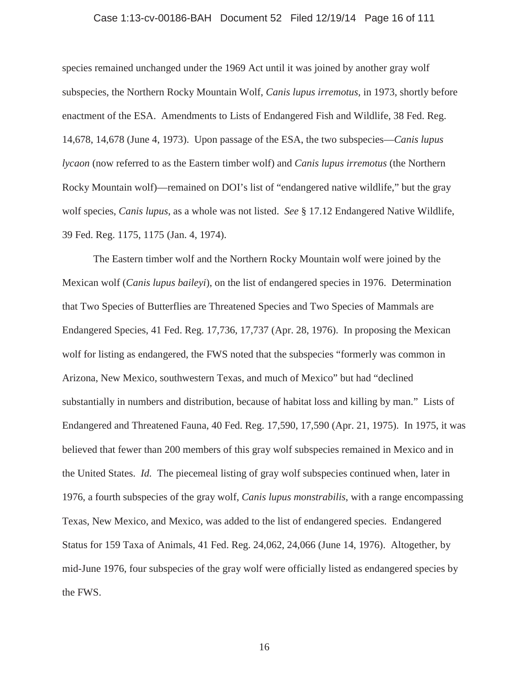#### Case 1:13-cv-00186-BAH Document 52 Filed 12/19/14 Page 16 of 111

species remained unchanged under the 1969 Act until it was joined by another gray wolf subspecies, the Northern Rocky Mountain Wolf, *Canis lupus irremotus*, in 1973, shortly before enactment of the ESA. Amendments to Lists of Endangered Fish and Wildlife, 38 Fed. Reg. 14,678, 14,678 (June 4, 1973). Upon passage of the ESA, the two subspecies—*Canis lupus lycaon* (now referred to as the Eastern timber wolf) and *Canis lupus irremotus* (the Northern Rocky Mountain wolf)—remained on DOI's list of "endangered native wildlife," but the gray wolf species, *Canis lupus*, as a whole was not listed. *See* § 17.12 Endangered Native Wildlife, 39 Fed. Reg. 1175, 1175 (Jan. 4, 1974).

The Eastern timber wolf and the Northern Rocky Mountain wolf were joined by the Mexican wolf (*Canis lupus baileyi*), on the list of endangered species in 1976. Determination that Two Species of Butterflies are Threatened Species and Two Species of Mammals are Endangered Species, 41 Fed. Reg. 17,736, 17,737 (Apr. 28, 1976). In proposing the Mexican wolf for listing as endangered, the FWS noted that the subspecies "formerly was common in Arizona, New Mexico, southwestern Texas, and much of Mexico" but had "declined substantially in numbers and distribution, because of habitat loss and killing by man." Lists of Endangered and Threatened Fauna, 40 Fed. Reg. 17,590, 17,590 (Apr. 21, 1975). In 1975, it was believed that fewer than 200 members of this gray wolf subspecies remained in Mexico and in the United States. *Id.* The piecemeal listing of gray wolf subspecies continued when, later in 1976, a fourth subspecies of the gray wolf, *Canis lupus monstrabilis*, with a range encompassing Texas, New Mexico, and Mexico, was added to the list of endangered species. Endangered Status for 159 Taxa of Animals, 41 Fed. Reg. 24,062, 24,066 (June 14, 1976). Altogether, by mid-June 1976, four subspecies of the gray wolf were officially listed as endangered species by the FWS.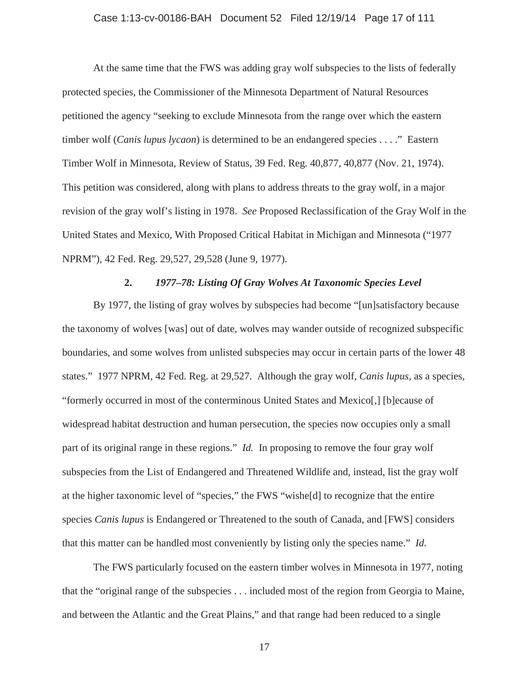#### Case 1:13-cv-00186-BAH Document 52 Filed 12/19/14 Page 17 of 111

At the same time that the FWS was adding gray wolf subspecies to the lists of federally protected species, the Commissioner of the Minnesota Department of Natural Resources petitioned the agency "seeking to exclude Minnesota from the range over which the eastern timber wolf (*Canis lupus lycaon*) is determined to be an endangered species . . . ." Eastern Timber Wolf in Minnesota, Review of Status, 39 Fed. Reg. 40,877, 40,877 (Nov. 21, 1974). This petition was considered, along with plans to address threats to the gray wolf, in a major revision of the gray wolf's listing in 1978. *See* Proposed Reclassification of the Gray Wolf in the United States and Mexico, With Proposed Critical Habitat in Michigan and Minnesota ("1977 NPRM"), 42 Fed. Reg. 29,527, 29,528 (June 9, 1977).

## **2.** *1977–78: Listing Of Gray Wolves At Taxonomic Species Level*

By 1977, the listing of gray wolves by subspecies had become "[un]satisfactory because the taxonomy of wolves [was] out of date, wolves may wander outside of recognized subspecific boundaries, and some wolves from unlisted subspecies may occur in certain parts of the lower 48 states." 1977 NPRM, 42 Fed. Reg. at 29,527. Although the gray wolf, *Canis lupus*, as a species, "formerly occurred in most of the conterminous United States and Mexico[,] [b]ecause of widespread habitat destruction and human persecution, the species now occupies only a small part of its original range in these regions." *Id.* In proposing to remove the four gray wolf subspecies from the List of Endangered and Threatened Wildlife and, instead, list the gray wolf at the higher taxonomic level of "species," the FWS "wishe[d] to recognize that the entire species *Canis lupus* is Endangered or Threatened to the south of Canada, and [FWS] considers that this matter can be handled most conveniently by listing only the species name." *Id.*

The FWS particularly focused on the eastern timber wolves in Minnesota in 1977, noting that the "original range of the subspecies . . . included most of the region from Georgia to Maine, and between the Atlantic and the Great Plains," and that range had been reduced to a single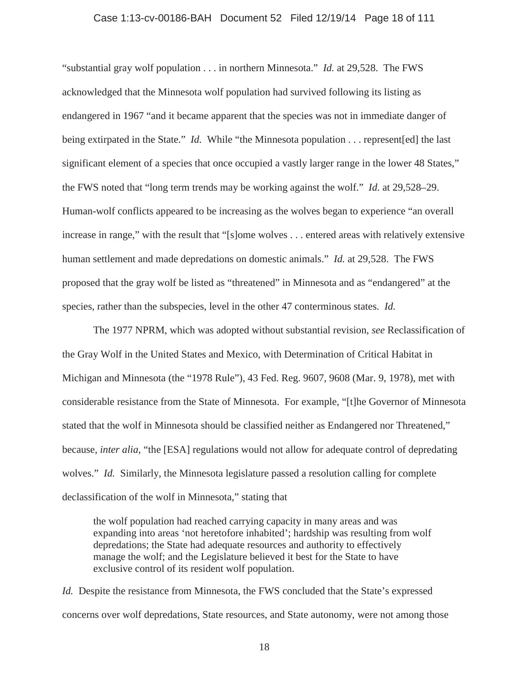#### Case 1:13-cv-00186-BAH Document 52 Filed 12/19/14 Page 18 of 111

"substantial gray wolf population . . . in northern Minnesota." *Id.* at 29,528. The FWS acknowledged that the Minnesota wolf population had survived following its listing as endangered in 1967 "and it became apparent that the species was not in immediate danger of being extirpated in the State." *Id.* While "the Minnesota population . . . represent [ed] the last significant element of a species that once occupied a vastly larger range in the lower 48 States," the FWS noted that "long term trends may be working against the wolf." *Id.* at 29,528–29. Human-wolf conflicts appeared to be increasing as the wolves began to experience "an overall increase in range," with the result that "[s]ome wolves . . . entered areas with relatively extensive human settlement and made depredations on domestic animals." *Id.* at 29,528. The FWS proposed that the gray wolf be listed as "threatened" in Minnesota and as "endangered" at the species, rather than the subspecies, level in the other 47 conterminous states. *Id.*

The 1977 NPRM, which was adopted without substantial revision, *see* Reclassification of the Gray Wolf in the United States and Mexico, with Determination of Critical Habitat in Michigan and Minnesota (the "1978 Rule"), 43 Fed. Reg. 9607, 9608 (Mar. 9, 1978), met with considerable resistance from the State of Minnesota. For example, "[t]he Governor of Minnesota stated that the wolf in Minnesota should be classified neither as Endangered nor Threatened," because, *inter alia*, "the [ESA] regulations would not allow for adequate control of depredating wolves." *Id.* Similarly, the Minnesota legislature passed a resolution calling for complete declassification of the wolf in Minnesota," stating that

the wolf population had reached carrying capacity in many areas and was expanding into areas 'not heretofore inhabited'; hardship was resulting from wolf depredations; the State had adequate resources and authority to effectively manage the wolf; and the Legislature believed it best for the State to have exclusive control of its resident wolf population.

*Id.* Despite the resistance from Minnesota, the FWS concluded that the State's expressed concerns over wolf depredations, State resources, and State autonomy, were not among those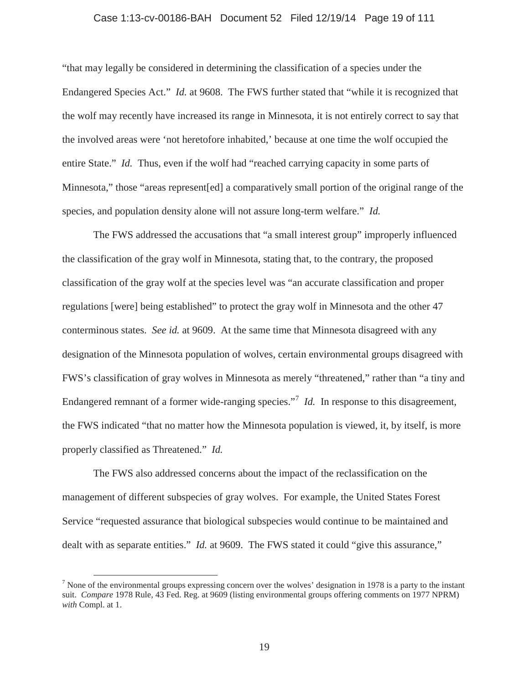#### Case 1:13-cv-00186-BAH Document 52 Filed 12/19/14 Page 19 of 111

"that may legally be considered in determining the classification of a species under the Endangered Species Act." *Id.* at 9608. The FWS further stated that "while it is recognized that the wolf may recently have increased its range in Minnesota, it is not entirely correct to say that the involved areas were 'not heretofore inhabited,' because at one time the wolf occupied the entire State." *Id.* Thus, even if the wolf had "reached carrying capacity in some parts of Minnesota," those "areas represent[ed] a comparatively small portion of the original range of the species, and population density alone will not assure long-term welfare." *Id.* 

The FWS addressed the accusations that "a small interest group" improperly influenced the classification of the gray wolf in Minnesota, stating that, to the contrary, the proposed classification of the gray wolf at the species level was "an accurate classification and proper regulations [were] being established" to protect the gray wolf in Minnesota and the other 47 conterminous states. *See id.* at 9609. At the same time that Minnesota disagreed with any designation of the Minnesota population of wolves, certain environmental groups disagreed with FWS's classification of gray wolves in Minnesota as merely "threatened," rather than "a tiny and Endangered remnant of a former wide-ranging species."<sup>7</sup> *Id.* In response to this disagreement, the FWS indicated "that no matter how the Minnesota population is viewed, it, by itself, is more properly classified as Threatened." *Id.*

The FWS also addressed concerns about the impact of the reclassification on the management of different subspecies of gray wolves. For example, the United States Forest Service "requested assurance that biological subspecies would continue to be maintained and dealt with as separate entities." *Id.* at 9609. The FWS stated it could "give this assurance,"

 $<sup>7</sup>$  None of the environmental groups expressing concern over the wolves' designation in 1978 is a party to the instant</sup> suit. *Compare* 1978 Rule, 43 Fed. Reg. at 9609 (listing environmental groups offering comments on 1977 NPRM) *with* Compl. at 1.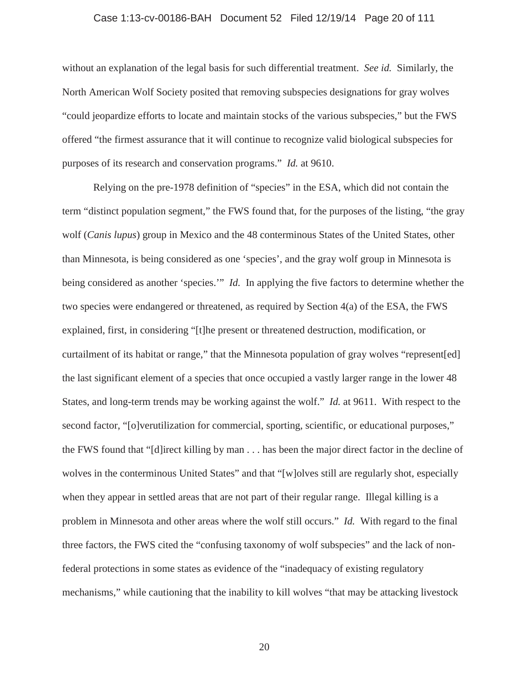#### Case 1:13-cv-00186-BAH Document 52 Filed 12/19/14 Page 20 of 111

without an explanation of the legal basis for such differential treatment. *See id.* Similarly, the North American Wolf Society posited that removing subspecies designations for gray wolves "could jeopardize efforts to locate and maintain stocks of the various subspecies," but the FWS offered "the firmest assurance that it will continue to recognize valid biological subspecies for purposes of its research and conservation programs." *Id.* at 9610.

Relying on the pre-1978 definition of "species" in the ESA, which did not contain the term "distinct population segment," the FWS found that, for the purposes of the listing, "the gray wolf (*Canis lupus*) group in Mexico and the 48 conterminous States of the United States, other than Minnesota, is being considered as one 'species', and the gray wolf group in Minnesota is being considered as another 'species.'" *Id.* In applying the five factors to determine whether the two species were endangered or threatened, as required by Section 4(a) of the ESA, the FWS explained, first, in considering "[t]he present or threatened destruction, modification, or curtailment of its habitat or range," that the Minnesota population of gray wolves "represent[ed] the last significant element of a species that once occupied a vastly larger range in the lower 48 States, and long-term trends may be working against the wolf." *Id.* at 9611. With respect to the second factor, "[o]verutilization for commercial, sporting, scientific, or educational purposes," the FWS found that "[d]irect killing by man . . . has been the major direct factor in the decline of wolves in the conterminous United States" and that "[w]olves still are regularly shot, especially when they appear in settled areas that are not part of their regular range. Illegal killing is a problem in Minnesota and other areas where the wolf still occurs." *Id.* With regard to the final three factors, the FWS cited the "confusing taxonomy of wolf subspecies" and the lack of nonfederal protections in some states as evidence of the "inadequacy of existing regulatory mechanisms," while cautioning that the inability to kill wolves "that may be attacking livestock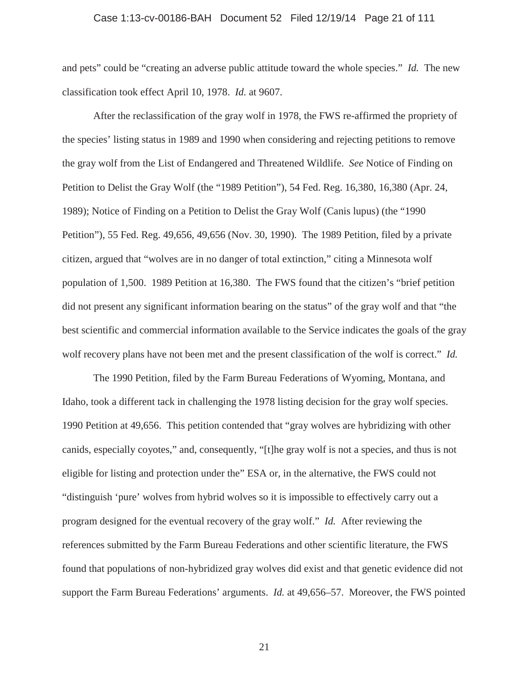#### Case 1:13-cv-00186-BAH Document 52 Filed 12/19/14 Page 21 of 111

and pets" could be "creating an adverse public attitude toward the whole species." *Id.* The new classification took effect April 10, 1978. *Id.* at 9607.

After the reclassification of the gray wolf in 1978, the FWS re-affirmed the propriety of the species' listing status in 1989 and 1990 when considering and rejecting petitions to remove the gray wolf from the List of Endangered and Threatened Wildlife. *See* Notice of Finding on Petition to Delist the Gray Wolf (the "1989 Petition"), 54 Fed. Reg. 16,380, 16,380 (Apr. 24, 1989); Notice of Finding on a Petition to Delist the Gray Wolf (Canis lupus) (the "1990 Petition"), 55 Fed. Reg. 49,656, 49,656 (Nov. 30, 1990). The 1989 Petition, filed by a private citizen, argued that "wolves are in no danger of total extinction," citing a Minnesota wolf population of 1,500. 1989 Petition at 16,380. The FWS found that the citizen's "brief petition did not present any significant information bearing on the status" of the gray wolf and that "the best scientific and commercial information available to the Service indicates the goals of the gray wolf recovery plans have not been met and the present classification of the wolf is correct." *Id.*

The 1990 Petition, filed by the Farm Bureau Federations of Wyoming, Montana, and Idaho, took a different tack in challenging the 1978 listing decision for the gray wolf species. 1990 Petition at 49,656. This petition contended that "gray wolves are hybridizing with other canids, especially coyotes," and, consequently, "[t]he gray wolf is not a species, and thus is not eligible for listing and protection under the" ESA or, in the alternative, the FWS could not "distinguish 'pure' wolves from hybrid wolves so it is impossible to effectively carry out a program designed for the eventual recovery of the gray wolf." *Id.* After reviewing the references submitted by the Farm Bureau Federations and other scientific literature, the FWS found that populations of non-hybridized gray wolves did exist and that genetic evidence did not support the Farm Bureau Federations' arguments. *Id.* at 49,656–57. Moreover, the FWS pointed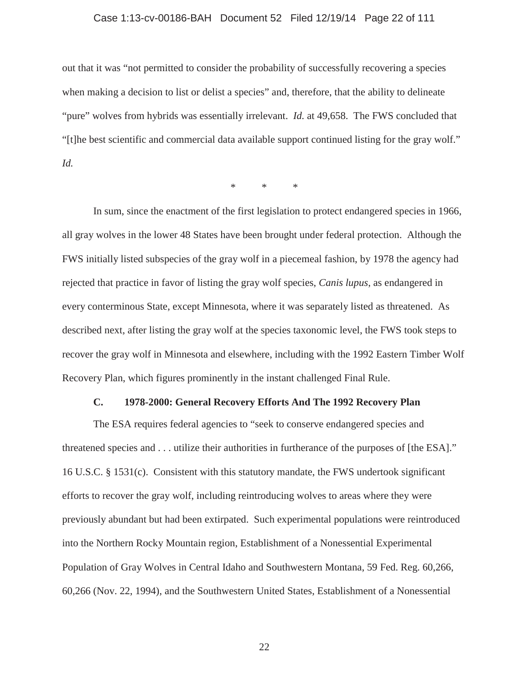#### Case 1:13-cv-00186-BAH Document 52 Filed 12/19/14 Page 22 of 111

out that it was "not permitted to consider the probability of successfully recovering a species when making a decision to list or delist a species" and, therefore, that the ability to delineate "pure" wolves from hybrids was essentially irrelevant. *Id.* at 49,658. The FWS concluded that "[t]he best scientific and commercial data available support continued listing for the gray wolf." *Id.*

\*\*\*

In sum, since the enactment of the first legislation to protect endangered species in 1966, all gray wolves in the lower 48 States have been brought under federal protection. Although the FWS initially listed subspecies of the gray wolf in a piecemeal fashion, by 1978 the agency had rejected that practice in favor of listing the gray wolf species, *Canis lupus*, as endangered in every conterminous State, except Minnesota, where it was separately listed as threatened. As described next, after listing the gray wolf at the species taxonomic level, the FWS took steps to recover the gray wolf in Minnesota and elsewhere, including with the 1992 Eastern Timber Wolf Recovery Plan, which figures prominently in the instant challenged Final Rule.

#### **C. 1978-2000: General Recovery Efforts And The 1992 Recovery Plan**

The ESA requires federal agencies to "seek to conserve endangered species and threatened species and . . . utilize their authorities in furtherance of the purposes of [the ESA]." 16 U.S.C. § 1531(c). Consistent with this statutory mandate, the FWS undertook significant efforts to recover the gray wolf, including reintroducing wolves to areas where they were previously abundant but had been extirpated. Such experimental populations were reintroduced into the Northern Rocky Mountain region, Establishment of a Nonessential Experimental Population of Gray Wolves in Central Idaho and Southwestern Montana, 59 Fed. Reg. 60,266, 60,266 (Nov. 22, 1994), and the Southwestern United States, Establishment of a Nonessential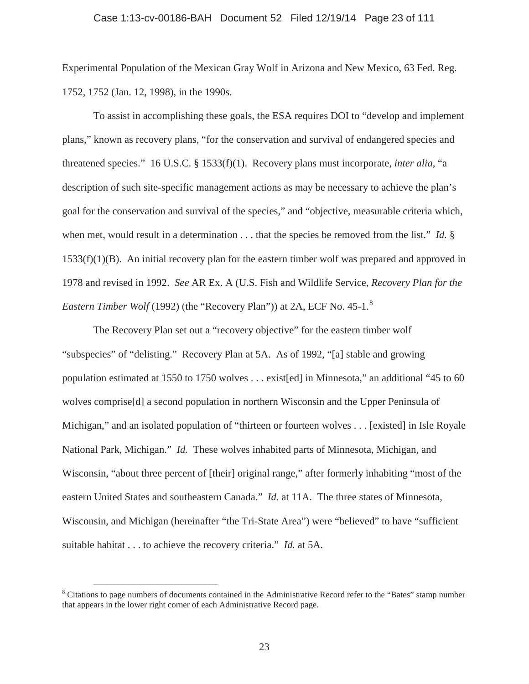#### Case 1:13-cv-00186-BAH Document 52 Filed 12/19/14 Page 23 of 111

Experimental Population of the Mexican Gray Wolf in Arizona and New Mexico, 63 Fed. Reg. 1752, 1752 (Jan. 12, 1998), in the 1990s.

To assist in accomplishing these goals, the ESA requires DOI to "develop and implement plans," known as recovery plans, "for the conservation and survival of endangered species and threatened species." 16 U.S.C. § 1533(f)(1). Recovery plans must incorporate, *inter alia*, "a description of such site-specific management actions as may be necessary to achieve the plan's goal for the conservation and survival of the species," and "objective, measurable criteria which, when met, would result in a determination . . . that the species be removed from the list." *Id.* § 1533(f)(1)(B). An initial recovery plan for the eastern timber wolf was prepared and approved in 1978 and revised in 1992. *See* AR Ex. A (U.S. Fish and Wildlife Service, *Recovery Plan for the Eastern Timber Wolf* (1992) (the "Recovery Plan")) at 2A, ECF No. 45-1.<sup>8</sup>

The Recovery Plan set out a "recovery objective" for the eastern timber wolf "subspecies" of "delisting." Recovery Plan at 5A. As of 1992, "[a] stable and growing population estimated at 1550 to 1750 wolves . . . exist[ed] in Minnesota," an additional "45 to 60 wolves comprise [d] a second population in northern Wisconsin and the Upper Peninsula of Michigan," and an isolated population of "thirteen or fourteen wolves . . . [existed] in Isle Royale National Park, Michigan." *Id.* These wolves inhabited parts of Minnesota, Michigan, and Wisconsin, "about three percent of [their] original range," after formerly inhabiting "most of the eastern United States and southeastern Canada." *Id.* at 11A. The three states of Minnesota, Wisconsin, and Michigan (hereinafter "the Tri-State Area") were "believed" to have "sufficient suitable habitat . . . to achieve the recovery criteria." *Id.* at 5A.

<sup>&</sup>lt;sup>8</sup> Citations to page numbers of documents contained in the Administrative Record refer to the "Bates" stamp number that appears in the lower right corner of each Administrative Record page.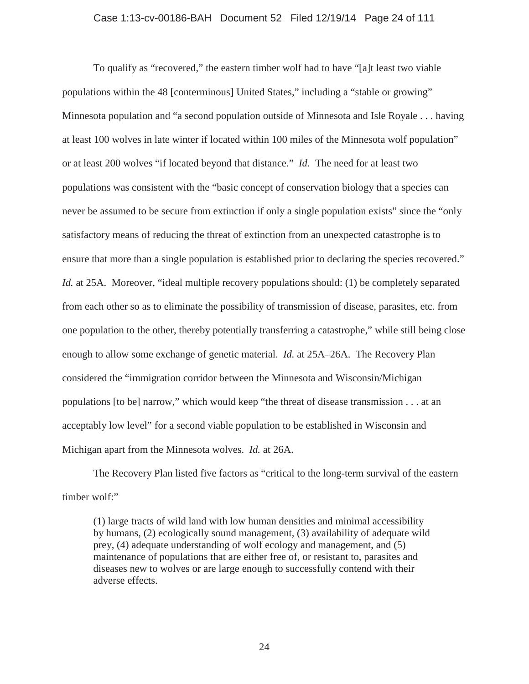#### Case 1:13-cv-00186-BAH Document 52 Filed 12/19/14 Page 24 of 111

To qualify as "recovered," the eastern timber wolf had to have "[a]t least two viable populations within the 48 [conterminous] United States," including a "stable or growing" Minnesota population and "a second population outside of Minnesota and Isle Royale . . . having at least 100 wolves in late winter if located within 100 miles of the Minnesota wolf population" or at least 200 wolves "if located beyond that distance." *Id.* The need for at least two populations was consistent with the "basic concept of conservation biology that a species can never be assumed to be secure from extinction if only a single population exists" since the "only satisfactory means of reducing the threat of extinction from an unexpected catastrophe is to ensure that more than a single population is established prior to declaring the species recovered." *Id.* at 25A. Moreover, "ideal multiple recovery populations should: (1) be completely separated from each other so as to eliminate the possibility of transmission of disease, parasites, etc. from one population to the other, thereby potentially transferring a catastrophe," while still being close enough to allow some exchange of genetic material. *Id.* at 25A–26A. The Recovery Plan considered the "immigration corridor between the Minnesota and Wisconsin/Michigan populations [to be] narrow," which would keep "the threat of disease transmission . . . at an acceptably low level" for a second viable population to be established in Wisconsin and Michigan apart from the Minnesota wolves. *Id.* at 26A.

The Recovery Plan listed five factors as "critical to the long-term survival of the eastern timber wolf:"

(1) large tracts of wild land with low human densities and minimal accessibility by humans, (2) ecologically sound management, (3) availability of adequate wild prey, (4) adequate understanding of wolf ecology and management, and (5) maintenance of populations that are either free of, or resistant to, parasites and diseases new to wolves or are large enough to successfully contend with their adverse effects.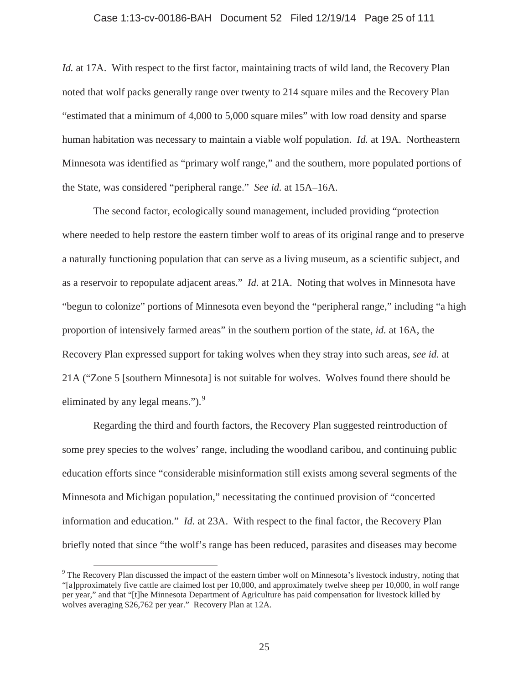#### Case 1:13-cv-00186-BAH Document 52 Filed 12/19/14 Page 25 of 111

*Id.* at 17A. With respect to the first factor, maintaining tracts of wild land, the Recovery Plan noted that wolf packs generally range over twenty to 214 square miles and the Recovery Plan "estimated that a minimum of 4,000 to 5,000 square miles" with low road density and sparse human habitation was necessary to maintain a viable wolf population. *Id.* at 19A. Northeastern Minnesota was identified as "primary wolf range," and the southern, more populated portions of the State, was considered "peripheral range." *See id.* at 15A–16A.

The second factor, ecologically sound management, included providing "protection where needed to help restore the eastern timber wolf to areas of its original range and to preserve a naturally functioning population that can serve as a living museum, as a scientific subject, and as a reservoir to repopulate adjacent areas." *Id.* at 21A. Noting that wolves in Minnesota have "begun to colonize" portions of Minnesota even beyond the "peripheral range," including "a high proportion of intensively farmed areas" in the southern portion of the state, *id.* at 16A, the Recovery Plan expressed support for taking wolves when they stray into such areas, *see id.* at 21A ("Zone 5 [southern Minnesota] is not suitable for wolves. Wolves found there should be eliminated by any legal means.").<sup>9</sup>

Regarding the third and fourth factors, the Recovery Plan suggested reintroduction of some prey species to the wolves' range, including the woodland caribou, and continuing public education efforts since "considerable misinformation still exists among several segments of the Minnesota and Michigan population," necessitating the continued provision of "concerted information and education." *Id.* at 23A. With respect to the final factor, the Recovery Plan briefly noted that since "the wolf's range has been reduced, parasites and diseases may become

<sup>&</sup>lt;sup>9</sup> The Recovery Plan discussed the impact of the eastern timber wolf on Minnesota's livestock industry, noting that "[a]pproximately five cattle are claimed lost per 10,000, and approximately twelve sheep per 10,000, in wolf range per year," and that "[t]he Minnesota Department of Agriculture has paid compensation for livestock killed by wolves averaging \$26,762 per year." Recovery Plan at 12A.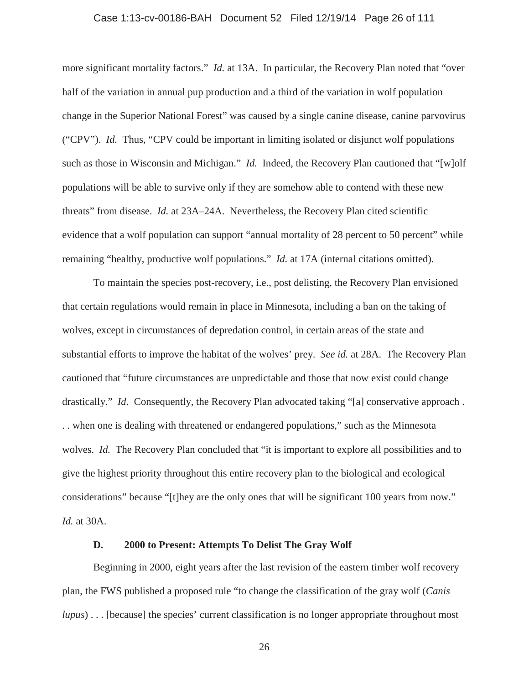#### Case 1:13-cv-00186-BAH Document 52 Filed 12/19/14 Page 26 of 111

more significant mortality factors." *Id.* at 13A. In particular, the Recovery Plan noted that "over half of the variation in annual pup production and a third of the variation in wolf population change in the Superior National Forest" was caused by a single canine disease, canine parvovirus ("CPV"). *Id.* Thus, "CPV could be important in limiting isolated or disjunct wolf populations such as those in Wisconsin and Michigan." *Id.* Indeed, the Recovery Plan cautioned that "[w]olf populations will be able to survive only if they are somehow able to contend with these new threats" from disease. *Id.* at 23A–24A. Nevertheless, the Recovery Plan cited scientific evidence that a wolf population can support "annual mortality of 28 percent to 50 percent" while remaining "healthy, productive wolf populations." *Id.* at 17A (internal citations omitted).

To maintain the species post-recovery, i.e., post delisting, the Recovery Plan envisioned that certain regulations would remain in place in Minnesota, including a ban on the taking of wolves, except in circumstances of depredation control, in certain areas of the state and substantial efforts to improve the habitat of the wolves' prey. *See id.* at 28A. The Recovery Plan cautioned that "future circumstances are unpredictable and those that now exist could change drastically." *Id*. Consequently, the Recovery Plan advocated taking "[a] conservative approach . . . when one is dealing with threatened or endangered populations," such as the Minnesota wolves. *Id.* The Recovery Plan concluded that "it is important to explore all possibilities and to give the highest priority throughout this entire recovery plan to the biological and ecological considerations" because "[t]hey are the only ones that will be significant 100 years from now." *Id.* at 30A.

### **D. 2000 to Present: Attempts To Delist The Gray Wolf**

Beginning in 2000, eight years after the last revision of the eastern timber wolf recovery plan, the FWS published a proposed rule "to change the classification of the gray wolf (*Canis lupus*)... [because] the species' current classification is no longer appropriate throughout most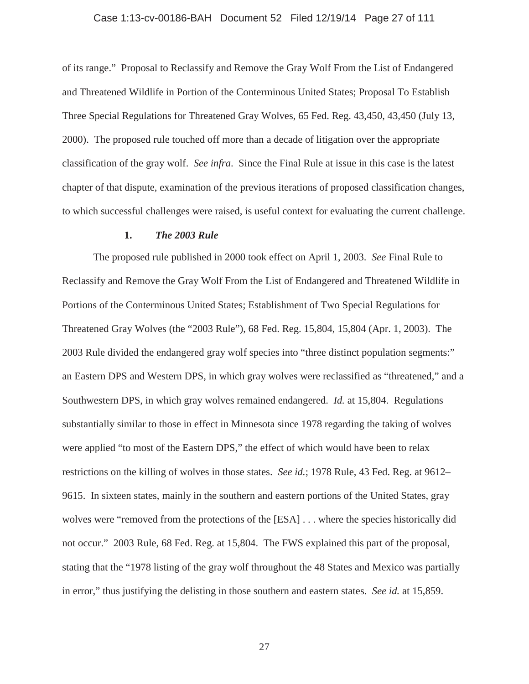#### Case 1:13-cv-00186-BAH Document 52 Filed 12/19/14 Page 27 of 111

of its range." Proposal to Reclassify and Remove the Gray Wolf From the List of Endangered and Threatened Wildlife in Portion of the Conterminous United States; Proposal To Establish Three Special Regulations for Threatened Gray Wolves, 65 Fed. Reg. 43,450, 43,450 (July 13, 2000). The proposed rule touched off more than a decade of litigation over the appropriate classification of the gray wolf. *See infra*. Since the Final Rule at issue in this case is the latest chapter of that dispute, examination of the previous iterations of proposed classification changes, to which successful challenges were raised, is useful context for evaluating the current challenge.

#### **1.** *The 2003 Rule*

The proposed rule published in 2000 took effect on April 1, 2003. *See* Final Rule to Reclassify and Remove the Gray Wolf From the List of Endangered and Threatened Wildlife in Portions of the Conterminous United States; Establishment of Two Special Regulations for Threatened Gray Wolves (the "2003 Rule"), 68 Fed. Reg. 15,804, 15,804 (Apr. 1, 2003). The 2003 Rule divided the endangered gray wolf species into "three distinct population segments:" an Eastern DPS and Western DPS, in which gray wolves were reclassified as "threatened," and a Southwestern DPS, in which gray wolves remained endangered. *Id.* at 15,804. Regulations substantially similar to those in effect in Minnesota since 1978 regarding the taking of wolves were applied "to most of the Eastern DPS," the effect of which would have been to relax restrictions on the killing of wolves in those states. *See id.*; 1978 Rule, 43 Fed. Reg. at 9612– 9615. In sixteen states, mainly in the southern and eastern portions of the United States, gray wolves were "removed from the protections of the [ESA] . . . where the species historically did not occur." 2003 Rule, 68 Fed. Reg. at 15,804. The FWS explained this part of the proposal, stating that the "1978 listing of the gray wolf throughout the 48 States and Mexico was partially in error," thus justifying the delisting in those southern and eastern states. *See id.* at 15,859.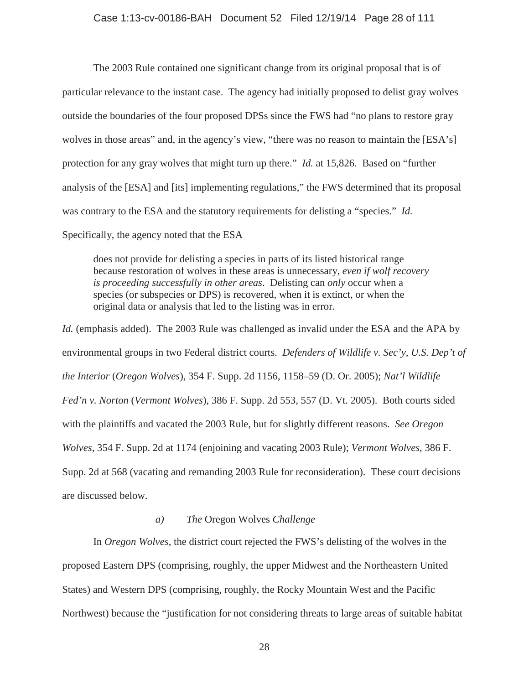#### Case 1:13-cv-00186-BAH Document 52 Filed 12/19/14 Page 28 of 111

The 2003 Rule contained one significant change from its original proposal that is of particular relevance to the instant case. The agency had initially proposed to delist gray wolves outside the boundaries of the four proposed DPSs since the FWS had "no plans to restore gray wolves in those areas" and, in the agency's view, "there was no reason to maintain the [ESA's] protection for any gray wolves that might turn up there." *Id.* at 15,826. Based on "further analysis of the [ESA] and [its] implementing regulations," the FWS determined that its proposal was contrary to the ESA and the statutory requirements for delisting a "species." *Id.* Specifically, the agency noted that the ESA

does not provide for delisting a species in parts of its listed historical range because restoration of wolves in these areas is unnecessary, *even if wolf recovery is proceeding successfully in other areas*. Delisting can *only* occur when a species (or subspecies or DPS) is recovered, when it is extinct, or when the original data or analysis that led to the listing was in error.

*Id.* (emphasis added). The 2003 Rule was challenged as invalid under the ESA and the APA by environmental groups in two Federal district courts. *Defenders of Wildlife v. Sec'y, U.S. Dep't of the Interior* (*Oregon Wolves*), 354 F. Supp. 2d 1156, 1158–59 (D. Or. 2005); *Nat'l Wildlife Fed'n v. Norton* (*Vermont Wolves*), 386 F. Supp. 2d 553, 557 (D. Vt. 2005). Both courts sided with the plaintiffs and vacated the 2003 Rule, but for slightly different reasons. *See Oregon Wolves*, 354 F. Supp. 2d at 1174 (enjoining and vacating 2003 Rule); *Vermont Wolves*, 386 F. Supp. 2d at 568 (vacating and remanding 2003 Rule for reconsideration). These court decisions are discussed below.

## *a) The* Oregon Wolves *Challenge*

In *Oregon Wolves*, the district court rejected the FWS's delisting of the wolves in the proposed Eastern DPS (comprising, roughly, the upper Midwest and the Northeastern United States) and Western DPS (comprising, roughly, the Rocky Mountain West and the Pacific Northwest) because the "justification for not considering threats to large areas of suitable habitat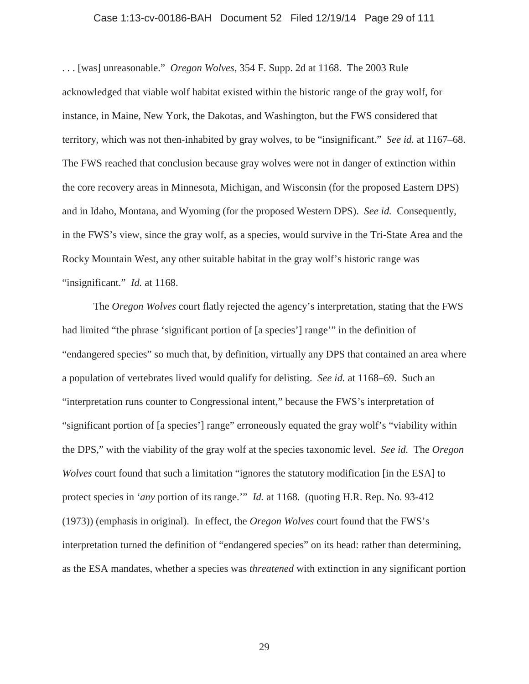#### Case 1:13-cv-00186-BAH Document 52 Filed 12/19/14 Page 29 of 111

. . . [was] unreasonable." *Oregon Wolves*, 354 F. Supp. 2d at 1168. The 2003 Rule acknowledged that viable wolf habitat existed within the historic range of the gray wolf, for instance, in Maine, New York, the Dakotas, and Washington, but the FWS considered that territory, which was not then-inhabited by gray wolves, to be "insignificant." *See id.* at 1167–68. The FWS reached that conclusion because gray wolves were not in danger of extinction within the core recovery areas in Minnesota, Michigan, and Wisconsin (for the proposed Eastern DPS) and in Idaho, Montana, and Wyoming (for the proposed Western DPS). *See id.* Consequently, in the FWS's view, since the gray wolf, as a species, would survive in the Tri-State Area and the Rocky Mountain West, any other suitable habitat in the gray wolf's historic range was "insignificant." *Id.* at 1168.

The *Oregon Wolves* court flatly rejected the agency's interpretation, stating that the FWS had limited "the phrase 'significant portion of [a species'] range'" in the definition of "endangered species" so much that, by definition, virtually any DPS that contained an area where a population of vertebrates lived would qualify for delisting. *See id.* at 1168–69. Such an "interpretation runs counter to Congressional intent," because the FWS's interpretation of "significant portion of [a species'] range" erroneously equated the gray wolf's "viability within the DPS," with the viability of the gray wolf at the species taxonomic level. *See id.* The *Oregon Wolves* court found that such a limitation "ignores the statutory modification [in the ESA] to protect species in '*any* portion of its range.'" *Id.* at 1168. (quoting H.R. Rep. No. 93-412 (1973)) (emphasis in original). In effect, the *Oregon Wolves* court found that the FWS's interpretation turned the definition of "endangered species" on its head: rather than determining, as the ESA mandates, whether a species was *threatened* with extinction in any significant portion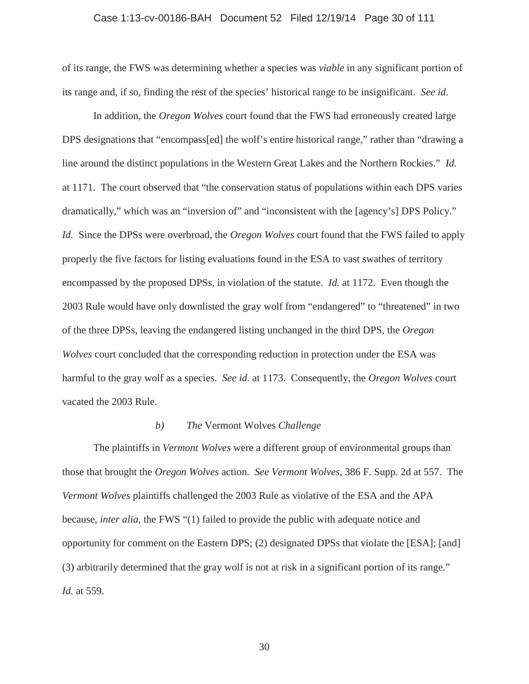#### Case 1:13-cv-00186-BAH Document 52 Filed 12/19/14 Page 30 of 111

of its range, the FWS was determining whether a species was *viable* in any significant portion of its range and, if so, finding the rest of the species' historical range to be insignificant. *See id*.

In addition, the *Oregon Wolves* court found that the FWS had erroneously created large DPS designations that "encompass[ed] the wolf's entire historical range," rather than "drawing a line around the distinct populations in the Western Great Lakes and the Northern Rockies." *Id.* at 1171. The court observed that "the conservation status of populations within each DPS varies dramatically," which was an "inversion of" and "inconsistent with the [agency's] DPS Policy." *Id.* Since the DPSs were overbroad, the *Oregon Wolves* court found that the FWS failed to apply properly the five factors for listing evaluations found in the ESA to vast swathes of territory encompassed by the proposed DPSs, in violation of the statute. *Id.* at 1172. Even though the 2003 Rule would have only downlisted the gray wolf from "endangered" to "threatened" in two of the three DPSs, leaving the endangered listing unchanged in the third DPS, the *Oregon Wolves* court concluded that the corresponding reduction in protection under the ESA was harmful to the gray wolf as a species. *See id.* at 1173. Consequently, the *Oregon Wolves* court vacated the 2003 Rule.

## *b) The* Vermont Wolves *Challenge*

The plaintiffs in *Vermont Wolves* were a different group of environmental groups than those that brought the *Oregon Wolves* action. *See Vermont Wolves*, 386 F. Supp. 2d at 557. The *Vermont Wolves* plaintiffs challenged the 2003 Rule as violative of the ESA and the APA because, *inter alia*, the FWS "(1) failed to provide the public with adequate notice and opportunity for comment on the Eastern DPS; (2) designated DPSs that violate the [ESA]; [and] (3) arbitrarily determined that the gray wolf is not at risk in a significant portion of its range." *Id.* at 559.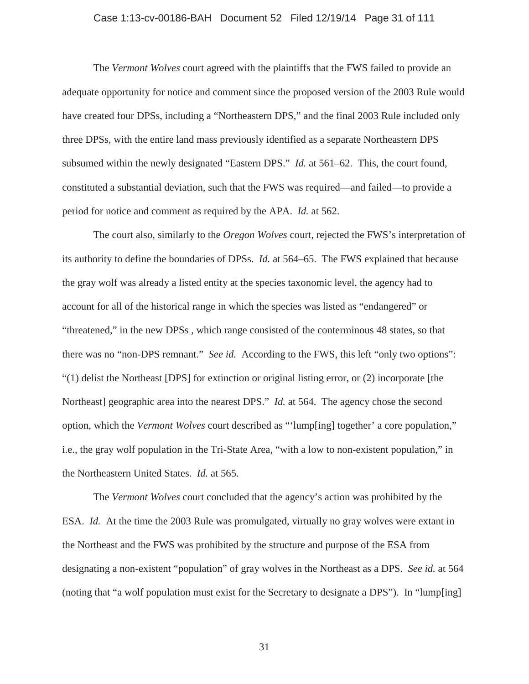#### Case 1:13-cv-00186-BAH Document 52 Filed 12/19/14 Page 31 of 111

The *Vermont Wolves* court agreed with the plaintiffs that the FWS failed to provide an adequate opportunity for notice and comment since the proposed version of the 2003 Rule would have created four DPSs, including a "Northeastern DPS," and the final 2003 Rule included only three DPSs, with the entire land mass previously identified as a separate Northeastern DPS subsumed within the newly designated "Eastern DPS." *Id.* at 561–62. This, the court found, constituted a substantial deviation, such that the FWS was required—and failed—to provide a period for notice and comment as required by the APA. *Id.* at 562.

The court also, similarly to the *Oregon Wolves* court, rejected the FWS's interpretation of its authority to define the boundaries of DPSs. *Id.* at 564–65. The FWS explained that because the gray wolf was already a listed entity at the species taxonomic level, the agency had to account for all of the historical range in which the species was listed as "endangered" or "threatened," in the new DPSs , which range consisted of the conterminous 48 states, so that there was no "non-DPS remnant." *See id.* According to the FWS, this left "only two options": "(1) delist the Northeast [DPS] for extinction or original listing error, or (2) incorporate [the Northeast] geographic area into the nearest DPS." *Id.* at 564. The agency chose the second option, which the *Vermont Wolves* court described as "'lump[ing] together' a core population," i.e.*,* the gray wolf population in the Tri-State Area, "with a low to non-existent population," in the Northeastern United States. *Id.* at 565.

The *Vermont Wolves* court concluded that the agency's action was prohibited by the ESA. *Id.* At the time the 2003 Rule was promulgated, virtually no gray wolves were extant in the Northeast and the FWS was prohibited by the structure and purpose of the ESA from designating a non-existent "population" of gray wolves in the Northeast as a DPS. *See id.* at 564 (noting that "a wolf population must exist for the Secretary to designate a DPS"). In "lump[ing]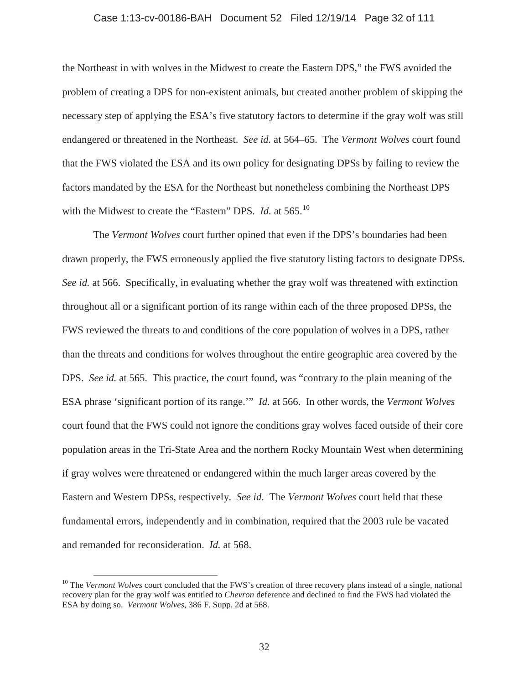#### Case 1:13-cv-00186-BAH Document 52 Filed 12/19/14 Page 32 of 111

the Northeast in with wolves in the Midwest to create the Eastern DPS," the FWS avoided the problem of creating a DPS for non-existent animals, but created another problem of skipping the necessary step of applying the ESA's five statutory factors to determine if the gray wolf was still endangered or threatened in the Northeast. *See id.* at 564–65. The *Vermont Wolves* court found that the FWS violated the ESA and its own policy for designating DPSs by failing to review the factors mandated by the ESA for the Northeast but nonetheless combining the Northeast DPS with the Midwest to create the "Eastern" DPS. *Id.* at 565.<sup>10</sup>

The *Vermont Wolves* court further opined that even if the DPS's boundaries had been drawn properly, the FWS erroneously applied the five statutory listing factors to designate DPSs. *See id.* at 566. Specifically, in evaluating whether the gray wolf was threatened with extinction throughout all or a significant portion of its range within each of the three proposed DPSs, the FWS reviewed the threats to and conditions of the core population of wolves in a DPS, rather than the threats and conditions for wolves throughout the entire geographic area covered by the DPS. *See id.* at 565. This practice, the court found, was "contrary to the plain meaning of the ESA phrase 'significant portion of its range.'" *Id.* at 566. In other words, the *Vermont Wolves* court found that the FWS could not ignore the conditions gray wolves faced outside of their core population areas in the Tri-State Area and the northern Rocky Mountain West when determining if gray wolves were threatened or endangered within the much larger areas covered by the Eastern and Western DPSs, respectively. *See id.* The *Vermont Wolves* court held that these fundamental errors, independently and in combination, required that the 2003 rule be vacated and remanded for reconsideration. *Id.* at 568.

<sup>&</sup>lt;sup>10</sup> The *Vermont Wolves* court concluded that the FWS's creation of three recovery plans instead of a single, national recovery plan for the gray wolf was entitled to *Chevron* deference and declined to find the FWS had violated the ESA by doing so. *Vermont Wolves*, 386 F. Supp. 2d at 568.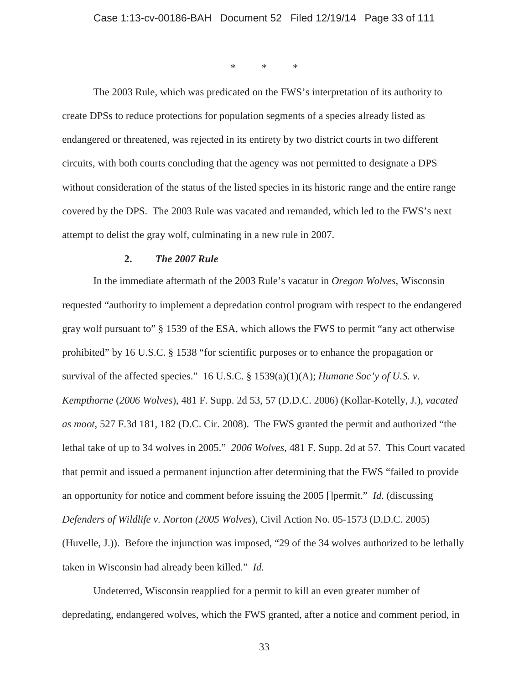\*\*\*

The 2003 Rule, which was predicated on the FWS's interpretation of its authority to create DPSs to reduce protections for population segments of a species already listed as endangered or threatened, was rejected in its entirety by two district courts in two different circuits, with both courts concluding that the agency was not permitted to designate a DPS without consideration of the status of the listed species in its historic range and the entire range covered by the DPS. The 2003 Rule was vacated and remanded, which led to the FWS's next attempt to delist the gray wolf, culminating in a new rule in 2007.

## **2.** *The 2007 Rule*

In the immediate aftermath of the 2003 Rule's vacatur in *Oregon Wolves*, Wisconsin requested "authority to implement a depredation control program with respect to the endangered gray wolf pursuant to" § 1539 of the ESA, which allows the FWS to permit "any act otherwise prohibited" by 16 U.S.C. § 1538 "for scientific purposes or to enhance the propagation or survival of the affected species." 16 U.S.C. § 1539(a)(1)(A); *Humane Soc'y of U.S. v. Kempthorne* (*2006 Wolves*), 481 F. Supp. 2d 53, 57 (D.D.C. 2006) (Kollar-Kotelly, J.), *vacated as moot*, 527 F.3d 181, 182 (D.C. Cir. 2008). The FWS granted the permit and authorized "the lethal take of up to 34 wolves in 2005." *2006 Wolves*, 481 F. Supp. 2d at 57. This Court vacated that permit and issued a permanent injunction after determining that the FWS "failed to provide an opportunity for notice and comment before issuing the 2005 []permit." *Id*. (discussing *Defenders of Wildlife v. Norton (2005 Wolves*), Civil Action No. 05-1573 (D.D.C. 2005) (Huvelle, J.)). Before the injunction was imposed, "29 of the 34 wolves authorized to be lethally taken in Wisconsin had already been killed." *Id.*

Undeterred, Wisconsin reapplied for a permit to kill an even greater number of depredating, endangered wolves, which the FWS granted, after a notice and comment period, in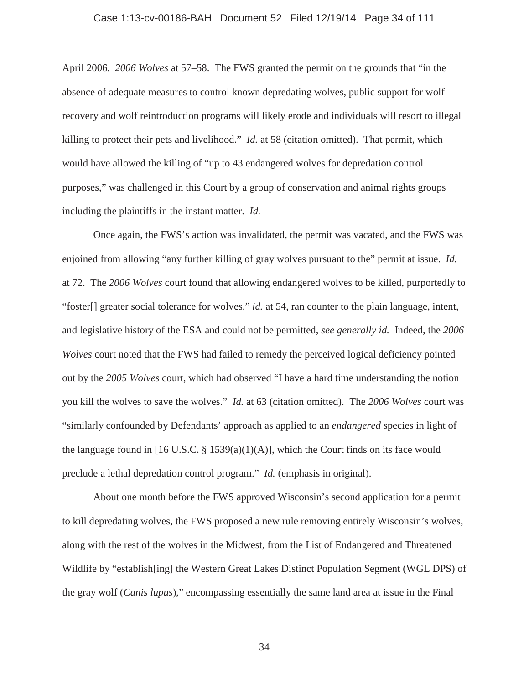#### Case 1:13-cv-00186-BAH Document 52 Filed 12/19/14 Page 34 of 111

April 2006. *2006 Wolves* at 57–58. The FWS granted the permit on the grounds that "in the absence of adequate measures to control known depredating wolves, public support for wolf recovery and wolf reintroduction programs will likely erode and individuals will resort to illegal killing to protect their pets and livelihood." *Id.* at 58 (citation omitted). That permit, which would have allowed the killing of "up to 43 endangered wolves for depredation control purposes," was challenged in this Court by a group of conservation and animal rights groups including the plaintiffs in the instant matter. *Id.*

Once again, the FWS's action was invalidated, the permit was vacated, and the FWS was enjoined from allowing "any further killing of gray wolves pursuant to the" permit at issue. *Id.* at 72. The *2006 Wolves* court found that allowing endangered wolves to be killed, purportedly to "foster[] greater social tolerance for wolves," *id.* at 54, ran counter to the plain language, intent, and legislative history of the ESA and could not be permitted, *see generally id.* Indeed, the *2006 Wolves* court noted that the FWS had failed to remedy the perceived logical deficiency pointed out by the *2005 Wolves* court, which had observed "I have a hard time understanding the notion you kill the wolves to save the wolves." *Id.* at 63 (citation omitted). The *2006 Wolves* court was "similarly confounded by Defendants' approach as applied to an *endangered* species in light of the language found in [16 U.S.C.  $\S$  1539(a)(1)(A)], which the Court finds on its face would preclude a lethal depredation control program." *Id.* (emphasis in original).

About one month before the FWS approved Wisconsin's second application for a permit to kill depredating wolves, the FWS proposed a new rule removing entirely Wisconsin's wolves, along with the rest of the wolves in the Midwest, from the List of Endangered and Threatened Wildlife by "establish[ing] the Western Great Lakes Distinct Population Segment (WGL DPS) of the gray wolf (*Canis lupus*)," encompassing essentially the same land area at issue in the Final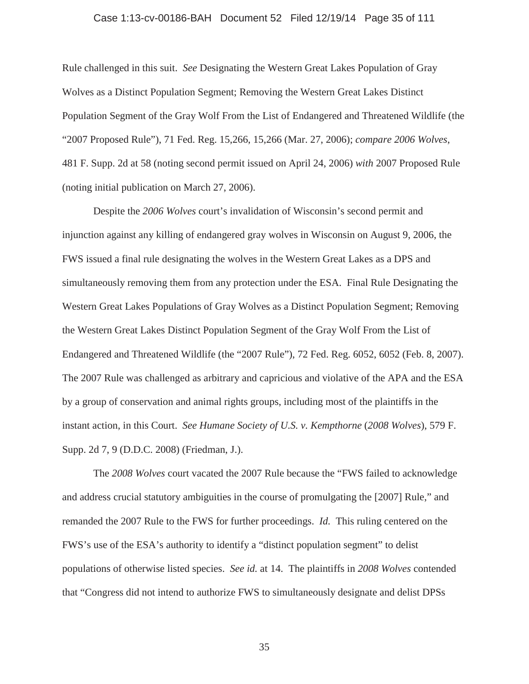#### Case 1:13-cv-00186-BAH Document 52 Filed 12/19/14 Page 35 of 111

Rule challenged in this suit. *See* Designating the Western Great Lakes Population of Gray Wolves as a Distinct Population Segment; Removing the Western Great Lakes Distinct Population Segment of the Gray Wolf From the List of Endangered and Threatened Wildlife (the "2007 Proposed Rule"), 71 Fed. Reg. 15,266, 15,266 (Mar. 27, 2006); *compare 2006 Wolves*, 481 F. Supp. 2d at 58 (noting second permit issued on April 24, 2006) *with* 2007 Proposed Rule (noting initial publication on March 27, 2006).

Despite the *2006 Wolves* court's invalidation of Wisconsin's second permit and injunction against any killing of endangered gray wolves in Wisconsin on August 9, 2006, the FWS issued a final rule designating the wolves in the Western Great Lakes as a DPS and simultaneously removing them from any protection under the ESA. Final Rule Designating the Western Great Lakes Populations of Gray Wolves as a Distinct Population Segment; Removing the Western Great Lakes Distinct Population Segment of the Gray Wolf From the List of Endangered and Threatened Wildlife (the "2007 Rule"), 72 Fed. Reg. 6052, 6052 (Feb. 8, 2007). The 2007 Rule was challenged as arbitrary and capricious and violative of the APA and the ESA by a group of conservation and animal rights groups, including most of the plaintiffs in the instant action, in this Court. *See Humane Society of U.S. v. Kempthorne* (*2008 Wolves*), 579 F. Supp. 2d 7, 9 (D.D.C. 2008) (Friedman, J.).

The *2008 Wolves* court vacated the 2007 Rule because the "FWS failed to acknowledge and address crucial statutory ambiguities in the course of promulgating the [2007] Rule," and remanded the 2007 Rule to the FWS for further proceedings. *Id.* This ruling centered on the FWS's use of the ESA's authority to identify a "distinct population segment" to delist populations of otherwise listed species. *See id.* at 14. The plaintiffs in *2008 Wolves* contended that "Congress did not intend to authorize FWS to simultaneously designate and delist DPSs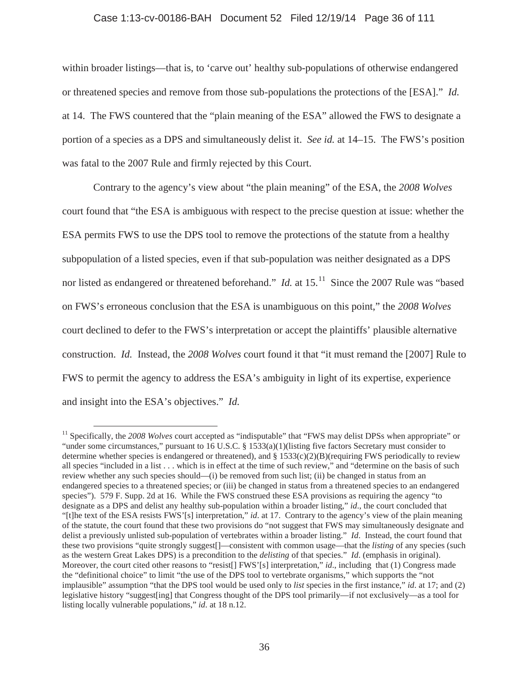#### Case 1:13-cv-00186-BAH Document 52 Filed 12/19/14 Page 36 of 111

within broader listings—that is, to 'carve out' healthy sub-populations of otherwise endangered or threatened species and remove from those sub-populations the protections of the [ESA]." *Id.* at 14. The FWS countered that the "plain meaning of the ESA" allowed the FWS to designate a portion of a species as a DPS and simultaneously delist it. *See id.* at 14–15. The FWS's position was fatal to the 2007 Rule and firmly rejected by this Court.

Contrary to the agency's view about "the plain meaning" of the ESA, the *2008 Wolves* court found that "the ESA is ambiguous with respect to the precise question at issue: whether the ESA permits FWS to use the DPS tool to remove the protections of the statute from a healthy subpopulation of a listed species, even if that sub-population was neither designated as a DPS nor listed as endangered or threatened beforehand." *Id.* at 15.<sup>11</sup> Since the 2007 Rule was "based on FWS's erroneous conclusion that the ESA is unambiguous on this point," the *2008 Wolves*  court declined to defer to the FWS's interpretation or accept the plaintiffs' plausible alternative construction. *Id.* Instead, the *2008 Wolves* court found it that "it must remand the [2007] Rule to FWS to permit the agency to address the ESA's ambiguity in light of its expertise, experience and insight into the ESA's objectives." *Id.*

<sup>11</sup> Specifically, the *2008 Wolves* court accepted as "indisputable" that "FWS may delist DPSs when appropriate" or "under some circumstances," pursuant to 16 U.S.C. § 1533(a)(1)(listing five factors Secretary must consider to determine whether species is endangered or threatened), and  $\S 1533(c)(2)(B)(\text{requiring FWS periodically to review})$ all species "included in a list . . . which is in effect at the time of such review," and "determine on the basis of such review whether any such species should—(i) be removed from such list; (ii) be changed in status from an endangered species to a threatened species; or (iii) be changed in status from a threatened species to an endangered species"). 579 F. Supp. 2d at 16. While the FWS construed these ESA provisions as requiring the agency "to designate as a DPS and delist any healthy sub-population within a broader listing," *id*., the court concluded that "[t]he text of the ESA resists FWS'[s] interpretation," *id*. at 17. Contrary to the agency's view of the plain meaning of the statute, the court found that these two provisions do "not suggest that FWS may simultaneously designate and delist a previously unlisted sub-population of vertebrates within a broader listing." *Id*. Instead, the court found that these two provisions "quite strongly suggest[]—consistent with common usage—that the *listing* of any species (such as the western Great Lakes DPS) is a precondition to the *delisting* of that species." *Id*. (emphasis in original). Moreover, the court cited other reasons to "resist[] FWS'[s] interpretation," *id.*, including that (1) Congress made the "definitional choice" to limit "the use of the DPS tool to vertebrate organisms," which supports the "not implausible" assumption "that the DPS tool would be used only to *list* species in the first instance," *id*. at 17; and (2) legislative history "suggest[ing] that Congress thought of the DPS tool primarily—if not exclusively—as a tool for listing locally vulnerable populations," *id*. at 18 n.12.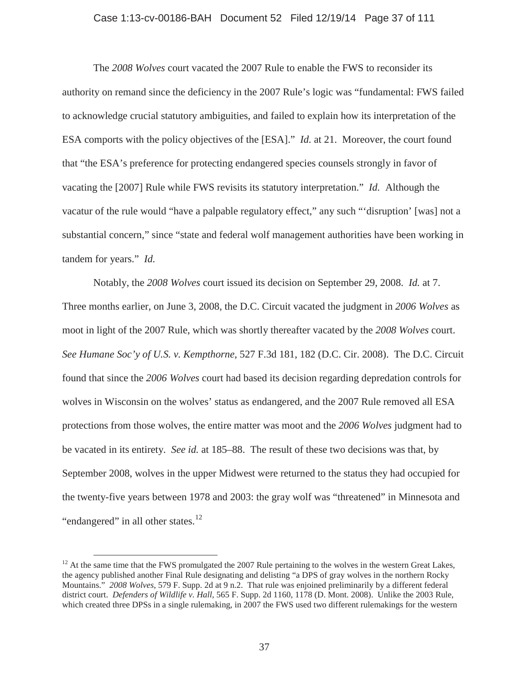#### Case 1:13-cv-00186-BAH Document 52 Filed 12/19/14 Page 37 of 111

The *2008 Wolves* court vacated the 2007 Rule to enable the FWS to reconsider its authority on remand since the deficiency in the 2007 Rule's logic was "fundamental: FWS failed to acknowledge crucial statutory ambiguities, and failed to explain how its interpretation of the ESA comports with the policy objectives of the [ESA]." *Id.* at 21. Moreover, the court found that "the ESA's preference for protecting endangered species counsels strongly in favor of vacating the [2007] Rule while FWS revisits its statutory interpretation." *Id.* Although the vacatur of the rule would "have a palpable regulatory effect," any such "'disruption' [was] not a substantial concern," since "state and federal wolf management authorities have been working in tandem for years." *Id.*

Notably, the *2008 Wolves* court issued its decision on September 29, 2008. *Id.* at 7. Three months earlier, on June 3, 2008, the D.C. Circuit vacated the judgment in *2006 Wolves* as moot in light of the 2007 Rule, which was shortly thereafter vacated by the *2008 Wolves* court. *See Humane Soc'y of U.S. v. Kempthorne*, 527 F.3d 181, 182 (D.C. Cir. 2008). The D.C. Circuit found that since the *2006 Wolves* court had based its decision regarding depredation controls for wolves in Wisconsin on the wolves' status as endangered, and the 2007 Rule removed all ESA protections from those wolves, the entire matter was moot and the *2006 Wolves* judgment had to be vacated in its entirety. *See id.* at 185–88. The result of these two decisions was that, by September 2008, wolves in the upper Midwest were returned to the status they had occupied for the twenty-five years between 1978 and 2003: the gray wolf was "threatened" in Minnesota and "endangered" in all other states. $12$ 

 $12$  At the same time that the FWS promulgated the 2007 Rule pertaining to the wolves in the western Great Lakes, the agency published another Final Rule designating and delisting "a DPS of gray wolves in the northern Rocky Mountains." *2008 Wolves*, 579 F. Supp. 2d at 9 n.2. That rule was enjoined preliminarily by a different federal district court. *Defenders of Wildlife v. Hall*, 565 F. Supp. 2d 1160, 1178 (D. Mont. 2008). Unlike the 2003 Rule, which created three DPSs in a single rulemaking, in 2007 the FWS used two different rulemakings for the western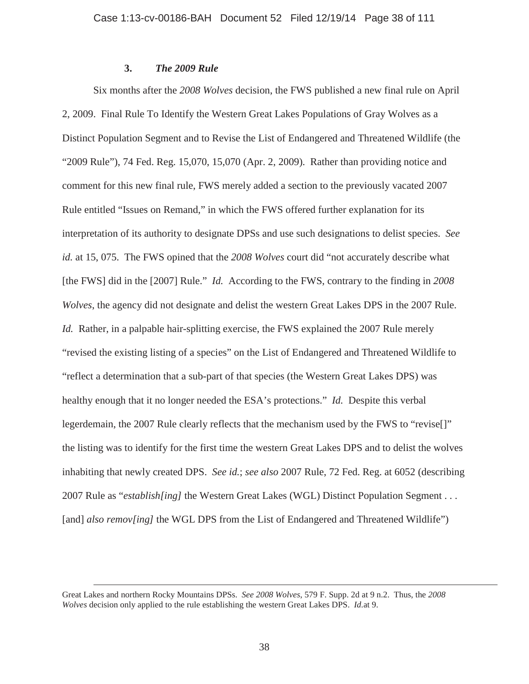# **3.** *The 2009 Rule*

Six months after the *2008 Wolves* decision, the FWS published a new final rule on April 2, 2009. Final Rule To Identify the Western Great Lakes Populations of Gray Wolves as a Distinct Population Segment and to Revise the List of Endangered and Threatened Wildlife (the "2009 Rule"), 74 Fed. Reg. 15,070, 15,070 (Apr. 2, 2009). Rather than providing notice and comment for this new final rule, FWS merely added a section to the previously vacated 2007 Rule entitled "Issues on Remand," in which the FWS offered further explanation for its interpretation of its authority to designate DPSs and use such designations to delist species. *See id.* at 15, 075. The FWS opined that the *2008 Wolves* court did "not accurately describe what [the FWS] did in the [2007] Rule." *Id.* According to the FWS, contrary to the finding in *2008 Wolves*, the agency did not designate and delist the western Great Lakes DPS in the 2007 Rule. *Id.* Rather, in a palpable hair-splitting exercise, the FWS explained the 2007 Rule merely "revised the existing listing of a species" on the List of Endangered and Threatened Wildlife to "reflect a determination that a sub-part of that species (the Western Great Lakes DPS) was healthy enough that it no longer needed the ESA's protections." *Id.* Despite this verbal legerdemain, the 2007 Rule clearly reflects that the mechanism used by the FWS to "revise[]" the listing was to identify for the first time the western Great Lakes DPS and to delist the wolves inhabiting that newly created DPS. *See id.*; *see also* 2007 Rule, 72 Fed. Reg. at 6052 (describing 2007 Rule as "*establish[ing]* the Western Great Lakes (WGL) Distinct Population Segment . . . [and] *also remov[ing]* the WGL DPS from the List of Endangered and Threatened Wildlife")

Great Lakes and northern Rocky Mountains DPSs. *See 2008 Wolves*, 579 F. Supp. 2d at 9 n.2. Thus, the *2008 Wolves* decision only applied to the rule establishing the western Great Lakes DPS. *Id.*at 9.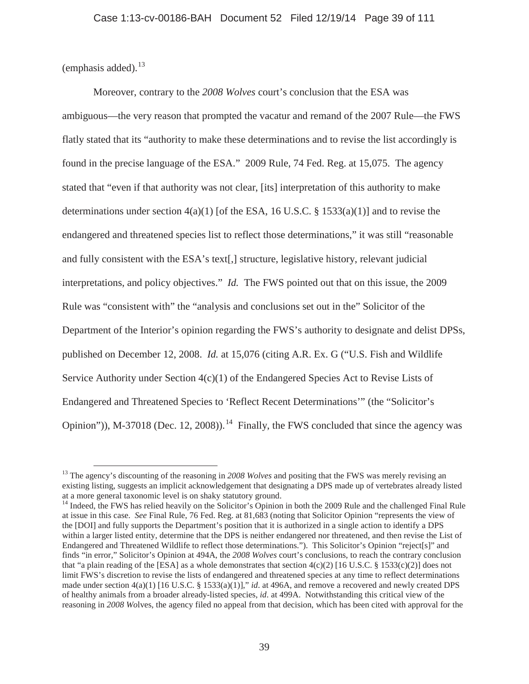(emphasis added). $^{13}$ 

Moreover, contrary to the *2008 Wolves* court's conclusion that the ESA was ambiguous—the very reason that prompted the vacatur and remand of the 2007 Rule—the FWS flatly stated that its "authority to make these determinations and to revise the list accordingly is found in the precise language of the ESA." 2009 Rule, 74 Fed. Reg. at 15,075. The agency stated that "even if that authority was not clear, [its] interpretation of this authority to make determinations under section  $4(a)(1)$  [of the ESA, 16 U.S.C. § 1533(a)(1)] and to revise the endangered and threatened species list to reflect those determinations," it was still "reasonable and fully consistent with the ESA's text[,] structure, legislative history, relevant judicial interpretations, and policy objectives." *Id.* The FWS pointed out that on this issue, the 2009 Rule was "consistent with" the "analysis and conclusions set out in the" Solicitor of the Department of the Interior's opinion regarding the FWS's authority to designate and delist DPSs, published on December 12, 2008. *Id.* at 15,076 (citing A.R. Ex. G ("U.S. Fish and Wildlife Service Authority under Section 4(c)(1) of the Endangered Species Act to Revise Lists of Endangered and Threatened Species to 'Reflect Recent Determinations'" (the "Solicitor's Opinion")), M-37018 (Dec. 12, 2008)).<sup>14</sup> Finally, the FWS concluded that since the agency was

<sup>&</sup>lt;sup>13</sup> The agency's discounting of the reasoning in 2008 Wolves and positing that the FWS was merely revising an existing listing, suggests an implicit acknowledgement that designating a DPS made up of vertebrates already listed at a more general taxonomic level is on shaky statutory ground.

<sup>&</sup>lt;sup>14</sup> Indeed, the FWS has relied heavily on the Solicitor's Opinion in both the 2009 Rule and the challenged Final Rule at issue in this case. *See* Final Rule, 76 Fed. Reg. at 81,683 (noting that Solicitor Opinion "represents the view of the [DOI] and fully supports the Department's position that it is authorized in a single action to identify a DPS within a larger listed entity, determine that the DPS is neither endangered nor threatened, and then revise the List of Endangered and Threatened Wildlife to reflect those determinations."). This Solicitor's Opinion "reject[s]" and finds "in error," Solicitor's Opinion at 494A, the *2008 Wolves* court's conclusions, to reach the contrary conclusion that "a plain reading of the [ESA] as a whole demonstrates that section  $4(c)(2)$  [16 U.S.C. § 1533(c)(2)] does not limit FWS's discretion to revise the lists of endangered and threatened species at any time to reflect determinations made under section 4(a)(1) [16 U.S.C. § 1533(a)(1)]," *id*. at 496A, and remove a recovered and newly created DPS of healthy animals from a broader already-listed species, *id*. at 499A. Notwithstanding this critical view of the reasoning in *2008 Wo*lves, the agency filed no appeal from that decision, which has been cited with approval for the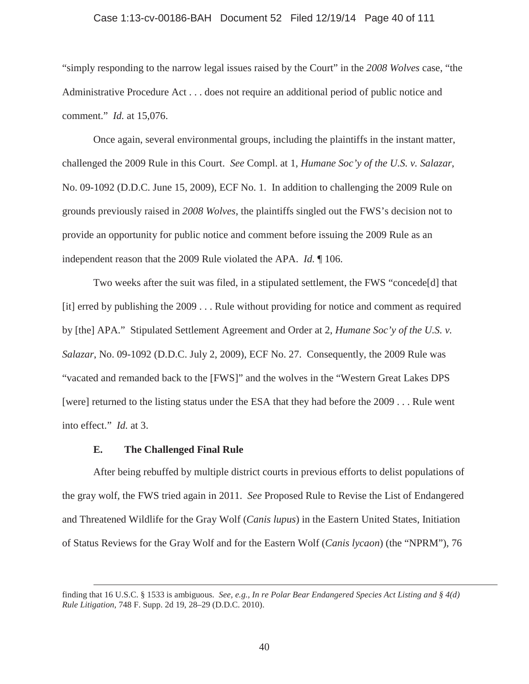#### Case 1:13-cv-00186-BAH Document 52 Filed 12/19/14 Page 40 of 111

"simply responding to the narrow legal issues raised by the Court" in the *2008 Wolves* case, "the Administrative Procedure Act . . . does not require an additional period of public notice and comment." *Id.* at 15,076.

Once again, several environmental groups, including the plaintiffs in the instant matter, challenged the 2009 Rule in this Court. *See* Compl. at 1, *Humane Soc'y of the U.S. v. Salazar*, No. 09-1092 (D.D.C. June 15, 2009), ECF No. 1. In addition to challenging the 2009 Rule on grounds previously raised in *2008 Wolves*, the plaintiffs singled out the FWS's decision not to provide an opportunity for public notice and comment before issuing the 2009 Rule as an independent reason that the 2009 Rule violated the APA. *Id.* ¶ 106.

Two weeks after the suit was filed, in a stipulated settlement, the FWS "concede[d] that [it] erred by publishing the 2009 . . . Rule without providing for notice and comment as required by [the] APA." Stipulated Settlement Agreement and Order at 2, *Humane Soc'y of the U.S. v. Salazar*, No. 09-1092 (D.D.C. July 2, 2009), ECF No. 27. Consequently, the 2009 Rule was "vacated and remanded back to the [FWS]" and the wolves in the "Western Great Lakes DPS [were] returned to the listing status under the ESA that they had before the 2009 . . . Rule went into effect." *Id.* at 3.

#### **E. The Challenged Final Rule**

After being rebuffed by multiple district courts in previous efforts to delist populations of the gray wolf, the FWS tried again in 2011. *See* Proposed Rule to Revise the List of Endangered and Threatened Wildlife for the Gray Wolf (*Canis lupus*) in the Eastern United States, Initiation of Status Reviews for the Gray Wolf and for the Eastern Wolf (*Canis lycaon*) (the "NPRM"), 76

finding that 16 U.S.C. § 1533 is ambiguous. *See, e.g., In re Polar Bear Endangered Species Act Listing and § 4(d) Rule Litigation*, 748 F. Supp. 2d 19, 28–29 (D.D.C. 2010).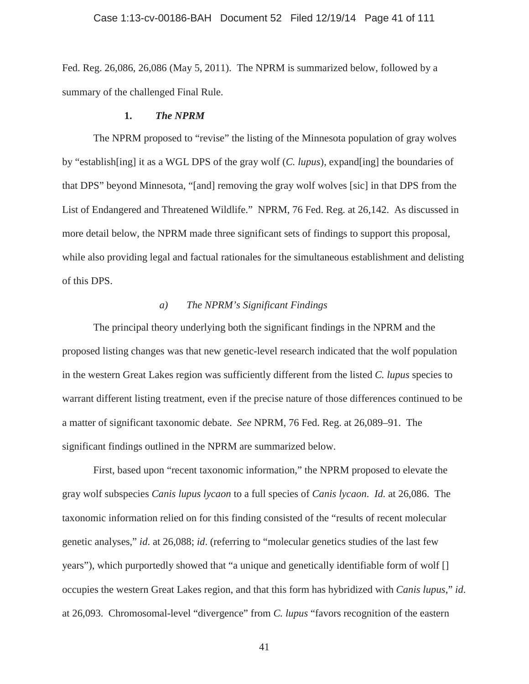Fed. Reg. 26,086, 26,086 (May 5, 2011). The NPRM is summarized below, followed by a summary of the challenged Final Rule.

## **1.** *The NPRM*

The NPRM proposed to "revise" the listing of the Minnesota population of gray wolves by "establish[ing] it as a WGL DPS of the gray wolf (*C. lupus*), expand[ing] the boundaries of that DPS" beyond Minnesota, "[and] removing the gray wolf wolves [sic] in that DPS from the List of Endangered and Threatened Wildlife." NPRM, 76 Fed. Reg. at 26,142. As discussed in more detail below, the NPRM made three significant sets of findings to support this proposal, while also providing legal and factual rationales for the simultaneous establishment and delisting of this DPS.

# *a) The NPRM's Significant Findings*

The principal theory underlying both the significant findings in the NPRM and the proposed listing changes was that new genetic-level research indicated that the wolf population in the western Great Lakes region was sufficiently different from the listed *C. lupus* species to warrant different listing treatment, even if the precise nature of those differences continued to be a matter of significant taxonomic debate. *See* NPRM, 76 Fed. Reg. at 26,089–91. The significant findings outlined in the NPRM are summarized below.

First, based upon "recent taxonomic information," the NPRM proposed to elevate the gray wolf subspecies *Canis lupus lycaon* to a full species of *Canis lycaon*. *Id.* at 26,086. The taxonomic information relied on for this finding consisted of the "results of recent molecular genetic analyses," *id*. at 26,088; *id*. (referring to "molecular genetics studies of the last few years"), which purportedly showed that "a unique and genetically identifiable form of wolf [] occupies the western Great Lakes region, and that this form has hybridized with *Canis lupus*," *id*. at 26,093. Chromosomal-level "divergence" from *C. lupus* "favors recognition of the eastern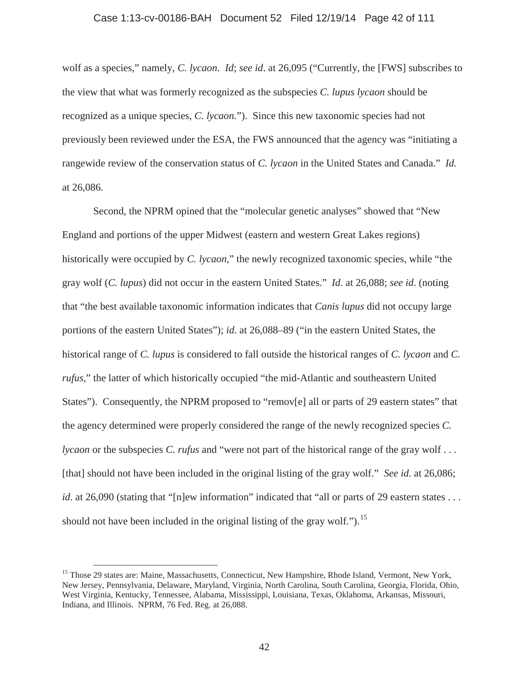### Case 1:13-cv-00186-BAH Document 52 Filed 12/19/14 Page 42 of 111

wolf as a species," namely, *C. lycaon*. *Id*; *see id*. at 26,095 ("Currently, the [FWS] subscribes to the view that what was formerly recognized as the subspecies *C. lupus lycaon* should be recognized as a unique species, *C. lycaon.*"). Since this new taxonomic species had not previously been reviewed under the ESA, the FWS announced that the agency was "initiating a rangewide review of the conservation status of *C. lycaon* in the United States and Canada." *Id.* at 26,086.

Second, the NPRM opined that the "molecular genetic analyses" showed that "New England and portions of the upper Midwest (eastern and western Great Lakes regions) historically were occupied by *C. lycaon,*" the newly recognized taxonomic species, while "the gray wolf (*C. lupus*) did not occur in the eastern United States." *Id*. at 26,088; *see id*. (noting that "the best available taxonomic information indicates that *Canis lupus* did not occupy large portions of the eastern United States"); *id*. at 26,088–89 ("in the eastern United States, the historical range of *C. lupus* is considered to fall outside the historical ranges of *C. lycaon* and *C. rufus*," the latter of which historically occupied "the mid-Atlantic and southeastern United States"). Consequently, the NPRM proposed to "remov[e] all or parts of 29 eastern states" that the agency determined were properly considered the range of the newly recognized species *C. lycaon* or the subspecies *C. rufus* and "were not part of the historical range of the gray wolf... [that] should not have been included in the original listing of the gray wolf." *See id.* at 26,086; *id*. at 26,090 (stating that "[n]ew information" indicated that "all or parts of 29 eastern states . . . should not have been included in the original listing of the gray wolf.").<sup>15</sup>

<sup>&</sup>lt;sup>15</sup> Those 29 states are: Maine, Massachusetts, Connecticut, New Hampshire, Rhode Island, Vermont, New York, New Jersey, Pennsylvania, Delaware, Maryland, Virginia, North Carolina, South Carolina, Georgia, Florida, Ohio, West Virginia, Kentucky, Tennessee, Alabama, Mississippi, Louisiana, Texas, Oklahoma, Arkansas, Missouri, Indiana, and Illinois. NPRM, 76 Fed. Reg. at 26,088.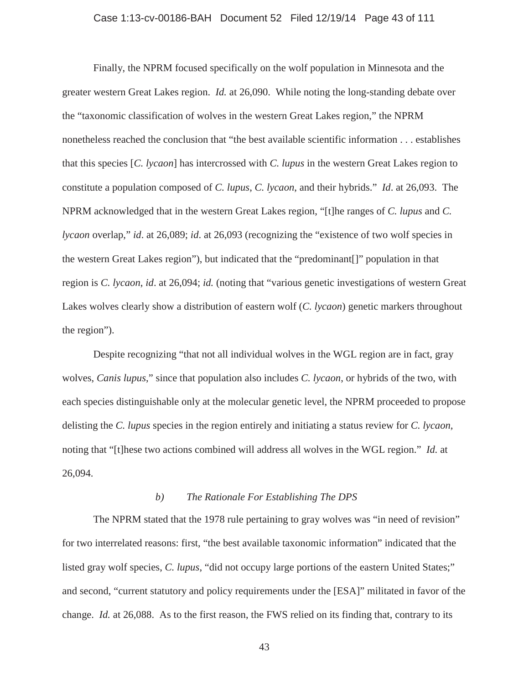## Case 1:13-cv-00186-BAH Document 52 Filed 12/19/14 Page 43 of 111

Finally, the NPRM focused specifically on the wolf population in Minnesota and the greater western Great Lakes region. *Id.* at 26,090. While noting the long-standing debate over the "taxonomic classification of wolves in the western Great Lakes region," the NPRM nonetheless reached the conclusion that "the best available scientific information . . . establishes that this species [*C. lycaon*] has intercrossed with *C. lupus* in the western Great Lakes region to constitute a population composed of *C. lupus*, *C. lycaon*, and their hybrids." *Id*. at 26,093. The NPRM acknowledged that in the western Great Lakes region, "[t]he ranges of *C. lupus* and *C. lycaon* overlap," *id*. at 26,089; *id*. at 26,093 (recognizing the "existence of two wolf species in the western Great Lakes region"), but indicated that the "predominant[]" population in that region is *C. lycaon*, *id*. at 26,094; *id.* (noting that "various genetic investigations of western Great Lakes wolves clearly show a distribution of eastern wolf (*C. lycaon*) genetic markers throughout the region").

Despite recognizing "that not all individual wolves in the WGL region are in fact, gray wolves, *Canis lupus*," since that population also includes *C. lycaon*, or hybrids of the two, with each species distinguishable only at the molecular genetic level, the NPRM proceeded to propose delisting the *C. lupus* species in the region entirely and initiating a status review for *C. lycaon,* noting that "[t]hese two actions combined will address all wolves in the WGL region." *Id.* at 26,094.

## *b) The Rationale For Establishing The DPS*

The NPRM stated that the 1978 rule pertaining to gray wolves was "in need of revision" for two interrelated reasons: first, "the best available taxonomic information" indicated that the listed gray wolf species, *C. lupus*, "did not occupy large portions of the eastern United States;" and second, "current statutory and policy requirements under the [ESA]" militated in favor of the change. *Id.* at 26,088. As to the first reason, the FWS relied on its finding that, contrary to its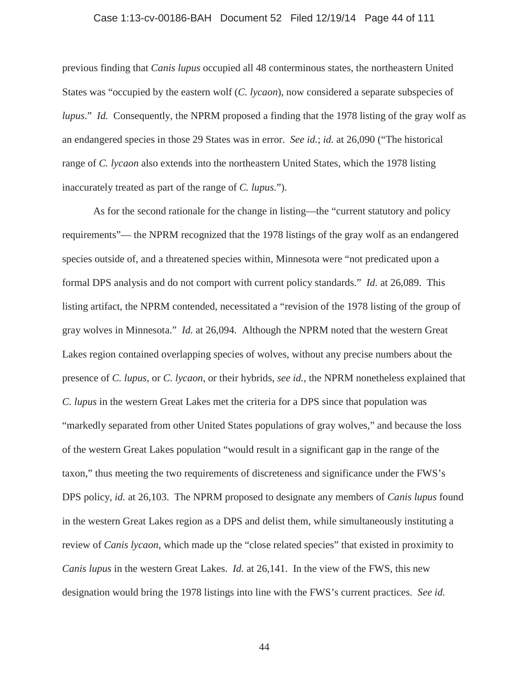## Case 1:13-cv-00186-BAH Document 52 Filed 12/19/14 Page 44 of 111

previous finding that *Canis lupus* occupied all 48 conterminous states, the northeastern United States was "occupied by the eastern wolf (*C. lycaon*), now considered a separate subspecies of *lupus*." *Id.* Consequently, the NPRM proposed a finding that the 1978 listing of the gray wolf as an endangered species in those 29 States was in error. *See id.*; *id.* at 26,090 ("The historical range of *C. lycaon* also extends into the northeastern United States, which the 1978 listing inaccurately treated as part of the range of *C. lupus*.").

As for the second rationale for the change in listing—the "current statutory and policy requirements"— the NPRM recognized that the 1978 listings of the gray wolf as an endangered species outside of, and a threatened species within, Minnesota were "not predicated upon a formal DPS analysis and do not comport with current policy standards." *Id.* at 26,089. This listing artifact, the NPRM contended, necessitated a "revision of the 1978 listing of the group of gray wolves in Minnesota." *Id.* at 26,094. Although the NPRM noted that the western Great Lakes region contained overlapping species of wolves, without any precise numbers about the presence of *C. lupus*, or *C. lycaon*, or their hybrids, *see id.*, the NPRM nonetheless explained that *C. lupus* in the western Great Lakes met the criteria for a DPS since that population was "markedly separated from other United States populations of gray wolves," and because the loss of the western Great Lakes population "would result in a significant gap in the range of the taxon," thus meeting the two requirements of discreteness and significance under the FWS's DPS policy, *id.* at 26,103. The NPRM proposed to designate any members of *Canis lupus* found in the western Great Lakes region as a DPS and delist them, while simultaneously instituting a review of *Canis lycaon*, which made up the "close related species" that existed in proximity to *Canis lupus* in the western Great Lakes. *Id.* at 26,141. In the view of the FWS, this new designation would bring the 1978 listings into line with the FWS's current practices. *See id.*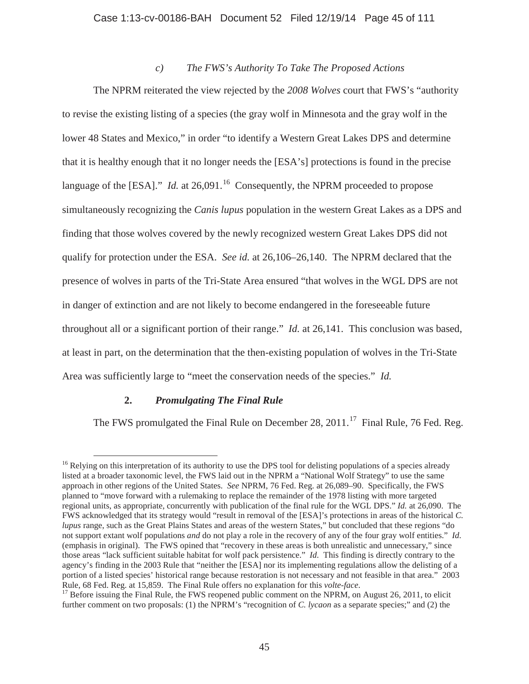## Case 1:13-cv-00186-BAH Document 52 Filed 12/19/14 Page 45 of 111

## *c) The FWS's Authority To Take The Proposed Actions*

The NPRM reiterated the view rejected by the *2008 Wolves* court that FWS's "authority to revise the existing listing of a species (the gray wolf in Minnesota and the gray wolf in the lower 48 States and Mexico," in order "to identify a Western Great Lakes DPS and determine that it is healthy enough that it no longer needs the [ESA's] protections is found in the precise language of the [ESA]." *Id.* at  $26,091$ <sup>16</sup> Consequently, the NPRM proceeded to propose simultaneously recognizing the *Canis lupus* population in the western Great Lakes as a DPS and finding that those wolves covered by the newly recognized western Great Lakes DPS did not qualify for protection under the ESA. *See id.* at 26,106–26,140. The NPRM declared that the presence of wolves in parts of the Tri-State Area ensured "that wolves in the WGL DPS are not in danger of extinction and are not likely to become endangered in the foreseeable future throughout all or a significant portion of their range." *Id.* at 26,141. This conclusion was based, at least in part, on the determination that the then-existing population of wolves in the Tri-State Area was sufficiently large to "meet the conservation needs of the species." *Id.*

## **2.** *Promulgating The Final Rule*

The FWS promulgated the Final Rule on December 28,  $2011$ .<sup>17</sup> Final Rule, 76 Fed. Reg.

<sup>&</sup>lt;sup>16</sup> Relying on this interpretation of its authority to use the DPS tool for delisting populations of a species already listed at a broader taxonomic level, the FWS laid out in the NPRM a "National Wolf Strategy" to use the same approach in other regions of the United States. *See* NPRM, 76 Fed. Reg. at 26,089–90. Specifically, the FWS planned to "move forward with a rulemaking to replace the remainder of the 1978 listing with more targeted regional units, as appropriate, concurrently with publication of the final rule for the WGL DPS." *Id.* at 26,090. The FWS acknowledged that its strategy would "result in removal of the [ESA]'s protections in areas of the historical *C. lupus* range, such as the Great Plains States and areas of the western States," but concluded that these regions "do not support extant wolf populations *and* do not play a role in the recovery of any of the four gray wolf entities." *Id.* (emphasis in original). The FWS opined that "recovery in these areas is both unrealistic and unnecessary," since those areas "lack sufficient suitable habitat for wolf pack persistence." *Id.* This finding is directly contrary to the agency's finding in the 2003 Rule that "neither the [ESA] nor its implementing regulations allow the delisting of a portion of a listed species' historical range because restoration is not necessary and not feasible in that area." 2003 Rule, 68 Fed. Reg. at 15,859. The Final Rule offers no explanation for this *volte-face*.<br><sup>17</sup> Before issuing the Final Rule, the FWS reopened public comment on the NPRM, on August 26, 2011, to elicit

further comment on two proposals: (1) the NPRM's "recognition of *C. lycaon* as a separate species;" and (2) the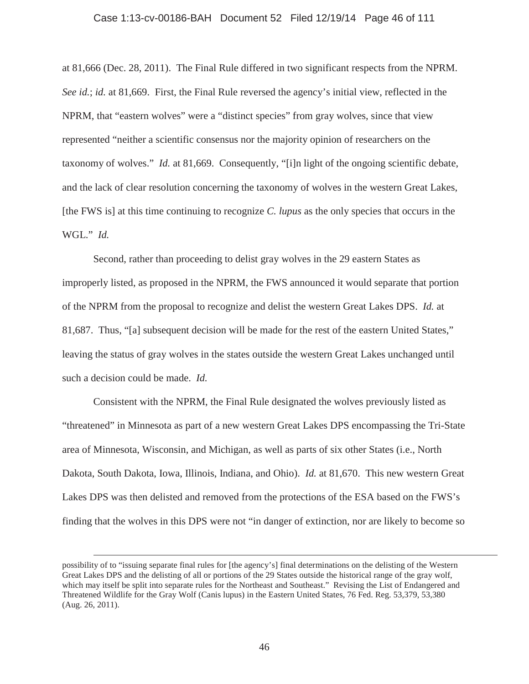#### Case 1:13-cv-00186-BAH Document 52 Filed 12/19/14 Page 46 of 111

at 81,666 (Dec. 28, 2011). The Final Rule differed in two significant respects from the NPRM. *See id.*; *id.* at 81,669. First, the Final Rule reversed the agency's initial view, reflected in the NPRM, that "eastern wolves" were a "distinct species" from gray wolves, since that view represented "neither a scientific consensus nor the majority opinion of researchers on the taxonomy of wolves." *Id.* at 81,669. Consequently, "[i]n light of the ongoing scientific debate, and the lack of clear resolution concerning the taxonomy of wolves in the western Great Lakes, [the FWS is] at this time continuing to recognize *C. lupus* as the only species that occurs in the WGL." *Id.*

Second, rather than proceeding to delist gray wolves in the 29 eastern States as improperly listed, as proposed in the NPRM, the FWS announced it would separate that portion of the NPRM from the proposal to recognize and delist the western Great Lakes DPS. *Id.* at 81,687. Thus, "[a] subsequent decision will be made for the rest of the eastern United States," leaving the status of gray wolves in the states outside the western Great Lakes unchanged until such a decision could be made. *Id.*

Consistent with the NPRM, the Final Rule designated the wolves previously listed as "threatened" in Minnesota as part of a new western Great Lakes DPS encompassing the Tri-State area of Minnesota, Wisconsin, and Michigan, as well as parts of six other States (i.e., North Dakota, South Dakota, Iowa, Illinois, Indiana, and Ohio). *Id.* at 81,670. This new western Great Lakes DPS was then delisted and removed from the protections of the ESA based on the FWS's finding that the wolves in this DPS were not "in danger of extinction, nor are likely to become so

possibility of to "issuing separate final rules for [the agency's] final determinations on the delisting of the Western Great Lakes DPS and the delisting of all or portions of the 29 States outside the historical range of the gray wolf, which may itself be split into separate rules for the Northeast and Southeast." Revising the List of Endangered and Threatened Wildlife for the Gray Wolf (Canis lupus) in the Eastern United States, 76 Fed. Reg. 53,379, 53,380 (Aug. 26, 2011).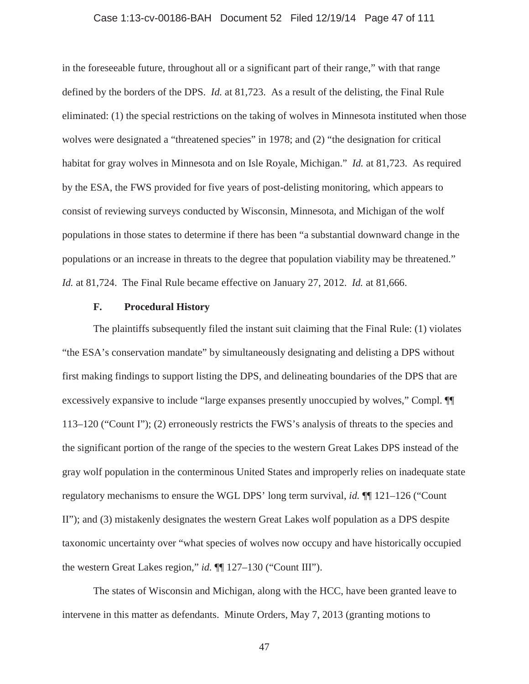## Case 1:13-cv-00186-BAH Document 52 Filed 12/19/14 Page 47 of 111

in the foreseeable future, throughout all or a significant part of their range," with that range defined by the borders of the DPS. *Id.* at 81,723. As a result of the delisting, the Final Rule eliminated: (1) the special restrictions on the taking of wolves in Minnesota instituted when those wolves were designated a "threatened species" in 1978; and (2) "the designation for critical habitat for gray wolves in Minnesota and on Isle Royale, Michigan." *Id.* at 81,723. As required by the ESA, the FWS provided for five years of post-delisting monitoring, which appears to consist of reviewing surveys conducted by Wisconsin, Minnesota, and Michigan of the wolf populations in those states to determine if there has been "a substantial downward change in the populations or an increase in threats to the degree that population viability may be threatened." *Id.* at 81,724. The Final Rule became effective on January 27, 2012. *Id.* at 81,666.

### **F. Procedural History**

The plaintiffs subsequently filed the instant suit claiming that the Final Rule: (1) violates "the ESA's conservation mandate" by simultaneously designating and delisting a DPS without first making findings to support listing the DPS, and delineating boundaries of the DPS that are excessively expansive to include "large expanses presently unoccupied by wolves," Compl. ¶¶ 113–120 ("Count I"); (2) erroneously restricts the FWS's analysis of threats to the species and the significant portion of the range of the species to the western Great Lakes DPS instead of the gray wolf population in the conterminous United States and improperly relies on inadequate state regulatory mechanisms to ensure the WGL DPS' long term survival, *id.* ¶¶ 121–126 ("Count II"); and (3) mistakenly designates the western Great Lakes wolf population as a DPS despite taxonomic uncertainty over "what species of wolves now occupy and have historically occupied the western Great Lakes region," *id.* ¶¶ 127–130 ("Count III").

The states of Wisconsin and Michigan, along with the HCC, have been granted leave to intervene in this matter as defendants. Minute Orders, May 7, 2013 (granting motions to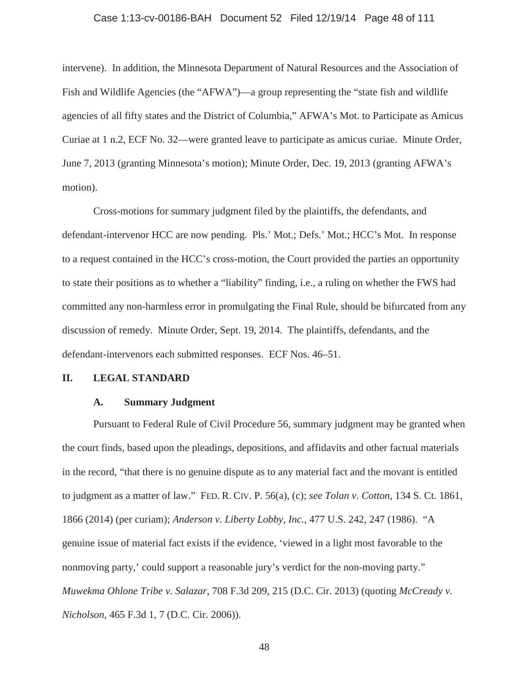#### Case 1:13-cv-00186-BAH Document 52 Filed 12/19/14 Page 48 of 111

intervene). In addition, the Minnesota Department of Natural Resources and the Association of Fish and Wildlife Agencies (the "AFWA")—a group representing the "state fish and wildlife agencies of all fifty states and the District of Columbia," AFWA's Mot. to Participate as Amicus Curiae at 1 n.2, ECF No. 32—were granted leave to participate as amicus curiae. Minute Order, June 7, 2013 (granting Minnesota's motion); Minute Order, Dec. 19, 2013 (granting AFWA's motion).

Cross-motions for summary judgment filed by the plaintiffs, the defendants, and defendant-intervenor HCC are now pending. Pls.' Mot.; Defs.' Mot.; HCC's Mot. In response to a request contained in the HCC's cross-motion, the Court provided the parties an opportunity to state their positions as to whether a "liability" finding, i.e., a ruling on whether the FWS had committed any non-harmless error in promulgating the Final Rule, should be bifurcated from any discussion of remedy. Minute Order, Sept. 19, 2014. The plaintiffs, defendants, and the defendant-intervenors each submitted responses. ECF Nos. 46–51.

## **II. LEGAL STANDARD**

#### **A. Summary Judgment**

Pursuant to Federal Rule of Civil Procedure 56, summary judgment may be granted when the court finds, based upon the pleadings, depositions, and affidavits and other factual materials in the record, "that there is no genuine dispute as to any material fact and the movant is entitled to judgment as a matter of law." FED. R. CIV. P. 56(a), (c); *see Tolan v. Cotton*, 134 S. Ct. 1861, 1866 (2014) (per curiam); *Anderson v. Liberty Lobby, Inc.,* 477 U.S. 242, 247 (1986). "A genuine issue of material fact exists if the evidence, 'viewed in a light most favorable to the nonmoving party,' could support a reasonable jury's verdict for the non-moving party." *Muwekma Ohlone Tribe v. Salazar*, 708 F.3d 209, 215 (D.C. Cir. 2013) (quoting *McCready v. Nicholson,* 465 F.3d 1, 7 (D.C. Cir. 2006)).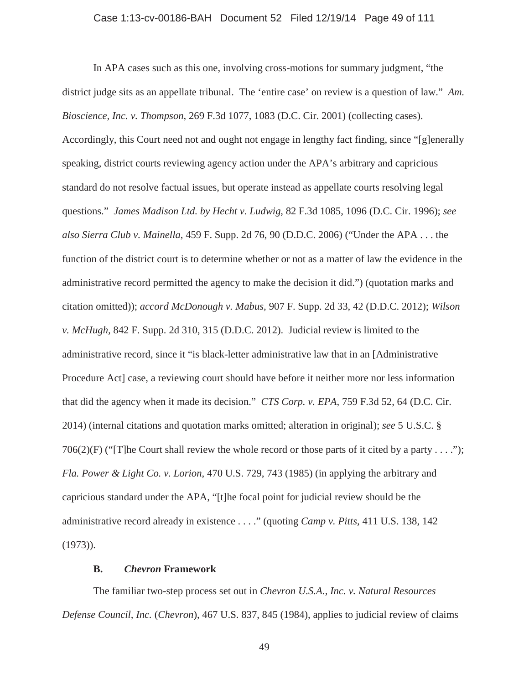### Case 1:13-cv-00186-BAH Document 52 Filed 12/19/14 Page 49 of 111

In APA cases such as this one, involving cross-motions for summary judgment, "the district judge sits as an appellate tribunal. The 'entire case' on review is a question of law." *Am. Bioscience, Inc. v. Thompson*, 269 F.3d 1077, 1083 (D.C. Cir. 2001) (collecting cases). Accordingly, this Court need not and ought not engage in lengthy fact finding, since "[g]enerally speaking, district courts reviewing agency action under the APA's arbitrary and capricious standard do not resolve factual issues, but operate instead as appellate courts resolving legal questions." *James Madison Ltd. by Hecht v. Ludwig*, 82 F.3d 1085, 1096 (D.C. Cir. 1996); *see also Sierra Club v. Mainella*, 459 F. Supp. 2d 76, 90 (D.D.C. 2006) ("Under the APA . . . the function of the district court is to determine whether or not as a matter of law the evidence in the administrative record permitted the agency to make the decision it did.") (quotation marks and citation omitted)); *accord McDonough v. Mabus,* 907 F. Supp. 2d 33, 42 (D.D.C. 2012); *Wilson v. McHugh,* 842 F. Supp. 2d 310, 315 (D.D.C. 2012). Judicial review is limited to the administrative record, since it "is black-letter administrative law that in an [Administrative Procedure Act] case, a reviewing court should have before it neither more nor less information that did the agency when it made its decision." *CTS Corp. v. EPA*, 759 F.3d 52, 64 (D.C. Cir. 2014) (internal citations and quotation marks omitted; alteration in original); *see* 5 U.S.C. § 706(2)(F) ("The Court shall review the whole record or those parts of it cited by a party . . . ."); *Fla. Power & Light Co. v. Lorion*, 470 U.S. 729, 743 (1985) (in applying the arbitrary and capricious standard under the APA, "[t]he focal point for judicial review should be the administrative record already in existence . . . ." (quoting *Camp v. Pitts,* 411 U.S. 138, 142 (1973)).

# **B.** *Chevron* **Framework**

The familiar two-step process set out in *Chevron U.S.A., Inc. v. Natural Resources Defense Council, Inc.* (*Chevron*), 467 U.S. 837, 845 (1984), applies to judicial review of claims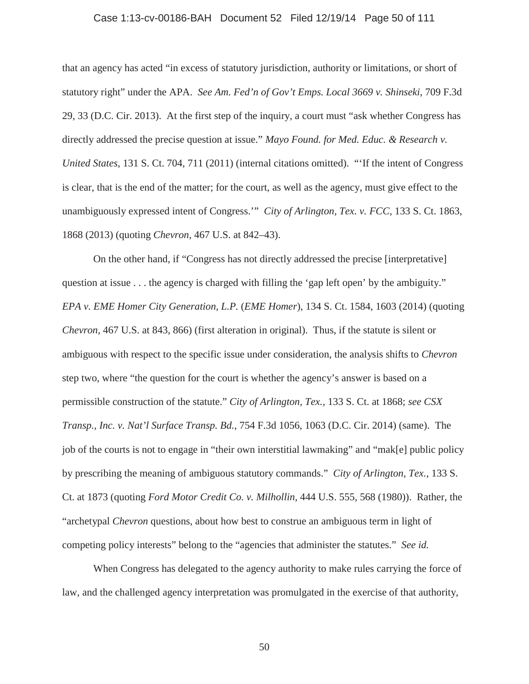## Case 1:13-cv-00186-BAH Document 52 Filed 12/19/14 Page 50 of 111

that an agency has acted "in excess of statutory jurisdiction, authority or limitations, or short of statutory right" under the APA. *See Am. Fed'n of Gov't Emps. Local 3669 v. Shinseki*, 709 F.3d 29, 33 (D.C. Cir. 2013). At the first step of the inquiry, a court must "ask whether Congress has directly addressed the precise question at issue." *Mayo Found. for Med. Educ. & Research v. United States,* 131 S. Ct. 704, 711 (2011) (internal citations omitted). "'If the intent of Congress is clear, that is the end of the matter; for the court, as well as the agency, must give effect to the unambiguously expressed intent of Congress.'" *City of Arlington, Tex. v. FCC,* 133 S. Ct. 1863, 1868 (2013) (quoting *Chevron*, 467 U.S. at 842–43).

On the other hand, if "Congress has not directly addressed the precise [interpretative] question at issue . . . the agency is charged with filling the 'gap left open' by the ambiguity." *EPA v. EME Homer City Generation, L.P.* (*EME Homer*), 134 S. Ct. 1584, 1603 (2014) (quoting *Chevron*, 467 U.S. at 843, 866) (first alteration in original). Thus, if the statute is silent or ambiguous with respect to the specific issue under consideration, the analysis shifts to *Chevron* step two, where "the question for the court is whether the agency's answer is based on a permissible construction of the statute." *City of Arlington, Tex.,* 133 S. Ct. at 1868; *see CSX Transp., Inc. v. Nat'l Surface Transp. Bd.*, 754 F.3d 1056, 1063 (D.C. Cir. 2014) (same). The job of the courts is not to engage in "their own interstitial lawmaking" and "mak[e] public policy by prescribing the meaning of ambiguous statutory commands." *City of Arlington, Tex.*, 133 S. Ct. at 1873 (quoting *Ford Motor Credit Co. v. Milhollin*, 444 U.S. 555, 568 (1980)). Rather, the "archetypal *Chevron* questions, about how best to construe an ambiguous term in light of competing policy interests" belong to the "agencies that administer the statutes." *See id.*

When Congress has delegated to the agency authority to make rules carrying the force of law, and the challenged agency interpretation was promulgated in the exercise of that authority,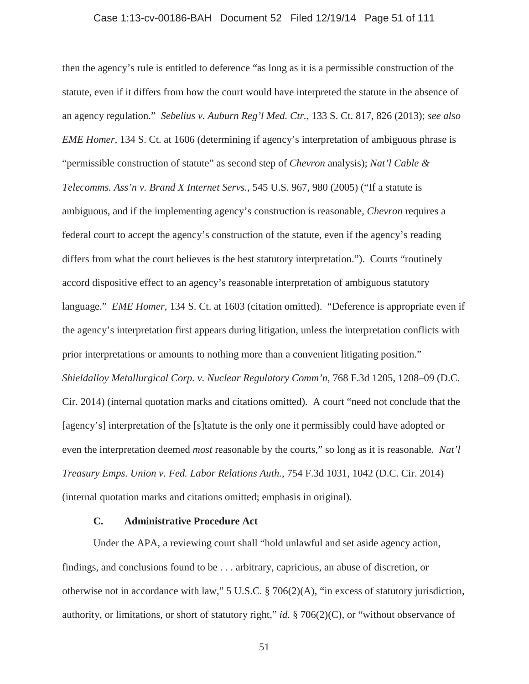#### Case 1:13-cv-00186-BAH Document 52 Filed 12/19/14 Page 51 of 111

then the agency's rule is entitled to deference "as long as it is a permissible construction of the statute, even if it differs from how the court would have interpreted the statute in the absence of an agency regulation." *Sebelius v. Auburn Reg'l Med. Ctr.,* 133 S. Ct. 817, 826 (2013); *see also EME Homer*, 134 S. Ct. at 1606 (determining if agency's interpretation of ambiguous phrase is "permissible construction of statute" as second step of *Chevron* analysis); *Nat'l Cable & Telecomms. Ass'n v. Brand X Internet Servs.,* 545 U.S. 967, 980 (2005) ("If a statute is ambiguous, and if the implementing agency's construction is reasonable, *Chevron* requires a federal court to accept the agency's construction of the statute, even if the agency's reading differs from what the court believes is the best statutory interpretation."). Courts "routinely accord dispositive effect to an agency's reasonable interpretation of ambiguous statutory language." *EME Homer*, 134 S. Ct. at 1603 (citation omitted). "Deference is appropriate even if the agency's interpretation first appears during litigation, unless the interpretation conflicts with prior interpretations or amounts to nothing more than a convenient litigating position." *Shieldalloy Metallurgical Corp. v. Nuclear Regulatory Comm'n*, 768 F.3d 1205, 1208–09 (D.C. Cir. 2014) (internal quotation marks and citations omitted). A court "need not conclude that the [agency's] interpretation of the [s]tatute is the only one it permissibly could have adopted or even the interpretation deemed *most* reasonable by the courts," so long as it is reasonable. *Nat'l Treasury Emps. Union v. Fed. Labor Relations Auth.*, 754 F.3d 1031, 1042 (D.C. Cir. 2014) (internal quotation marks and citations omitted; emphasis in original).

### **C. Administrative Procedure Act**

Under the APA, a reviewing court shall "hold unlawful and set aside agency action, findings, and conclusions found to be . . . arbitrary, capricious, an abuse of discretion, or otherwise not in accordance with law," 5 U.S.C. § 706(2)(A), "in excess of statutory jurisdiction, authority, or limitations, or short of statutory right," *id.* § 706(2)(C), or "without observance of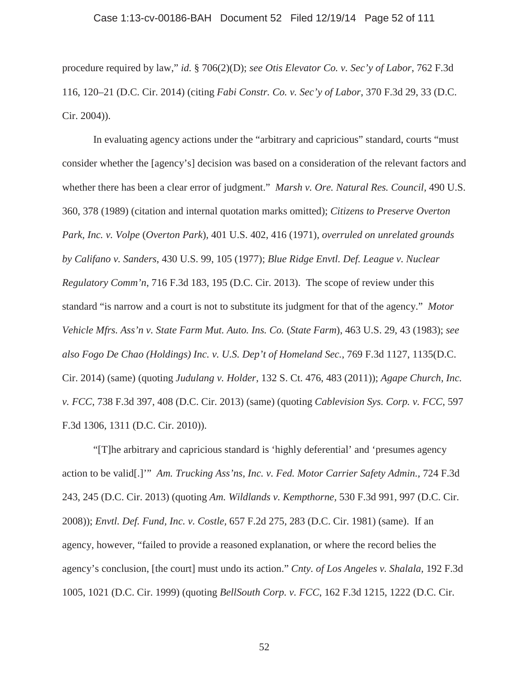### Case 1:13-cv-00186-BAH Document 52 Filed 12/19/14 Page 52 of 111

procedure required by law," *id.* § 706(2)(D); *see Otis Elevator Co. v. Sec'y of Labor*, 762 F.3d 116, 120–21 (D.C. Cir. 2014) (citing *Fabi Constr. Co. v. Sec'y of Labor*, 370 F.3d 29, 33 (D.C. Cir. 2004)).

In evaluating agency actions under the "arbitrary and capricious" standard, courts "must consider whether the [agency's] decision was based on a consideration of the relevant factors and whether there has been a clear error of judgment." *Marsh v. Ore. Natural Res. Council,* 490 U.S. 360, 378 (1989) (citation and internal quotation marks omitted); *Citizens to Preserve Overton Park, Inc. v. Volpe* (*Overton Park*)*,* 401 U.S. 402, 416 (1971), *overruled on unrelated grounds by Califano v. Sanders*, 430 U.S. 99, 105 (1977); *Blue Ridge Envtl. Def. League v. Nuclear Regulatory Comm'n*, 716 F.3d 183, 195 (D.C. Cir. 2013). The scope of review under this standard "is narrow and a court is not to substitute its judgment for that of the agency." *Motor Vehicle Mfrs. Ass'n v. State Farm Mut. Auto. Ins. Co.* (*State Farm*), 463 U.S. 29, 43 (1983); *see also Fogo De Chao (Holdings) Inc. v. U.S. Dep't of Homeland Sec.*, 769 F.3d 1127, 1135(D.C. Cir. 2014) (same) (quoting *Judulang v. Holder*, 132 S. Ct. 476, 483 (2011)); *Agape Church, Inc. v. FCC*, 738 F.3d 397, 408 (D.C. Cir. 2013) (same) (quoting *Cablevision Sys. Corp. v. FCC,* 597 F.3d 1306, 1311 (D.C. Cir. 2010)).

"[T]he arbitrary and capricious standard is 'highly deferential' and 'presumes agency action to be valid[.]'" *Am. Trucking Ass'ns, Inc. v. Fed. Motor Carrier Safety Admin.,* 724 F.3d 243, 245 (D.C. Cir. 2013) (quoting *Am. Wildlands v. Kempthorne,* 530 F.3d 991, 997 (D.C. Cir. 2008)); *Envtl. Def. Fund, Inc. v. Costle,* 657 F.2d 275, 283 (D.C. Cir. 1981) (same). If an agency, however, "failed to provide a reasoned explanation, or where the record belies the agency's conclusion, [the court] must undo its action." *Cnty. of Los Angeles v. Shalala,* 192 F.3d 1005, 1021 (D.C. Cir. 1999) (quoting *BellSouth Corp. v. FCC*, 162 F.3d 1215, 1222 (D.C. Cir.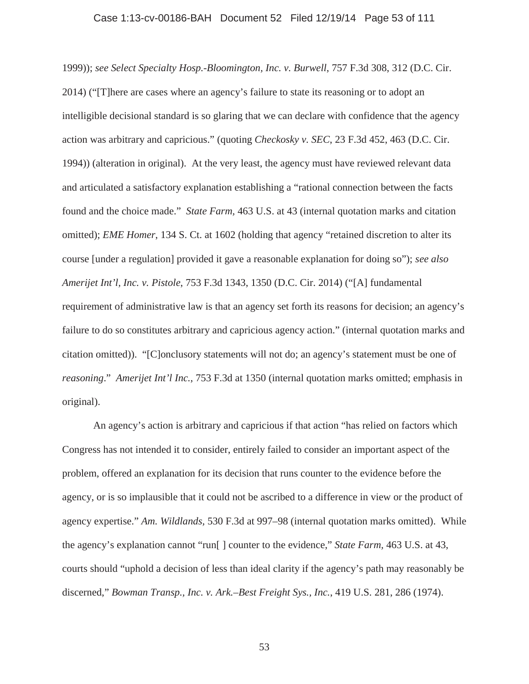### Case 1:13-cv-00186-BAH Document 52 Filed 12/19/14 Page 53 of 111

1999)); *see Select Specialty Hosp.-Bloomington, Inc. v. Burwell*, 757 F.3d 308, 312 (D.C. Cir. 2014) ("[T]here are cases where an agency's failure to state its reasoning or to adopt an intelligible decisional standard is so glaring that we can declare with confidence that the agency action was arbitrary and capricious." (quoting *Checkosky v. SEC*, 23 F.3d 452, 463 (D.C. Cir. 1994)) (alteration in original). At the very least, the agency must have reviewed relevant data and articulated a satisfactory explanation establishing a "rational connection between the facts found and the choice made." *State Farm,* 463 U.S. at 43 (internal quotation marks and citation omitted); *EME Homer*, 134 S. Ct. at 1602 (holding that agency "retained discretion to alter its course [under a regulation] provided it gave a reasonable explanation for doing so"); *see also Amerijet Int'l, Inc. v. Pistole*, 753 F.3d 1343, 1350 (D.C. Cir. 2014) ("[A] fundamental requirement of administrative law is that an agency set forth its reasons for decision; an agency's failure to do so constitutes arbitrary and capricious agency action." (internal quotation marks and citation omitted)). "[C]onclusory statements will not do; an agency's statement must be one of *reasoning*." *Amerijet Int'l Inc.*, 753 F.3d at 1350 (internal quotation marks omitted; emphasis in original).

An agency's action is arbitrary and capricious if that action "has relied on factors which Congress has not intended it to consider, entirely failed to consider an important aspect of the problem, offered an explanation for its decision that runs counter to the evidence before the agency, or is so implausible that it could not be ascribed to a difference in view or the product of agency expertise." *Am. Wildlands,* 530 F.3d at 997–98 (internal quotation marks omitted). While the agency's explanation cannot "run[ ] counter to the evidence," *State Farm,* 463 U.S. at 43, courts should "uphold a decision of less than ideal clarity if the agency's path may reasonably be discerned," *Bowman Transp., Inc. v. Ark.–Best Freight Sys., Inc.*, 419 U.S. 281, 286 (1974).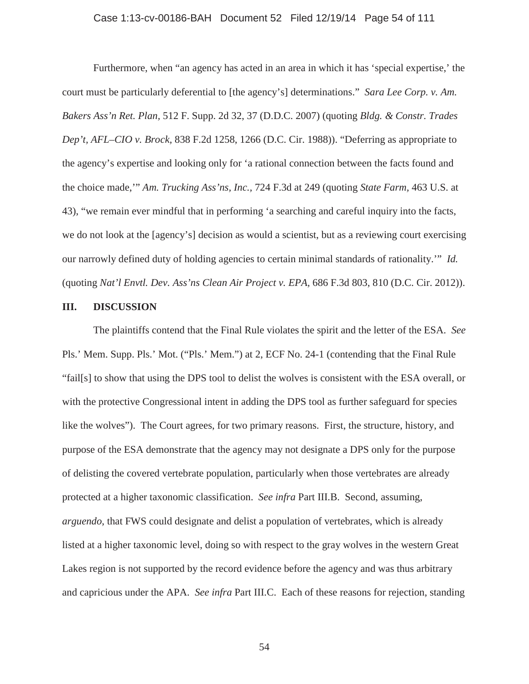## Case 1:13-cv-00186-BAH Document 52 Filed 12/19/14 Page 54 of 111

Furthermore, when "an agency has acted in an area in which it has 'special expertise,' the court must be particularly deferential to [the agency's] determinations." *Sara Lee Corp. v. Am. Bakers Ass'n Ret. Plan,* 512 F. Supp. 2d 32, 37 (D.D.C. 2007) (quoting *Bldg. & Constr. Trades Dep't, AFL–CIO v. Brock,* 838 F.2d 1258, 1266 (D.C. Cir. 1988)). "Deferring as appropriate to the agency's expertise and looking only for 'a rational connection between the facts found and the choice made,'" *Am. Trucking Ass'ns, Inc.,* 724 F.3d at 249 (quoting *State Farm,* 463 U.S. at 43), "we remain ever mindful that in performing 'a searching and careful inquiry into the facts, we do not look at the [agency's] decision as would a scientist, but as a reviewing court exercising our narrowly defined duty of holding agencies to certain minimal standards of rationality.'" *Id.* (quoting *Nat'l Envtl. Dev. Ass'ns Clean Air Project v. EPA,* 686 F.3d 803, 810 (D.C. Cir. 2012)).

## **III. DISCUSSION**

The plaintiffs contend that the Final Rule violates the spirit and the letter of the ESA. *See*  Pls.' Mem. Supp. Pls.' Mot. ("Pls.' Mem.") at 2, ECF No. 24-1 (contending that the Final Rule "fail[s] to show that using the DPS tool to delist the wolves is consistent with the ESA overall, or with the protective Congressional intent in adding the DPS tool as further safeguard for species like the wolves"). The Court agrees, for two primary reasons. First, the structure, history, and purpose of the ESA demonstrate that the agency may not designate a DPS only for the purpose of delisting the covered vertebrate population, particularly when those vertebrates are already protected at a higher taxonomic classification. *See infra* Part III.B. Second, assuming, *arguendo*, that FWS could designate and delist a population of vertebrates, which is already listed at a higher taxonomic level, doing so with respect to the gray wolves in the western Great Lakes region is not supported by the record evidence before the agency and was thus arbitrary and capricious under the APA. *See infra* Part III.C. Each of these reasons for rejection, standing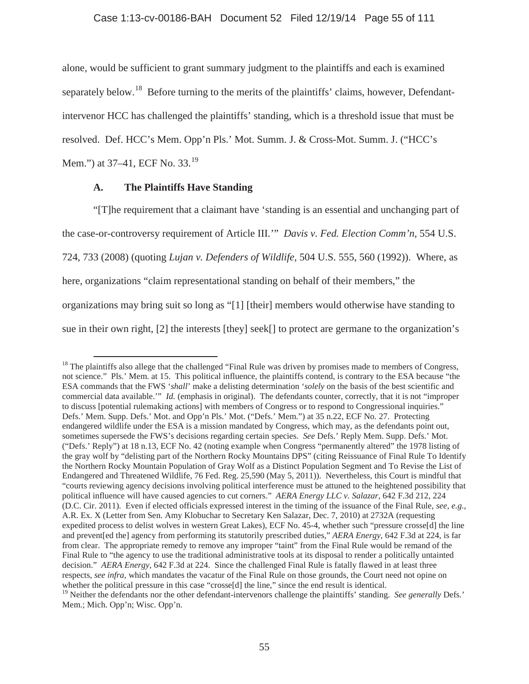alone, would be sufficient to grant summary judgment to the plaintiffs and each is examined separately below.<sup>18</sup> Before turning to the merits of the plaintiffs' claims, however, Defendantintervenor HCC has challenged the plaintiffs' standing, which is a threshold issue that must be resolved. Def. HCC's Mem. Opp'n Pls.' Mot. Summ. J. & Cross-Mot. Summ. J. ("HCC's Mem.") at 37–41, ECF No. 33.<sup>19</sup>

**A. The Plaintiffs Have Standing**

"[T]he requirement that a claimant have 'standing is an essential and unchanging part of the case-or-controversy requirement of Article III.'" *Davis v. Fed. Election Comm'n,* 554 U.S. 724, 733 (2008) (quoting *Lujan v. Defenders of Wildlife,* 504 U.S. 555, 560 (1992)). Where, as here, organizations "claim representational standing on behalf of their members," the organizations may bring suit so long as "[1] [their] members would otherwise have standing to sue in their own right, [2] the interests [they] seek[] to protect are germane to the organization's

<sup>&</sup>lt;sup>18</sup> The plaintiffs also allege that the challenged "Final Rule was driven by promises made to members of Congress, not science." Pls.' Mem. at 15. This political influence, the plaintiffs contend, is contrary to the ESA because "the ESA commands that the FWS '*shall*' make a delisting determination '*solely* on the basis of the best scientific and commercial data available." *Id.* (emphasis in original). The defendants counter, correctly, that it is not "improper to discuss [potential rulemaking actions] with members of Congress or to respond to Congressional inquiries." Defs.' Mem. Supp. Defs.' Mot. and Opp'n Pls.' Mot. ("Defs.' Mem.") at 35 n.22, ECF No. 27. Protecting endangered wildlife under the ESA is a mission mandated by Congress, which may, as the defendants point out, sometimes supersede the FWS's decisions regarding certain species. *See* Defs.' Reply Mem. Supp. Defs.' Mot. ("Defs.' Reply") at 18 n.13, ECF No. 42 (noting example when Congress "permanently altered" the 1978 listing of the gray wolf by "delisting part of the Northern Rocky Mountains DPS" (citing Reissuance of Final Rule To Identify the Northern Rocky Mountain Population of Gray Wolf as a Distinct Population Segment and To Revise the List of Endangered and Threatened Wildlife, 76 Fed. Reg. 25,590 (May 5, 2011)). Nevertheless, this Court is mindful that "courts reviewing agency decisions involving political interference must be attuned to the heightened possibility that political influence will have caused agencies to cut corners." *AERA Energy LLC v. Salazar*, 642 F.3d 212, 224 (D.C. Cir. 2011). Even if elected officials expressed interest in the timing of the issuance of the Final Rule, *see, e.g.*, A.R. Ex. X (Letter from Sen. Amy Klobuchar to Secretary Ken Salazar, Dec. 7, 2010) at 2732A (requesting expedited process to delist wolves in western Great Lakes), ECF No. 45-4, whether such "pressure crosse[d] the line and prevent[ed the] agency from performing its statutorily prescribed duties," *AERA Energy*, 642 F.3d at 224, is far from clear. The appropriate remedy to remove any improper "taint" from the Final Rule would be remand of the Final Rule to "the agency to use the traditional administrative tools at its disposal to render a politically untainted decision." *AERA Energy*, 642 F.3d at 224. Since the challenged Final Rule is fatally flawed in at least three respects, *see infra*, which mandates the vacatur of the Final Rule on those grounds, the Court need not opine on whether the political pressure in this case "crosse<sup>[d]</sup> the line," since the end result is identical. <sup>19</sup> Neither the defendants nor the other defendant-intervenors challenge the plaintiffs' standing. *See generally* Defs.'

Mem.; Mich. Opp'n; Wisc. Opp'n.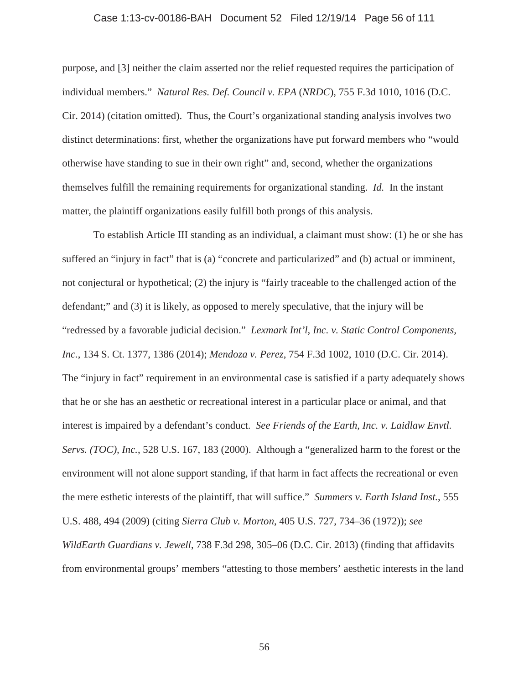### Case 1:13-cv-00186-BAH Document 52 Filed 12/19/14 Page 56 of 111

purpose, and [3] neither the claim asserted nor the relief requested requires the participation of individual members." *Natural Res. Def. Council v. EPA* (*NRDC*), 755 F.3d 1010, 1016 (D.C. Cir. 2014) (citation omitted). Thus, the Court's organizational standing analysis involves two distinct determinations: first, whether the organizations have put forward members who "would otherwise have standing to sue in their own right" and, second, whether the organizations themselves fulfill the remaining requirements for organizational standing. *Id.* In the instant matter, the plaintiff organizations easily fulfill both prongs of this analysis.

To establish Article III standing as an individual, a claimant must show: (1) he or she has suffered an "injury in fact" that is (a) "concrete and particularized" and (b) actual or imminent, not conjectural or hypothetical; (2) the injury is "fairly traceable to the challenged action of the defendant;" and (3) it is likely, as opposed to merely speculative, that the injury will be "redressed by a favorable judicial decision." *Lexmark Int'l, Inc. v. Static Control Components, Inc.*, 134 S. Ct. 1377, 1386 (2014); *Mendoza v. Perez*, 754 F.3d 1002, 1010 (D.C. Cir. 2014). The "injury in fact" requirement in an environmental case is satisfied if a party adequately shows that he or she has an aesthetic or recreational interest in a particular place or animal, and that interest is impaired by a defendant's conduct. *See Friends of the Earth, Inc. v. Laidlaw Envtl. Servs. (TOC), Inc.*, 528 U.S. 167, 183 (2000). Although a "generalized harm to the forest or the environment will not alone support standing, if that harm in fact affects the recreational or even the mere esthetic interests of the plaintiff, that will suffice." *Summers v. Earth Island Inst.*, 555 U.S. 488, 494 (2009) (citing *Sierra Club v. Morton*, 405 U.S. 727, 734–36 (1972)); *see WildEarth Guardians v. Jewell*, 738 F.3d 298, 305–06 (D.C. Cir. 2013) (finding that affidavits from environmental groups' members "attesting to those members' aesthetic interests in the land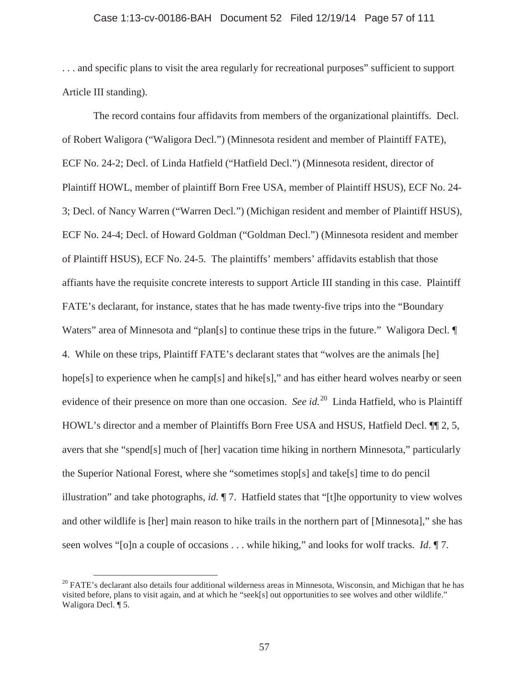## Case 1:13-cv-00186-BAH Document 52 Filed 12/19/14 Page 57 of 111

. . . and specific plans to visit the area regularly for recreational purposes" sufficient to support Article III standing).

The record contains four affidavits from members of the organizational plaintiffs. Decl. of Robert Waligora ("Waligora Decl.") (Minnesota resident and member of Plaintiff FATE), ECF No. 24-2; Decl. of Linda Hatfield ("Hatfield Decl.") (Minnesota resident, director of Plaintiff HOWL, member of plaintiff Born Free USA, member of Plaintiff HSUS), ECF No. 24- 3; Decl. of Nancy Warren ("Warren Decl.") (Michigan resident and member of Plaintiff HSUS), ECF No. 24-4; Decl. of Howard Goldman ("Goldman Decl.") (Minnesota resident and member of Plaintiff HSUS), ECF No. 24-5. The plaintiffs' members' affidavits establish that those affiants have the requisite concrete interests to support Article III standing in this case. Plaintiff FATE's declarant, for instance, states that he has made twenty-five trips into the "Boundary Waters" area of Minnesota and "plan[s] to continue these trips in the future." Waligora Decl.  $\P$ 4. While on these trips, Plaintiff FATE's declarant states that "wolves are the animals [he] hope[s] to experience when he camp[s] and hike[s]," and has either heard wolves nearby or seen evidence of their presence on more than one occasion. *See id.*<sup>20</sup> Linda Hatfield, who is Plaintiff HOWL's director and a member of Plaintiffs Born Free USA and HSUS, Hatfield Decl. ¶¶ 2, 5, avers that she "spend[s] much of [her] vacation time hiking in northern Minnesota," particularly the Superior National Forest, where she "sometimes stop[s] and take[s] time to do pencil illustration" and take photographs, *id.* ¶ 7. Hatfield states that "[t]he opportunity to view wolves and other wildlife is [her] main reason to hike trails in the northern part of [Minnesota]," she has seen wolves "[o]n a couple of occasions . . . while hiking," and looks for wolf tracks. *Id*. ¶ 7.

 $20$  FATE's declarant also details four additional wilderness areas in Minnesota, Wisconsin, and Michigan that he has visited before, plans to visit again, and at which he "seek[s] out opportunities to see wolves and other wildlife." Waligora Decl. ¶ 5.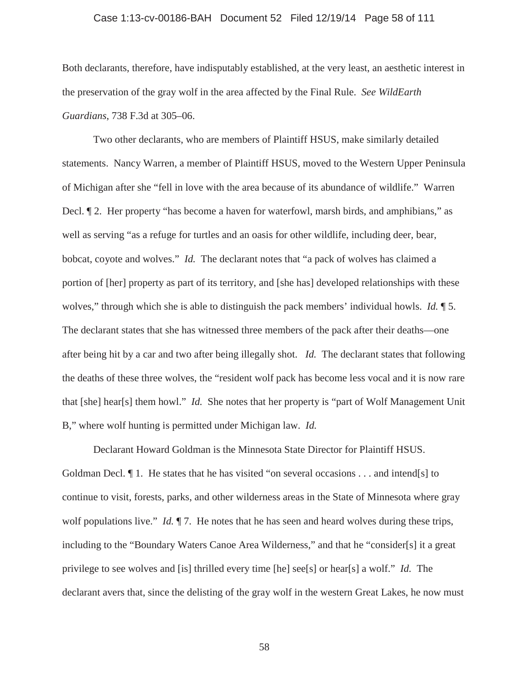### Case 1:13-cv-00186-BAH Document 52 Filed 12/19/14 Page 58 of 111

Both declarants, therefore, have indisputably established, at the very least, an aesthetic interest in the preservation of the gray wolf in the area affected by the Final Rule. *See WildEarth Guardians*, 738 F.3d at 305–06.

Two other declarants, who are members of Plaintiff HSUS, make similarly detailed statements. Nancy Warren, a member of Plaintiff HSUS, moved to the Western Upper Peninsula of Michigan after she "fell in love with the area because of its abundance of wildlife." Warren Decl. ¶ 2. Her property "has become a haven for waterfowl, marsh birds, and amphibians," as well as serving "as a refuge for turtles and an oasis for other wildlife, including deer, bear, bobcat, coyote and wolves." *Id.* The declarant notes that "a pack of wolves has claimed a portion of [her] property as part of its territory, and [she has] developed relationships with these wolves," through which she is able to distinguish the pack members' individual howls. *Id.* ¶ 5. The declarant states that she has witnessed three members of the pack after their deaths—one after being hit by a car and two after being illegally shot. *Id.* The declarant states that following the deaths of these three wolves, the "resident wolf pack has become less vocal and it is now rare that [she] hear[s] them howl." *Id.* She notes that her property is "part of Wolf Management Unit B," where wolf hunting is permitted under Michigan law. *Id.*

Declarant Howard Goldman is the Minnesota State Director for Plaintiff HSUS. Goldman Decl.  $\llbracket$  1. He states that he has visited "on several occasions . . . and intend[s] to continue to visit, forests, parks, and other wilderness areas in the State of Minnesota where gray wolf populations live." *Id.*  $\P$  7. He notes that he has seen and heard wolves during these trips, including to the "Boundary Waters Canoe Area Wilderness," and that he "consider[s] it a great privilege to see wolves and [is] thrilled every time [he] see[s] or hear[s] a wolf." *Id.* The declarant avers that, since the delisting of the gray wolf in the western Great Lakes, he now must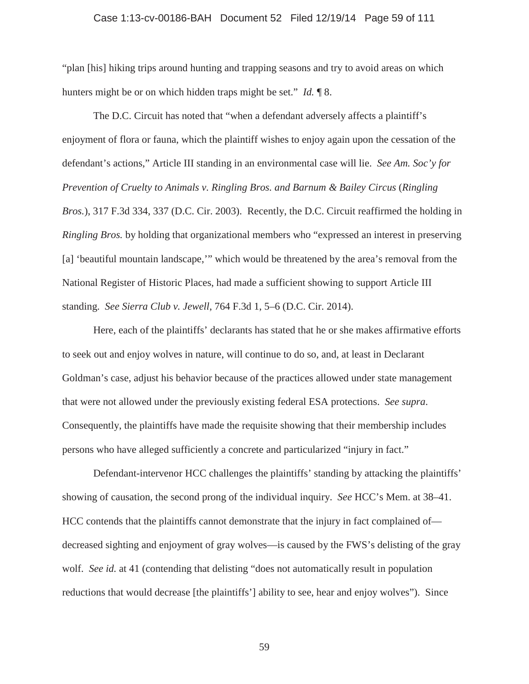#### Case 1:13-cv-00186-BAH Document 52 Filed 12/19/14 Page 59 of 111

"plan [his] hiking trips around hunting and trapping seasons and try to avoid areas on which hunters might be or on which hidden traps might be set." *Id.* ¶ 8.

The D.C. Circuit has noted that "when a defendant adversely affects a plaintiff's enjoyment of flora or fauna, which the plaintiff wishes to enjoy again upon the cessation of the defendant's actions," Article III standing in an environmental case will lie. *See Am. Soc'y for Prevention of Cruelty to Animals v. Ringling Bros. and Barnum & Bailey Circus* (*Ringling Bros.*), 317 F.3d 334, 337 (D.C. Cir. 2003). Recently, the D.C. Circuit reaffirmed the holding in *Ringling Bros.* by holding that organizational members who "expressed an interest in preserving [a] 'beautiful mountain landscape,'" which would be threatened by the area's removal from the National Register of Historic Places, had made a sufficient showing to support Article III standing. *See Sierra Club v. Jewell*, 764 F.3d 1, 5–6 (D.C. Cir. 2014).

Here, each of the plaintiffs' declarants has stated that he or she makes affirmative efforts to seek out and enjoy wolves in nature, will continue to do so, and, at least in Declarant Goldman's case, adjust his behavior because of the practices allowed under state management that were not allowed under the previously existing federal ESA protections. *See supra*. Consequently, the plaintiffs have made the requisite showing that their membership includes persons who have alleged sufficiently a concrete and particularized "injury in fact."

Defendant-intervenor HCC challenges the plaintiffs' standing by attacking the plaintiffs' showing of causation, the second prong of the individual inquiry. *See* HCC's Mem. at 38–41. HCC contends that the plaintiffs cannot demonstrate that the injury in fact complained of decreased sighting and enjoyment of gray wolves—is caused by the FWS's delisting of the gray wolf. *See id.* at 41 (contending that delisting "does not automatically result in population reductions that would decrease [the plaintiffs'] ability to see, hear and enjoy wolves"). Since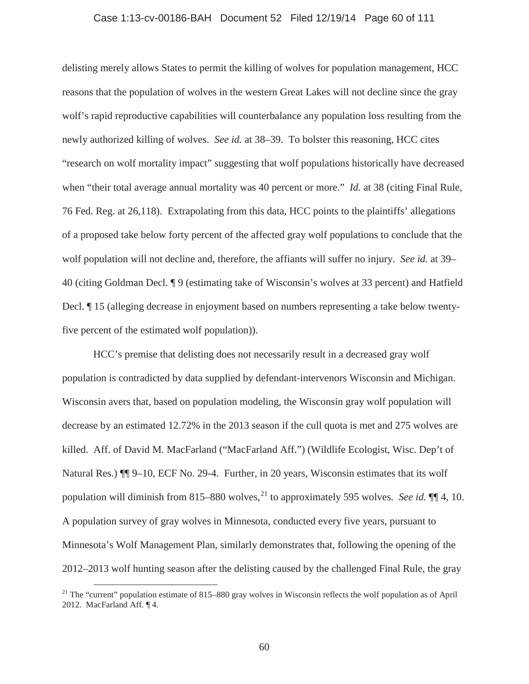### Case 1:13-cv-00186-BAH Document 52 Filed 12/19/14 Page 60 of 111

delisting merely allows States to permit the killing of wolves for population management, HCC reasons that the population of wolves in the western Great Lakes will not decline since the gray wolf's rapid reproductive capabilities will counterbalance any population loss resulting from the newly authorized killing of wolves. *See id.* at 38–39. To bolster this reasoning, HCC cites "research on wolf mortality impact" suggesting that wolf populations historically have decreased when "their total average annual mortality was 40 percent or more." *Id.* at 38 (citing Final Rule, 76 Fed. Reg. at 26,118). Extrapolating from this data, HCC points to the plaintiffs' allegations of a proposed take below forty percent of the affected gray wolf populations to conclude that the wolf population will not decline and, therefore, the affiants will suffer no injury. *See id.* at 39– 40 (citing Goldman Decl. ¶ 9 (estimating take of Wisconsin's wolves at 33 percent) and Hatfield Decl. ¶ 15 (alleging decrease in enjoyment based on numbers representing a take below twentyfive percent of the estimated wolf population)).

HCC's premise that delisting does not necessarily result in a decreased gray wolf population is contradicted by data supplied by defendant-intervenors Wisconsin and Michigan. Wisconsin avers that, based on population modeling, the Wisconsin gray wolf population will decrease by an estimated 12.72% in the 2013 season if the cull quota is met and 275 wolves are killed. Aff. of David M. MacFarland ("MacFarland Aff.") (Wildlife Ecologist, Wisc. Dep't of Natural Res.)  $\P\P$  9–10, ECF No. 29-4. Further, in 20 years, Wisconsin estimates that its wolf population will diminish from 815–880 wolves,<sup>21</sup> to approximately 595 wolves. *See id.* ¶¶ 4, 10. A population survey of gray wolves in Minnesota, conducted every five years, pursuant to Minnesota's Wolf Management Plan, similarly demonstrates that, following the opening of the 2012–2013 wolf hunting season after the delisting caused by the challenged Final Rule, the gray

<sup>&</sup>lt;sup>21</sup> The "current" population estimate of 815–880 gray wolves in Wisconsin reflects the wolf population as of April 2012. MacFarland Aff. ¶ 4.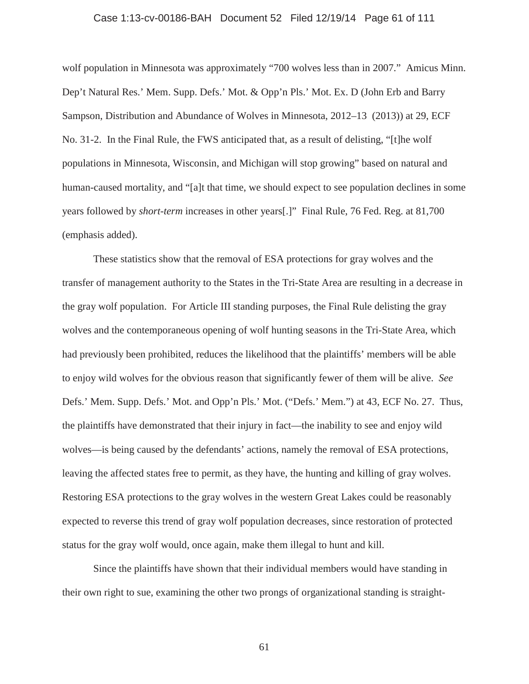### Case 1:13-cv-00186-BAH Document 52 Filed 12/19/14 Page 61 of 111

wolf population in Minnesota was approximately "700 wolves less than in 2007." Amicus Minn. Dep't Natural Res.' Mem. Supp. Defs.' Mot. & Opp'n Pls.' Mot. Ex. D (John Erb and Barry Sampson, Distribution and Abundance of Wolves in Minnesota, 2012–13 (2013)) at 29, ECF No. 31-2. In the Final Rule, the FWS anticipated that, as a result of delisting, "[t]he wolf populations in Minnesota, Wisconsin, and Michigan will stop growing" based on natural and human-caused mortality, and "[a]t that time, we should expect to see population declines in some years followed by *short-term* increases in other years[.]" Final Rule, 76 Fed. Reg. at 81,700 (emphasis added).

These statistics show that the removal of ESA protections for gray wolves and the transfer of management authority to the States in the Tri-State Area are resulting in a decrease in the gray wolf population. For Article III standing purposes, the Final Rule delisting the gray wolves and the contemporaneous opening of wolf hunting seasons in the Tri-State Area, which had previously been prohibited, reduces the likelihood that the plaintiffs' members will be able to enjoy wild wolves for the obvious reason that significantly fewer of them will be alive. *See*  Defs.' Mem. Supp. Defs.' Mot. and Opp'n Pls.' Mot. ("Defs.' Mem.") at 43, ECF No. 27. Thus, the plaintiffs have demonstrated that their injury in fact—the inability to see and enjoy wild wolves—is being caused by the defendants' actions, namely the removal of ESA protections, leaving the affected states free to permit, as they have, the hunting and killing of gray wolves. Restoring ESA protections to the gray wolves in the western Great Lakes could be reasonably expected to reverse this trend of gray wolf population decreases, since restoration of protected status for the gray wolf would, once again, make them illegal to hunt and kill.

Since the plaintiffs have shown that their individual members would have standing in their own right to sue, examining the other two prongs of organizational standing is straight-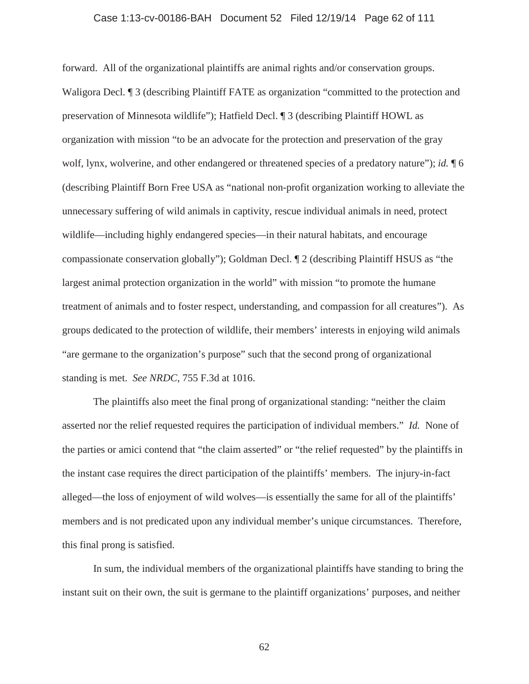## Case 1:13-cv-00186-BAH Document 52 Filed 12/19/14 Page 62 of 111

forward. All of the organizational plaintiffs are animal rights and/or conservation groups. Waligora Decl. <sup>¶</sup> 3 (describing Plaintiff FATE as organization "committed to the protection and preservation of Minnesota wildlife"); Hatfield Decl. ¶ 3 (describing Plaintiff HOWL as organization with mission "to be an advocate for the protection and preservation of the gray wolf, lynx, wolverine, and other endangered or threatened species of a predatory nature"); *id.* ¶ 6 (describing Plaintiff Born Free USA as "national non-profit organization working to alleviate the unnecessary suffering of wild animals in captivity, rescue individual animals in need, protect wildlife—including highly endangered species—in their natural habitats, and encourage compassionate conservation globally"); Goldman Decl. ¶ 2 (describing Plaintiff HSUS as "the largest animal protection organization in the world" with mission "to promote the humane treatment of animals and to foster respect, understanding, and compassion for all creatures"). As groups dedicated to the protection of wildlife, their members' interests in enjoying wild animals "are germane to the organization's purpose" such that the second prong of organizational standing is met. *See NRDC*, 755 F.3d at 1016.

The plaintiffs also meet the final prong of organizational standing: "neither the claim asserted nor the relief requested requires the participation of individual members." *Id.* None of the parties or amici contend that "the claim asserted" or "the relief requested" by the plaintiffs in the instant case requires the direct participation of the plaintiffs' members. The injury-in-fact alleged—the loss of enjoyment of wild wolves—is essentially the same for all of the plaintiffs' members and is not predicated upon any individual member's unique circumstances. Therefore, this final prong is satisfied.

In sum, the individual members of the organizational plaintiffs have standing to bring the instant suit on their own, the suit is germane to the plaintiff organizations' purposes, and neither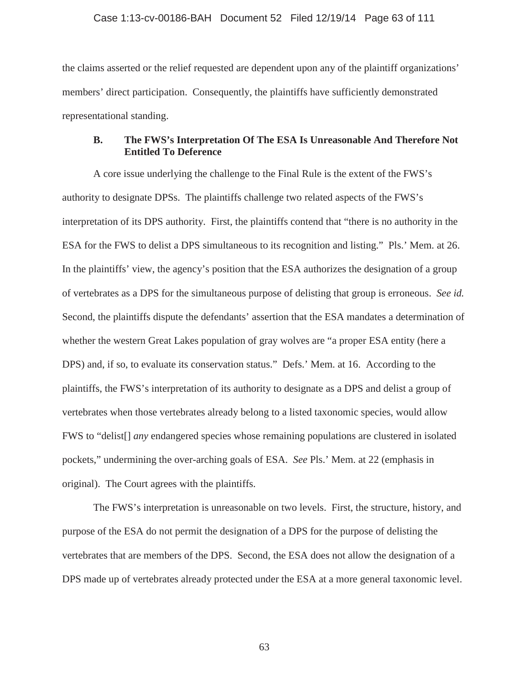the claims asserted or the relief requested are dependent upon any of the plaintiff organizations' members' direct participation. Consequently, the plaintiffs have sufficiently demonstrated representational standing.

# **B. The FWS's Interpretation Of The ESA Is Unreasonable And Therefore Not Entitled To Deference**

A core issue underlying the challenge to the Final Rule is the extent of the FWS's authority to designate DPSs. The plaintiffs challenge two related aspects of the FWS's interpretation of its DPS authority. First, the plaintiffs contend that "there is no authority in the ESA for the FWS to delist a DPS simultaneous to its recognition and listing." Pls.' Mem. at 26. In the plaintiffs' view, the agency's position that the ESA authorizes the designation of a group of vertebrates as a DPS for the simultaneous purpose of delisting that group is erroneous. *See id.* Second, the plaintiffs dispute the defendants' assertion that the ESA mandates a determination of whether the western Great Lakes population of gray wolves are "a proper ESA entity (here a DPS) and, if so, to evaluate its conservation status." Defs.' Mem. at 16. According to the plaintiffs, the FWS's interpretation of its authority to designate as a DPS and delist a group of vertebrates when those vertebrates already belong to a listed taxonomic species, would allow FWS to "delist[] *any* endangered species whose remaining populations are clustered in isolated pockets," undermining the over-arching goals of ESA. *See* Pls.' Mem. at 22 (emphasis in original). The Court agrees with the plaintiffs.

The FWS's interpretation is unreasonable on two levels. First, the structure, history, and purpose of the ESA do not permit the designation of a DPS for the purpose of delisting the vertebrates that are members of the DPS. Second, the ESA does not allow the designation of a DPS made up of vertebrates already protected under the ESA at a more general taxonomic level.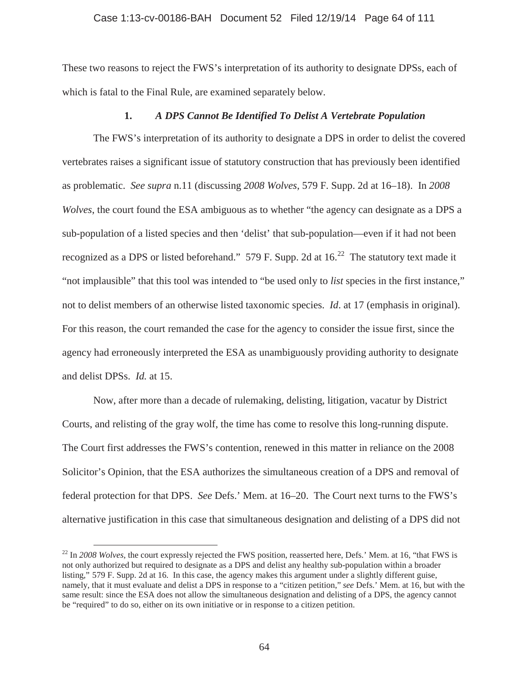## Case 1:13-cv-00186-BAH Document 52 Filed 12/19/14 Page 64 of 111

These two reasons to reject the FWS's interpretation of its authority to designate DPSs, each of which is fatal to the Final Rule, are examined separately below.

## **1.** *A DPS Cannot Be Identified To Delist A Vertebrate Population*

The FWS's interpretation of its authority to designate a DPS in order to delist the covered vertebrates raises a significant issue of statutory construction that has previously been identified as problematic. *See supra* n.11 (discussing *2008 Wolves*, 579 F. Supp. 2d at 16–18). In *2008 Wolves*, the court found the ESA ambiguous as to whether "the agency can designate as a DPS a sub-population of a listed species and then 'delist' that sub-population—even if it had not been recognized as a DPS or listed beforehand." 579 F. Supp. 2d at  $16<sup>22</sup>$  The statutory text made it "not implausible" that this tool was intended to "be used only to *list* species in the first instance," not to delist members of an otherwise listed taxonomic species. *Id*. at 17 (emphasis in original). For this reason, the court remanded the case for the agency to consider the issue first, since the agency had erroneously interpreted the ESA as unambiguously providing authority to designate and delist DPSs. *Id.* at 15.

Now, after more than a decade of rulemaking, delisting, litigation, vacatur by District Courts, and relisting of the gray wolf, the time has come to resolve this long-running dispute. The Court first addresses the FWS's contention, renewed in this matter in reliance on the 2008 Solicitor's Opinion, that the ESA authorizes the simultaneous creation of a DPS and removal of federal protection for that DPS. *See* Defs.' Mem. at 16–20. The Court next turns to the FWS's alternative justification in this case that simultaneous designation and delisting of a DPS did not

<sup>&</sup>lt;sup>22</sup> In 2008 Wolves, the court expressly rejected the FWS position, reasserted here, Defs.' Mem. at 16, "that FWS is not only authorized but required to designate as a DPS and delist any healthy sub-population within a broader listing," 579 F. Supp. 2d at 16. In this case, the agency makes this argument under a slightly different guise, namely, that it must evaluate and delist a DPS in response to a "citizen petition," *see* Defs.' Mem. at 16, but with the same result: since the ESA does not allow the simultaneous designation and delisting of a DPS, the agency cannot be "required" to do so, either on its own initiative or in response to a citizen petition.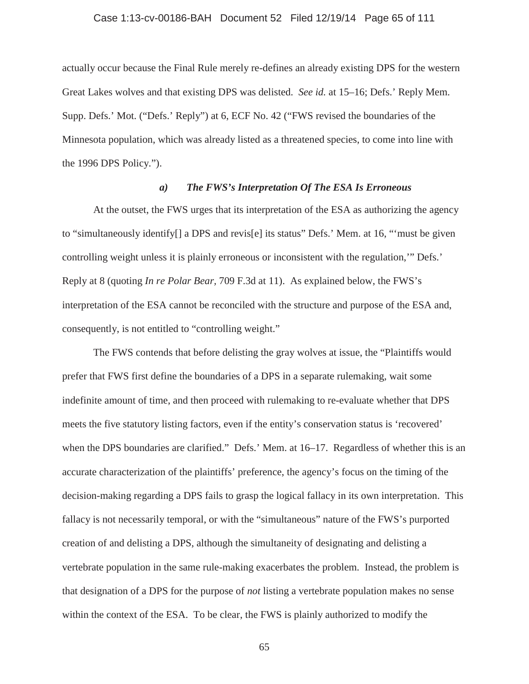## Case 1:13-cv-00186-BAH Document 52 Filed 12/19/14 Page 65 of 111

actually occur because the Final Rule merely re-defines an already existing DPS for the western Great Lakes wolves and that existing DPS was delisted. *See id.* at 15–16; Defs.' Reply Mem. Supp. Defs.' Mot. ("Defs.' Reply") at 6, ECF No. 42 ("FWS revised the boundaries of the Minnesota population, which was already listed as a threatened species, to come into line with the 1996 DPS Policy.").

## *a) The FWS's Interpretation Of The ESA Is Erroneous*

At the outset, the FWS urges that its interpretation of the ESA as authorizing the agency to "simultaneously identify[] a DPS and revis[e] its status" Defs.' Mem. at 16, "'must be given controlling weight unless it is plainly erroneous or inconsistent with the regulation,'" Defs.' Reply at 8 (quoting *In re Polar Bear,* 709 F.3d at 11). As explained below, the FWS's interpretation of the ESA cannot be reconciled with the structure and purpose of the ESA and, consequently, is not entitled to "controlling weight."

The FWS contends that before delisting the gray wolves at issue, the "Plaintiffs would prefer that FWS first define the boundaries of a DPS in a separate rulemaking, wait some indefinite amount of time, and then proceed with rulemaking to re-evaluate whether that DPS meets the five statutory listing factors, even if the entity's conservation status is 'recovered' when the DPS boundaries are clarified." Defs.' Mem. at 16–17. Regardless of whether this is an accurate characterization of the plaintiffs' preference, the agency's focus on the timing of the decision-making regarding a DPS fails to grasp the logical fallacy in its own interpretation. This fallacy is not necessarily temporal, or with the "simultaneous" nature of the FWS's purported creation of and delisting a DPS, although the simultaneity of designating and delisting a vertebrate population in the same rule-making exacerbates the problem. Instead, the problem is that designation of a DPS for the purpose of *not* listing a vertebrate population makes no sense within the context of the ESA. To be clear, the FWS is plainly authorized to modify the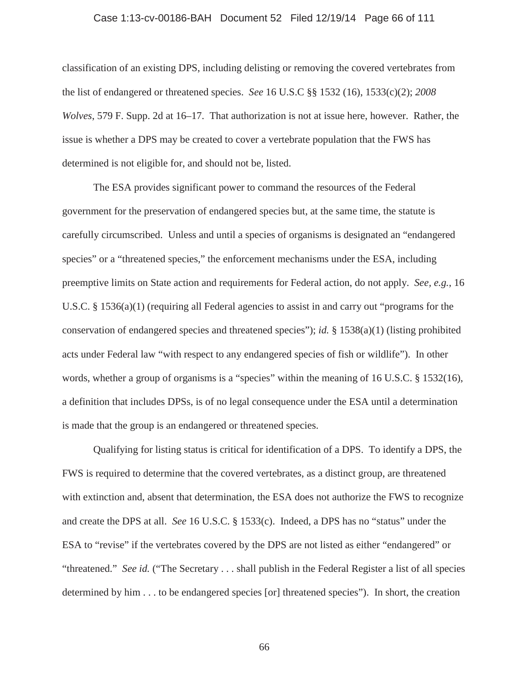#### Case 1:13-cv-00186-BAH Document 52 Filed 12/19/14 Page 66 of 111

classification of an existing DPS, including delisting or removing the covered vertebrates from the list of endangered or threatened species. *See* 16 U.S.C §§ 1532 (16), 1533(c)(2); *2008 Wolves*, 579 F. Supp. 2d at 16–17. That authorization is not at issue here, however. Rather, the issue is whether a DPS may be created to cover a vertebrate population that the FWS has determined is not eligible for, and should not be, listed.

The ESA provides significant power to command the resources of the Federal government for the preservation of endangered species but, at the same time, the statute is carefully circumscribed. Unless and until a species of organisms is designated an "endangered species" or a "threatened species," the enforcement mechanisms under the ESA, including preemptive limits on State action and requirements for Federal action, do not apply. *See, e.g.*, 16 U.S.C. § 1536(a)(1) (requiring all Federal agencies to assist in and carry out "programs for the conservation of endangered species and threatened species"); *id.* § 1538(a)(1) (listing prohibited acts under Federal law "with respect to any endangered species of fish or wildlife"). In other words, whether a group of organisms is a "species" within the meaning of 16 U.S.C. § 1532(16), a definition that includes DPSs, is of no legal consequence under the ESA until a determination is made that the group is an endangered or threatened species.

Qualifying for listing status is critical for identification of a DPS. To identify a DPS, the FWS is required to determine that the covered vertebrates, as a distinct group, are threatened with extinction and, absent that determination, the ESA does not authorize the FWS to recognize and create the DPS at all. *See* 16 U.S.C. § 1533(c). Indeed, a DPS has no "status" under the ESA to "revise" if the vertebrates covered by the DPS are not listed as either "endangered" or "threatened." *See id.* ("The Secretary . . . shall publish in the Federal Register a list of all species determined by him . . . to be endangered species [or] threatened species"). In short, the creation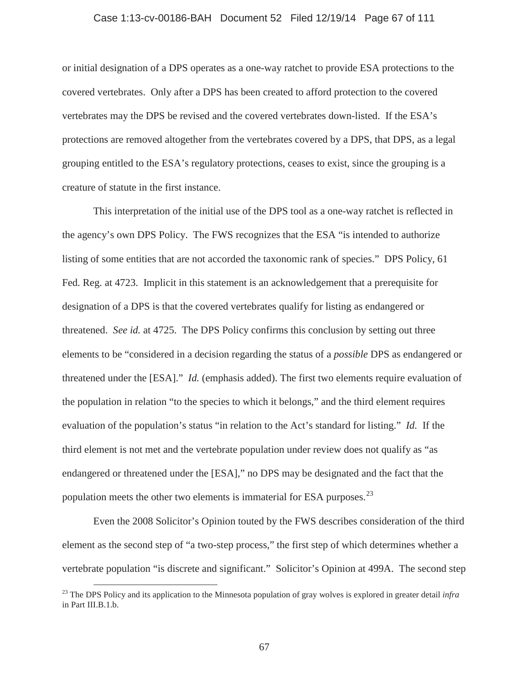## Case 1:13-cv-00186-BAH Document 52 Filed 12/19/14 Page 67 of 111

or initial designation of a DPS operates as a one-way ratchet to provide ESA protections to the covered vertebrates. Only after a DPS has been created to afford protection to the covered vertebrates may the DPS be revised and the covered vertebrates down-listed. If the ESA's protections are removed altogether from the vertebrates covered by a DPS, that DPS, as a legal grouping entitled to the ESA's regulatory protections, ceases to exist, since the grouping is a creature of statute in the first instance.

This interpretation of the initial use of the DPS tool as a one-way ratchet is reflected in the agency's own DPS Policy. The FWS recognizes that the ESA "is intended to authorize listing of some entities that are not accorded the taxonomic rank of species." DPS Policy, 61 Fed. Reg. at 4723. Implicit in this statement is an acknowledgement that a prerequisite for designation of a DPS is that the covered vertebrates qualify for listing as endangered or threatened. *See id.* at 4725. The DPS Policy confirms this conclusion by setting out three elements to be "considered in a decision regarding the status of a *possible* DPS as endangered or threatened under the [ESA]." *Id.* (emphasis added). The first two elements require evaluation of the population in relation "to the species to which it belongs," and the third element requires evaluation of the population's status "in relation to the Act's standard for listing." *Id.* If the third element is not met and the vertebrate population under review does not qualify as "as endangered or threatened under the [ESA]," no DPS may be designated and the fact that the population meets the other two elements is immaterial for ESA purposes.  $^{23}$ 

Even the 2008 Solicitor's Opinion touted by the FWS describes consideration of the third element as the second step of "a two-step process," the first step of which determines whether a vertebrate population "is discrete and significant." Solicitor's Opinion at 499A. The second step

<sup>23</sup> The DPS Policy and its application to the Minnesota population of gray wolves is explored in greater detail *infra*  in Part III.B.1.b.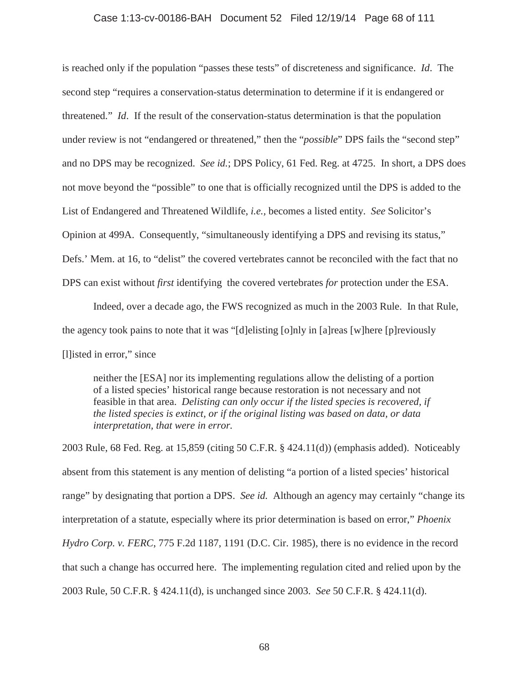## Case 1:13-cv-00186-BAH Document 52 Filed 12/19/14 Page 68 of 111

is reached only if the population "passes these tests" of discreteness and significance. *Id*. The second step "requires a conservation-status determination to determine if it is endangered or threatened." *Id*. If the result of the conservation-status determination is that the population under review is not "endangered or threatened," then the "*possible*" DPS fails the "second step" and no DPS may be recognized. *See id.*; DPS Policy, 61 Fed. Reg. at 4725. In short, a DPS does not move beyond the "possible" to one that is officially recognized until the DPS is added to the List of Endangered and Threatened Wildlife, *i.e.,* becomes a listed entity. *See* Solicitor's Opinion at 499A. Consequently, "simultaneously identifying a DPS and revising its status," Defs.' Mem. at 16, to "delist" the covered vertebrates cannot be reconciled with the fact that no DPS can exist without *first* identifying the covered vertebrates *for* protection under the ESA.

Indeed, over a decade ago, the FWS recognized as much in the 2003 Rule. In that Rule, the agency took pains to note that it was "[d]elisting [o]nly in [a]reas [w]here [p]reviously [l]isted in error," since

neither the [ESA] nor its implementing regulations allow the delisting of a portion of a listed species' historical range because restoration is not necessary and not feasible in that area. *Delisting can only occur if the listed species is recovered, if the listed species is extinct, or if the original listing was based on data, or data interpretation, that were in error.*

2003 Rule, 68 Fed. Reg. at 15,859 (citing 50 C.F.R. § 424.11(d)) (emphasis added). Noticeably absent from this statement is any mention of delisting "a portion of a listed species' historical range" by designating that portion a DPS. *See id.* Although an agency may certainly "change its interpretation of a statute, especially where its prior determination is based on error," *Phoenix Hydro Corp. v. FERC*, 775 F.2d 1187, 1191 (D.C. Cir. 1985), there is no evidence in the record that such a change has occurred here. The implementing regulation cited and relied upon by the 2003 Rule, 50 C.F.R. § 424.11(d), is unchanged since 2003. *See* 50 C.F.R. § 424.11(d).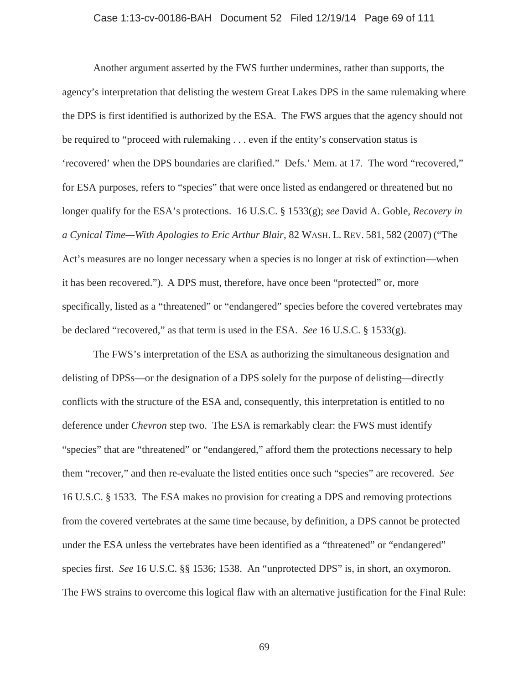## Case 1:13-cv-00186-BAH Document 52 Filed 12/19/14 Page 69 of 111

Another argument asserted by the FWS further undermines, rather than supports, the agency's interpretation that delisting the western Great Lakes DPS in the same rulemaking where the DPS is first identified is authorized by the ESA. The FWS argues that the agency should not be required to "proceed with rulemaking . . . even if the entity's conservation status is 'recovered' when the DPS boundaries are clarified." Defs.' Mem. at 17. The word "recovered," for ESA purposes, refers to "species" that were once listed as endangered or threatened but no longer qualify for the ESA's protections. 16 U.S.C. § 1533(g); *see* David A. Goble, *Recovery in a Cynical Time—With Apologies to Eric Arthur Blair*, 82 WASH. L. REV. 581, 582 (2007) ("The Act's measures are no longer necessary when a species is no longer at risk of extinction—when it has been recovered."). A DPS must, therefore, have once been "protected" or, more specifically, listed as a "threatened" or "endangered" species before the covered vertebrates may be declared "recovered," as that term is used in the ESA. *See* 16 U.S.C. § 1533(g).

The FWS's interpretation of the ESA as authorizing the simultaneous designation and delisting of DPSs—or the designation of a DPS solely for the purpose of delisting—directly conflicts with the structure of the ESA and, consequently, this interpretation is entitled to no deference under *Chevron* step two. The ESA is remarkably clear: the FWS must identify "species" that are "threatened" or "endangered," afford them the protections necessary to help them "recover," and then re-evaluate the listed entities once such "species" are recovered. *See*  16 U.S.C. § 1533. The ESA makes no provision for creating a DPS and removing protections from the covered vertebrates at the same time because, by definition, a DPS cannot be protected under the ESA unless the vertebrates have been identified as a "threatened" or "endangered" species first. *See* 16 U.S.C. §§ 1536; 1538. An "unprotected DPS" is, in short, an oxymoron. The FWS strains to overcome this logical flaw with an alternative justification for the Final Rule: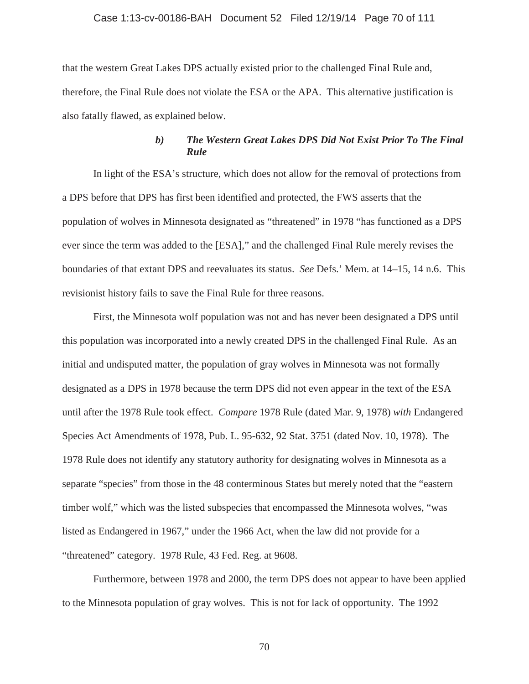### Case 1:13-cv-00186-BAH Document 52 Filed 12/19/14 Page 70 of 111

that the western Great Lakes DPS actually existed prior to the challenged Final Rule and, therefore, the Final Rule does not violate the ESA or the APA. This alternative justification is also fatally flawed, as explained below.

# *b) The Western Great Lakes DPS Did Not Exist Prior To The Final Rule*

In light of the ESA's structure, which does not allow for the removal of protections from a DPS before that DPS has first been identified and protected, the FWS asserts that the population of wolves in Minnesota designated as "threatened" in 1978 "has functioned as a DPS ever since the term was added to the [ESA]," and the challenged Final Rule merely revises the boundaries of that extant DPS and reevaluates its status. *See* Defs.' Mem. at 14–15, 14 n.6. This revisionist history fails to save the Final Rule for three reasons.

First, the Minnesota wolf population was not and has never been designated a DPS until this population was incorporated into a newly created DPS in the challenged Final Rule. As an initial and undisputed matter, the population of gray wolves in Minnesota was not formally designated as a DPS in 1978 because the term DPS did not even appear in the text of the ESA until after the 1978 Rule took effect. *Compare* 1978 Rule (dated Mar. 9, 1978) *with* Endangered Species Act Amendments of 1978, Pub. L. 95-632, 92 Stat. 3751 (dated Nov. 10, 1978). The 1978 Rule does not identify any statutory authority for designating wolves in Minnesota as a separate "species" from those in the 48 conterminous States but merely noted that the "eastern timber wolf," which was the listed subspecies that encompassed the Minnesota wolves, "was listed as Endangered in 1967," under the 1966 Act, when the law did not provide for a "threatened" category. 1978 Rule, 43 Fed. Reg. at 9608.

Furthermore, between 1978 and 2000, the term DPS does not appear to have been applied to the Minnesota population of gray wolves. This is not for lack of opportunity. The 1992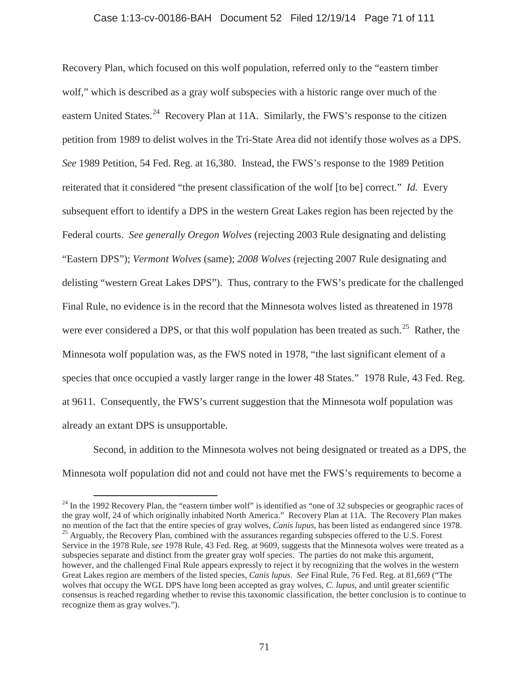### Case 1:13-cv-00186-BAH Document 52 Filed 12/19/14 Page 71 of 111

Recovery Plan, which focused on this wolf population, referred only to the "eastern timber wolf," which is described as a gray wolf subspecies with a historic range over much of the eastern United States.<sup>24</sup> Recovery Plan at 11A. Similarly, the FWS's response to the citizen petition from 1989 to delist wolves in the Tri-State Area did not identify those wolves as a DPS. *See* 1989 Petition, 54 Fed. Reg. at 16,380. Instead, the FWS's response to the 1989 Petition reiterated that it considered "the present classification of the wolf [to be] correct." *Id.* Every subsequent effort to identify a DPS in the western Great Lakes region has been rejected by the Federal courts. *See generally Oregon Wolves* (rejecting 2003 Rule designating and delisting "Eastern DPS"); *Vermont Wolves* (same); *2008 Wolves* (rejecting 2007 Rule designating and delisting "western Great Lakes DPS"). Thus, contrary to the FWS's predicate for the challenged Final Rule, no evidence is in the record that the Minnesota wolves listed as threatened in 1978 were ever considered a DPS, or that this wolf population has been treated as such.<sup>25</sup> Rather, the Minnesota wolf population was, as the FWS noted in 1978, "the last significant element of a species that once occupied a vastly larger range in the lower 48 States." 1978 Rule, 43 Fed. Reg. at 9611. Consequently, the FWS's current suggestion that the Minnesota wolf population was already an extant DPS is unsupportable.

Second, in addition to the Minnesota wolves not being designated or treated as a DPS, the Minnesota wolf population did not and could not have met the FWS's requirements to become a

 $^{24}$  In the 1992 Recovery Plan, the "eastern timber wolf" is identified as "one of 32 subspecies or geographic races of the gray wolf, 24 of which originally inhabited North America." Recovery Plan at 11A. The Recovery Plan makes no mention of the fact that the entire species of gray wolves, *Canis lupus*, has been listed as endangered since 1978.<br><sup>25</sup> Arguably, the Recovery Plan, combined with the assurances regarding subspecies offered to the U.S Service in the 1978 Rule, *see* 1978 Rule, 43 Fed. Reg. at 9609, suggests that the Minnesota wolves were treated as a subspecies separate and distinct from the greater gray wolf species. The parties do not make this argument, however, and the challenged Final Rule appears expressly to reject it by recognizing that the wolves in the western Great Lakes region are members of the listed species, *Canis lupus*. *See* Final Rule, 76 Fed. Reg. at 81,669 ("The wolves that occupy the WGL DPS have long been accepted as gray wolves, *C. lupus*, and until greater scientific consensus is reached regarding whether to revise this taxonomic classification, the better conclusion is to continue to recognize them as gray wolves.").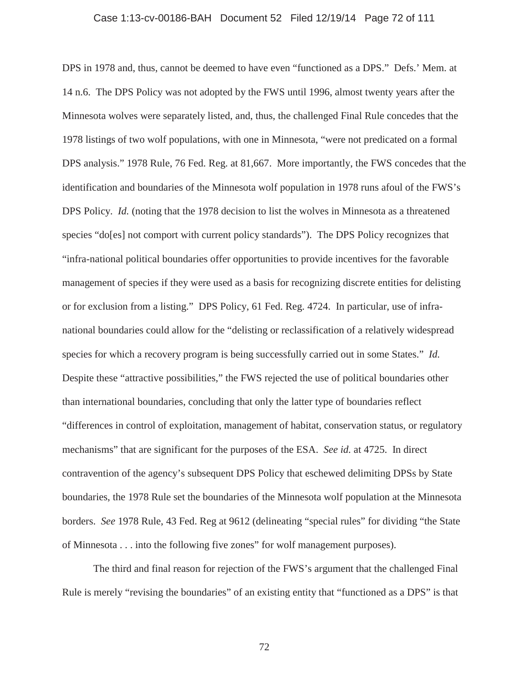### Case 1:13-cv-00186-BAH Document 52 Filed 12/19/14 Page 72 of 111

DPS in 1978 and, thus, cannot be deemed to have even "functioned as a DPS." Defs.' Mem. at 14 n.6. The DPS Policy was not adopted by the FWS until 1996, almost twenty years after the Minnesota wolves were separately listed, and, thus, the challenged Final Rule concedes that the 1978 listings of two wolf populations, with one in Minnesota, "were not predicated on a formal DPS analysis." 1978 Rule, 76 Fed. Reg. at 81,667. More importantly, the FWS concedes that the identification and boundaries of the Minnesota wolf population in 1978 runs afoul of the FWS's DPS Policy. *Id.* (noting that the 1978 decision to list the wolves in Minnesota as a threatened species "do[es] not comport with current policy standards"). The DPS Policy recognizes that "infra-national political boundaries offer opportunities to provide incentives for the favorable management of species if they were used as a basis for recognizing discrete entities for delisting or for exclusion from a listing." DPS Policy, 61 Fed. Reg. 4724. In particular, use of infranational boundaries could allow for the "delisting or reclassification of a relatively widespread species for which a recovery program is being successfully carried out in some States." *Id.* Despite these "attractive possibilities," the FWS rejected the use of political boundaries other than international boundaries, concluding that only the latter type of boundaries reflect "differences in control of exploitation, management of habitat, conservation status, or regulatory mechanisms" that are significant for the purposes of the ESA. *See id.* at 4725. In direct contravention of the agency's subsequent DPS Policy that eschewed delimiting DPSs by State boundaries, the 1978 Rule set the boundaries of the Minnesota wolf population at the Minnesota borders. *See* 1978 Rule, 43 Fed. Reg at 9612 (delineating "special rules" for dividing "the State of Minnesota . . . into the following five zones" for wolf management purposes).

The third and final reason for rejection of the FWS's argument that the challenged Final Rule is merely "revising the boundaries" of an existing entity that "functioned as a DPS" is that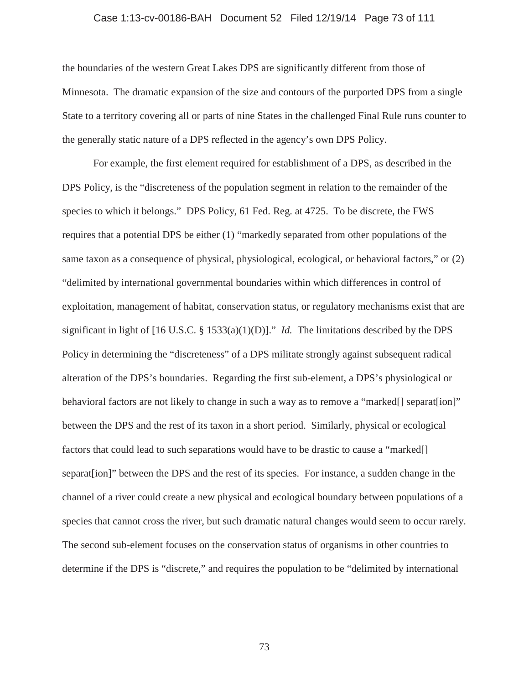# Case 1:13-cv-00186-BAH Document 52 Filed 12/19/14 Page 73 of 111

the boundaries of the western Great Lakes DPS are significantly different from those of Minnesota. The dramatic expansion of the size and contours of the purported DPS from a single State to a territory covering all or parts of nine States in the challenged Final Rule runs counter to the generally static nature of a DPS reflected in the agency's own DPS Policy.

For example, the first element required for establishment of a DPS, as described in the DPS Policy, is the "discreteness of the population segment in relation to the remainder of the species to which it belongs." DPS Policy, 61 Fed. Reg. at 4725. To be discrete, the FWS requires that a potential DPS be either (1) "markedly separated from other populations of the same taxon as a consequence of physical, physiological, ecological, or behavioral factors," or (2) "delimited by international governmental boundaries within which differences in control of exploitation, management of habitat, conservation status, or regulatory mechanisms exist that are significant in light of [16 U.S.C. § 1533(a)(1)(D)]." *Id.* The limitations described by the DPS Policy in determining the "discreteness" of a DPS militate strongly against subsequent radical alteration of the DPS's boundaries. Regarding the first sub-element, a DPS's physiological or behavioral factors are not likely to change in such a way as to remove a "marked[] separat[ion]" between the DPS and the rest of its taxon in a short period. Similarly, physical or ecological factors that could lead to such separations would have to be drastic to cause a "marked" separat[ion]" between the DPS and the rest of its species. For instance, a sudden change in the channel of a river could create a new physical and ecological boundary between populations of a species that cannot cross the river, but such dramatic natural changes would seem to occur rarely. The second sub-element focuses on the conservation status of organisms in other countries to determine if the DPS is "discrete," and requires the population to be "delimited by international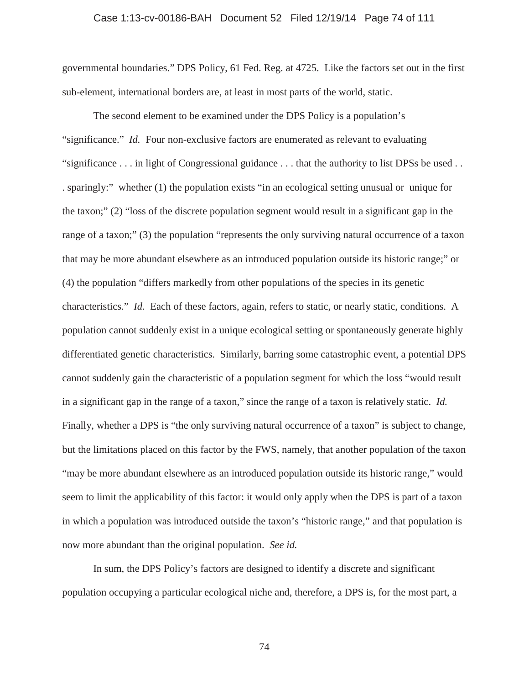# Case 1:13-cv-00186-BAH Document 52 Filed 12/19/14 Page 74 of 111

governmental boundaries." DPS Policy, 61 Fed. Reg. at 4725. Like the factors set out in the first sub-element, international borders are, at least in most parts of the world, static.

The second element to be examined under the DPS Policy is a population's "significance." *Id.* Four non-exclusive factors are enumerated as relevant to evaluating "significance . . . in light of Congressional guidance . . . that the authority to list DPSs be used . . . sparingly:" whether (1) the population exists "in an ecological setting unusual or unique for the taxon;" (2) "loss of the discrete population segment would result in a significant gap in the range of a taxon;" (3) the population "represents the only surviving natural occurrence of a taxon that may be more abundant elsewhere as an introduced population outside its historic range;" or (4) the population "differs markedly from other populations of the species in its genetic characteristics." *Id.* Each of these factors, again, refers to static, or nearly static, conditions. A population cannot suddenly exist in a unique ecological setting or spontaneously generate highly differentiated genetic characteristics. Similarly, barring some catastrophic event, a potential DPS cannot suddenly gain the characteristic of a population segment for which the loss "would result in a significant gap in the range of a taxon," since the range of a taxon is relatively static. *Id.* Finally, whether a DPS is "the only surviving natural occurrence of a taxon" is subject to change, but the limitations placed on this factor by the FWS, namely, that another population of the taxon "may be more abundant elsewhere as an introduced population outside its historic range," would seem to limit the applicability of this factor: it would only apply when the DPS is part of a taxon in which a population was introduced outside the taxon's "historic range," and that population is now more abundant than the original population. *See id.*

In sum, the DPS Policy's factors are designed to identify a discrete and significant population occupying a particular ecological niche and, therefore, a DPS is, for the most part, a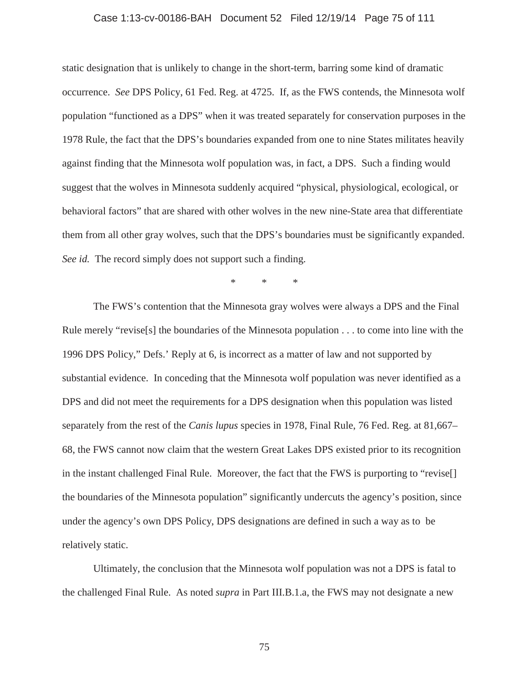# Case 1:13-cv-00186-BAH Document 52 Filed 12/19/14 Page 75 of 111

static designation that is unlikely to change in the short-term, barring some kind of dramatic occurrence. *See* DPS Policy, 61 Fed. Reg. at 4725. If, as the FWS contends, the Minnesota wolf population "functioned as a DPS" when it was treated separately for conservation purposes in the 1978 Rule, the fact that the DPS's boundaries expanded from one to nine States militates heavily against finding that the Minnesota wolf population was, in fact, a DPS. Such a finding would suggest that the wolves in Minnesota suddenly acquired "physical, physiological, ecological, or behavioral factors" that are shared with other wolves in the new nine-State area that differentiate them from all other gray wolves, such that the DPS's boundaries must be significantly expanded. *See id.* The record simply does not support such a finding.

\*\*\*

The FWS's contention that the Minnesota gray wolves were always a DPS and the Final Rule merely "revise[s] the boundaries of the Minnesota population . . . to come into line with the 1996 DPS Policy," Defs.' Reply at 6, is incorrect as a matter of law and not supported by substantial evidence. In conceding that the Minnesota wolf population was never identified as a DPS and did not meet the requirements for a DPS designation when this population was listed separately from the rest of the *Canis lupus* species in 1978, Final Rule, 76 Fed. Reg. at 81,667– 68, the FWS cannot now claim that the western Great Lakes DPS existed prior to its recognition in the instant challenged Final Rule. Moreover, the fact that the FWS is purporting to "revise[] the boundaries of the Minnesota population" significantly undercuts the agency's position, since under the agency's own DPS Policy, DPS designations are defined in such a way as to be relatively static.

Ultimately, the conclusion that the Minnesota wolf population was not a DPS is fatal to the challenged Final Rule. As noted *supra* in Part III.B.1.a, the FWS may not designate a new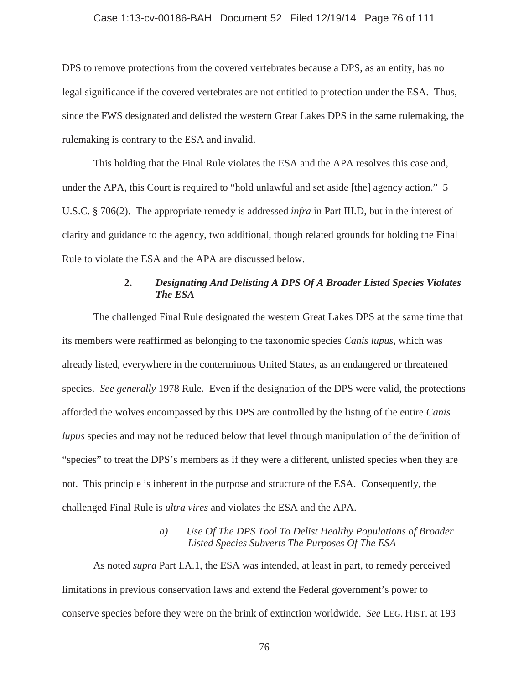# Case 1:13-cv-00186-BAH Document 52 Filed 12/19/14 Page 76 of 111

DPS to remove protections from the covered vertebrates because a DPS, as an entity, has no legal significance if the covered vertebrates are not entitled to protection under the ESA. Thus, since the FWS designated and delisted the western Great Lakes DPS in the same rulemaking, the rulemaking is contrary to the ESA and invalid.

This holding that the Final Rule violates the ESA and the APA resolves this case and, under the APA, this Court is required to "hold unlawful and set aside [the] agency action." 5 U.S.C. § 706(2). The appropriate remedy is addressed *infra* in Part III.D, but in the interest of clarity and guidance to the agency, two additional, though related grounds for holding the Final Rule to violate the ESA and the APA are discussed below.

# **2.** *Designating And Delisting A DPS Of A Broader Listed Species Violates The ESA*

The challenged Final Rule designated the western Great Lakes DPS at the same time that its members were reaffirmed as belonging to the taxonomic species *Canis lupus*, which was already listed, everywhere in the conterminous United States, as an endangered or threatened species. *See generally* 1978 Rule. Even if the designation of the DPS were valid, the protections afforded the wolves encompassed by this DPS are controlled by the listing of the entire *Canis lupus* species and may not be reduced below that level through manipulation of the definition of "species" to treat the DPS's members as if they were a different, unlisted species when they are not. This principle is inherent in the purpose and structure of the ESA. Consequently, the challenged Final Rule is *ultra vires* and violates the ESA and the APA.

# *a) Use Of The DPS Tool To Delist Healthy Populations of Broader Listed Species Subverts The Purposes Of The ESA*

As noted *supra* Part I.A.1, the ESA was intended, at least in part, to remedy perceived limitations in previous conservation laws and extend the Federal government's power to conserve species before they were on the brink of extinction worldwide. *See* LEG. HIST. at 193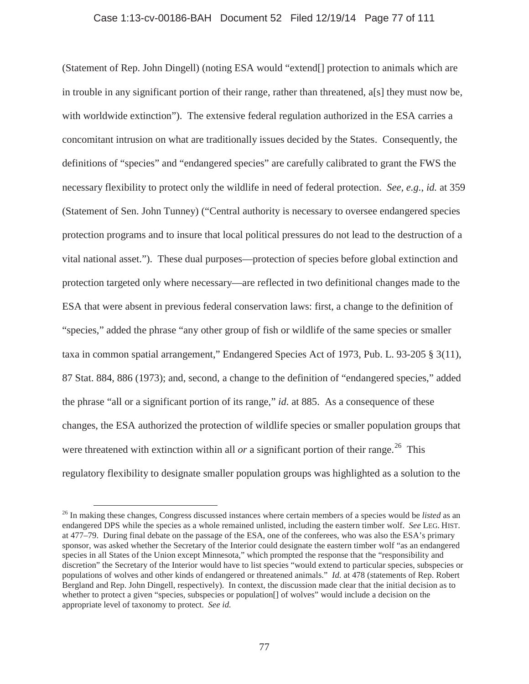### Case 1:13-cv-00186-BAH Document 52 Filed 12/19/14 Page 77 of 111

(Statement of Rep. John Dingell) (noting ESA would "extend[] protection to animals which are in trouble in any significant portion of their range, rather than threatened, a[s] they must now be, with worldwide extinction"). The extensive federal regulation authorized in the ESA carries a concomitant intrusion on what are traditionally issues decided by the States. Consequently, the definitions of "species" and "endangered species" are carefully calibrated to grant the FWS the necessary flexibility to protect only the wildlife in need of federal protection. *See, e.g.*, *id.* at 359 (Statement of Sen. John Tunney) ("Central authority is necessary to oversee endangered species protection programs and to insure that local political pressures do not lead to the destruction of a vital national asset."). These dual purposes—protection of species before global extinction and protection targeted only where necessary—are reflected in two definitional changes made to the ESA that were absent in previous federal conservation laws: first, a change to the definition of "species," added the phrase "any other group of fish or wildlife of the same species or smaller taxa in common spatial arrangement," Endangered Species Act of 1973, Pub. L. 93-205 § 3(11), 87 Stat. 884, 886 (1973); and, second, a change to the definition of "endangered species," added the phrase "all or a significant portion of its range," *id*. at 885. As a consequence of these changes, the ESA authorized the protection of wildlife species or smaller population groups that were threatened with extinction within all *or* a significant portion of their range.<sup>26</sup> This regulatory flexibility to designate smaller population groups was highlighted as a solution to the

<sup>26</sup> In making these changes, Congress discussed instances where certain members of a species would be *listed* as an endangered DPS while the species as a whole remained unlisted, including the eastern timber wolf. *See* LEG. HIST. at 477–79. During final debate on the passage of the ESA, one of the conferees, who was also the ESA's primary sponsor, was asked whether the Secretary of the Interior could designate the eastern timber wolf "as an endangered species in all States of the Union except Minnesota," which prompted the response that the "responsibility and discretion" the Secretary of the Interior would have to list species "would extend to particular species, subspecies or populations of wolves and other kinds of endangered or threatened animals." *Id.* at 478 (statements of Rep. Robert Bergland and Rep. John Dingell, respectively). In context, the discussion made clear that the initial decision as to whether to protect a given "species, subspecies or population[] of wolves" would include a decision on the appropriate level of taxonomy to protect. *See id.*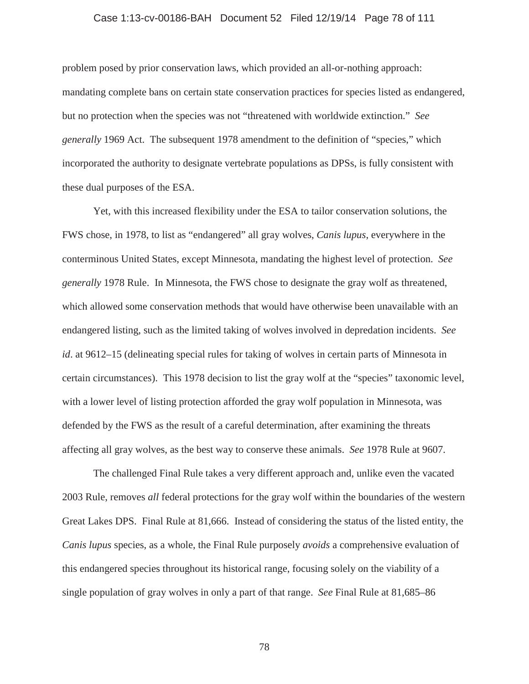### Case 1:13-cv-00186-BAH Document 52 Filed 12/19/14 Page 78 of 111

problem posed by prior conservation laws, which provided an all-or-nothing approach: mandating complete bans on certain state conservation practices for species listed as endangered, but no protection when the species was not "threatened with worldwide extinction." *See generally* 1969 Act. The subsequent 1978 amendment to the definition of "species," which incorporated the authority to designate vertebrate populations as DPSs, is fully consistent with these dual purposes of the ESA.

Yet, with this increased flexibility under the ESA to tailor conservation solutions, the FWS chose, in 1978, to list as "endangered" all gray wolves, *Canis lupus*, everywhere in the conterminous United States, except Minnesota, mandating the highest level of protection. *See generally* 1978 Rule. In Minnesota, the FWS chose to designate the gray wolf as threatened, which allowed some conservation methods that would have otherwise been unavailable with an endangered listing, such as the limited taking of wolves involved in depredation incidents. *See id*. at 9612–15 (delineating special rules for taking of wolves in certain parts of Minnesota in certain circumstances). This 1978 decision to list the gray wolf at the "species" taxonomic level, with a lower level of listing protection afforded the gray wolf population in Minnesota, was defended by the FWS as the result of a careful determination, after examining the threats affecting all gray wolves, as the best way to conserve these animals. *See* 1978 Rule at 9607.

The challenged Final Rule takes a very different approach and, unlike even the vacated 2003 Rule, removes *all* federal protections for the gray wolf within the boundaries of the western Great Lakes DPS. Final Rule at 81,666. Instead of considering the status of the listed entity, the *Canis lupus* species, as a whole, the Final Rule purposely *avoids* a comprehensive evaluation of this endangered species throughout its historical range, focusing solely on the viability of a single population of gray wolves in only a part of that range. *See* Final Rule at 81,685–86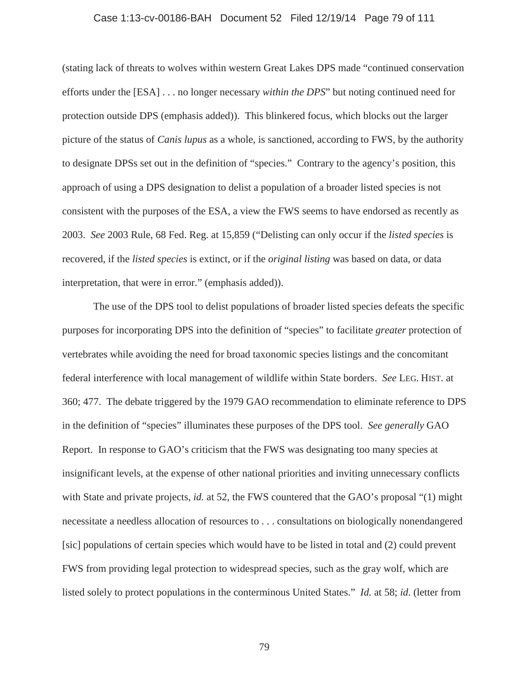# Case 1:13-cv-00186-BAH Document 52 Filed 12/19/14 Page 79 of 111

(stating lack of threats to wolves within western Great Lakes DPS made "continued conservation efforts under the [ESA] . . . no longer necessary *within the DPS*" but noting continued need for protection outside DPS (emphasis added)). This blinkered focus, which blocks out the larger picture of the status of *Canis lupus* as a whole, is sanctioned, according to FWS, by the authority to designate DPSs set out in the definition of "species." Contrary to the agency's position, this approach of using a DPS designation to delist a population of a broader listed species is not consistent with the purposes of the ESA, a view the FWS seems to have endorsed as recently as 2003. *See* 2003 Rule, 68 Fed. Reg. at 15,859 ("Delisting can only occur if the *listed species* is recovered, if the *listed species* is extinct, or if the *original listing* was based on data, or data interpretation, that were in error." (emphasis added)).

The use of the DPS tool to delist populations of broader listed species defeats the specific purposes for incorporating DPS into the definition of "species" to facilitate *greater* protection of vertebrates while avoiding the need for broad taxonomic species listings and the concomitant federal interference with local management of wildlife within State borders. *See* LEG. HIST. at 360; 477. The debate triggered by the 1979 GAO recommendation to eliminate reference to DPS in the definition of "species" illuminates these purposes of the DPS tool. *See generally* GAO Report. In response to GAO's criticism that the FWS was designating too many species at insignificant levels, at the expense of other national priorities and inviting unnecessary conflicts with State and private projects, *id.* at 52, the FWS countered that the GAO's proposal "(1) might necessitate a needless allocation of resources to . . . consultations on biologically nonendangered [sic] populations of certain species which would have to be listed in total and (2) could prevent FWS from providing legal protection to widespread species, such as the gray wolf, which are listed solely to protect populations in the conterminous United States." *Id.* at 58; *id*. (letter from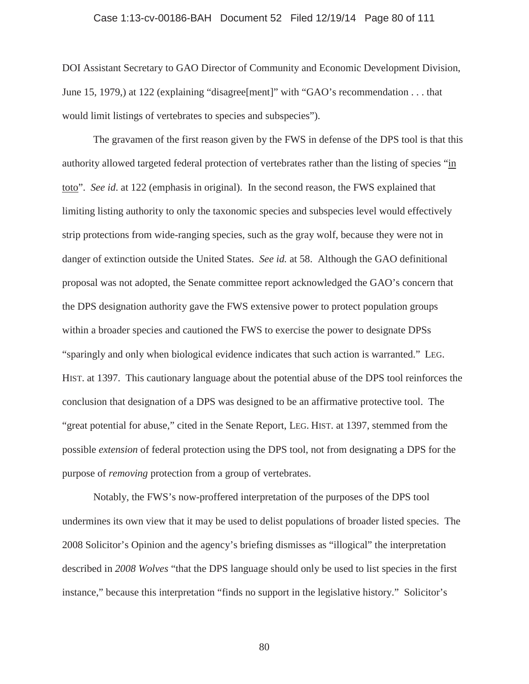# Case 1:13-cv-00186-BAH Document 52 Filed 12/19/14 Page 80 of 111

DOI Assistant Secretary to GAO Director of Community and Economic Development Division, June 15, 1979,) at 122 (explaining "disagree[ment]" with "GAO's recommendation . . . that would limit listings of vertebrates to species and subspecies").

The gravamen of the first reason given by the FWS in defense of the DPS tool is that this authority allowed targeted federal protection of vertebrates rather than the listing of species "in toto". *See id*. at 122 (emphasis in original). In the second reason, the FWS explained that limiting listing authority to only the taxonomic species and subspecies level would effectively strip protections from wide-ranging species, such as the gray wolf, because they were not in danger of extinction outside the United States. *See id.* at 58. Although the GAO definitional proposal was not adopted, the Senate committee report acknowledged the GAO's concern that the DPS designation authority gave the FWS extensive power to protect population groups within a broader species and cautioned the FWS to exercise the power to designate DPSs "sparingly and only when biological evidence indicates that such action is warranted." LEG. HIST. at 1397. This cautionary language about the potential abuse of the DPS tool reinforces the conclusion that designation of a DPS was designed to be an affirmative protective tool. The "great potential for abuse," cited in the Senate Report, LEG. HIST. at 1397, stemmed from the possible *extension* of federal protection using the DPS tool, not from designating a DPS for the purpose of *removing* protection from a group of vertebrates.

Notably, the FWS's now-proffered interpretation of the purposes of the DPS tool undermines its own view that it may be used to delist populations of broader listed species. The 2008 Solicitor's Opinion and the agency's briefing dismisses as "illogical" the interpretation described in *2008 Wolves* "that the DPS language should only be used to list species in the first instance," because this interpretation "finds no support in the legislative history." Solicitor's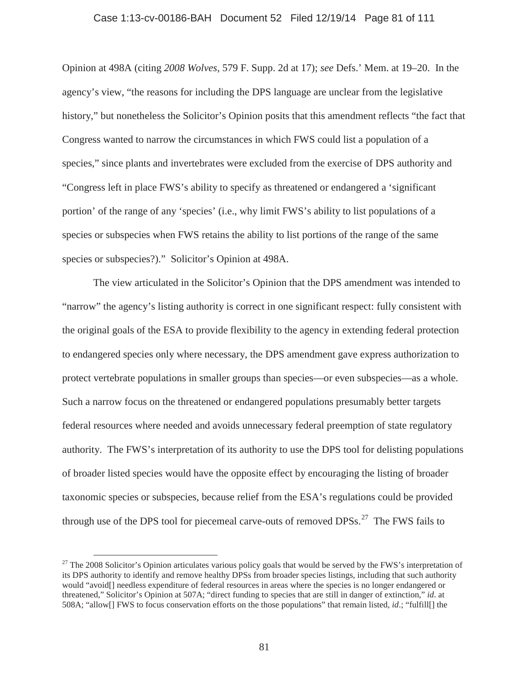#### Case 1:13-cv-00186-BAH Document 52 Filed 12/19/14 Page 81 of 111

Opinion at 498A (citing *2008 Wolves*, 579 F. Supp. 2d at 17); *see* Defs.' Mem. at 19–20. In the agency's view, "the reasons for including the DPS language are unclear from the legislative history," but nonetheless the Solicitor's Opinion posits that this amendment reflects "the fact that Congress wanted to narrow the circumstances in which FWS could list a population of a species," since plants and invertebrates were excluded from the exercise of DPS authority and "Congress left in place FWS's ability to specify as threatened or endangered a 'significant portion' of the range of any 'species' (i.e., why limit FWS's ability to list populations of a species or subspecies when FWS retains the ability to list portions of the range of the same species or subspecies?)." Solicitor's Opinion at 498A.

The view articulated in the Solicitor's Opinion that the DPS amendment was intended to "narrow" the agency's listing authority is correct in one significant respect: fully consistent with the original goals of the ESA to provide flexibility to the agency in extending federal protection to endangered species only where necessary, the DPS amendment gave express authorization to protect vertebrate populations in smaller groups than species—or even subspecies—as a whole. Such a narrow focus on the threatened or endangered populations presumably better targets federal resources where needed and avoids unnecessary federal preemption of state regulatory authority. The FWS's interpretation of its authority to use the DPS tool for delisting populations of broader listed species would have the opposite effect by encouraging the listing of broader taxonomic species or subspecies, because relief from the ESA's regulations could be provided through use of the DPS tool for piecemeal carve-outs of removed  $DPSs<sup>27</sup>$ . The FWS fails to

 $27$  The 2008 Solicitor's Opinion articulates various policy goals that would be served by the FWS's interpretation of its DPS authority to identify and remove healthy DPSs from broader species listings, including that such authority would "avoid[] needless expenditure of federal resources in areas where the species is no longer endangered or threatened," Solicitor's Opinion at 507A; "direct funding to species that are still in danger of extinction," *id*. at 508A; "allow[] FWS to focus conservation efforts on the those populations" that remain listed, *id*.; "fulfill[] the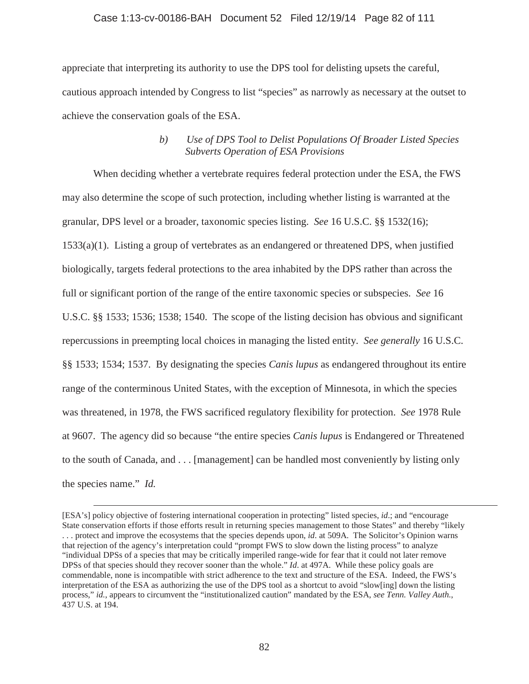# Case 1:13-cv-00186-BAH Document 52 Filed 12/19/14 Page 82 of 111

appreciate that interpreting its authority to use the DPS tool for delisting upsets the careful, cautious approach intended by Congress to list "species" as narrowly as necessary at the outset to achieve the conservation goals of the ESA.

# *b) Use of DPS Tool to Delist Populations Of Broader Listed Species Subverts Operation of ESA Provisions*

When deciding whether a vertebrate requires federal protection under the ESA, the FWS may also determine the scope of such protection, including whether listing is warranted at the granular, DPS level or a broader, taxonomic species listing. *See* 16 U.S.C. §§ 1532(16); 1533(a)(1). Listing a group of vertebrates as an endangered or threatened DPS, when justified biologically, targets federal protections to the area inhabited by the DPS rather than across the full or significant portion of the range of the entire taxonomic species or subspecies. *See* 16 U.S.C. §§ 1533; 1536; 1538; 1540. The scope of the listing decision has obvious and significant repercussions in preempting local choices in managing the listed entity. *See generally* 16 U.S.C. §§ 1533; 1534; 1537. By designating the species *Canis lupus* as endangered throughout its entire range of the conterminous United States, with the exception of Minnesota, in which the species was threatened, in 1978, the FWS sacrificed regulatory flexibility for protection. *See* 1978 Rule at 9607. The agency did so because "the entire species *Canis lupus* is Endangered or Threatened to the south of Canada, and . . . [management] can be handled most conveniently by listing only the species name." *Id.*

<sup>[</sup>ESA's] policy objective of fostering international cooperation in protecting" listed species, *id*.; and "encourage State conservation efforts if those efforts result in returning species management to those States" and thereby "likely . . . protect and improve the ecosystems that the species depends upon, *id*. at 509A. The Solicitor's Opinion warns that rejection of the agency's interpretation could "prompt FWS to slow down the listing process" to analyze "individual DPSs of a species that may be critically imperiled range-wide for fear that it could not later remove DPSs of that species should they recover sooner than the whole." *Id*. at 497A. While these policy goals are commendable, none is incompatible with strict adherence to the text and structure of the ESA. Indeed, the FWS's interpretation of the ESA as authorizing the use of the DPS tool as a shortcut to avoid "slow[ing] down the listing process," *id.*, appears to circumvent the "institutionalized caution" mandated by the ESA, *see Tenn. Valley Auth.*, 437 U.S. at 194.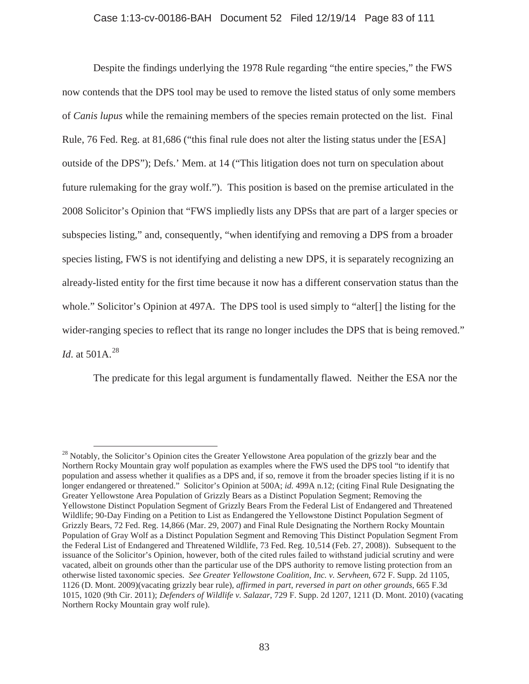# Case 1:13-cv-00186-BAH Document 52 Filed 12/19/14 Page 83 of 111

Despite the findings underlying the 1978 Rule regarding "the entire species," the FWS now contends that the DPS tool may be used to remove the listed status of only some members of *Canis lupus* while the remaining members of the species remain protected on the list. Final Rule, 76 Fed. Reg. at 81,686 ("this final rule does not alter the listing status under the [ESA] outside of the DPS"); Defs.' Mem. at 14 ("This litigation does not turn on speculation about future rulemaking for the gray wolf."). This position is based on the premise articulated in the 2008 Solicitor's Opinion that "FWS impliedly lists any DPSs that are part of a larger species or subspecies listing," and, consequently, "when identifying and removing a DPS from a broader species listing, FWS is not identifying and delisting a new DPS, it is separately recognizing an already-listed entity for the first time because it now has a different conservation status than the whole." Solicitor's Opinion at 497A. The DPS tool is used simply to "alter[] the listing for the wider-ranging species to reflect that its range no longer includes the DPS that is being removed." *Id.* at 501A.<sup>28</sup>

The predicate for this legal argument is fundamentally flawed. Neither the ESA nor the

<sup>&</sup>lt;sup>28</sup> Notably, the Solicitor's Opinion cites the Greater Yellowstone Area population of the grizzly bear and the Northern Rocky Mountain gray wolf population as examples where the FWS used the DPS tool "to identify that population and assess whether it qualifies as a DPS and, if so, remove it from the broader species listing if it is no longer endangered or threatened." Solicitor's Opinion at 500A; *id.* 499A n.12; (citing Final Rule Designating the Greater Yellowstone Area Population of Grizzly Bears as a Distinct Population Segment; Removing the Yellowstone Distinct Population Segment of Grizzly Bears From the Federal List of Endangered and Threatened Wildlife; 90-Day Finding on a Petition to List as Endangered the Yellowstone Distinct Population Segment of Grizzly Bears, 72 Fed. Reg. 14,866 (Mar. 29, 2007) and Final Rule Designating the Northern Rocky Mountain Population of Gray Wolf as a Distinct Population Segment and Removing This Distinct Population Segment From the Federal List of Endangered and Threatened Wildlife, 73 Fed. Reg. 10,514 (Feb. 27, 2008)). Subsequent to the issuance of the Solicitor's Opinion, however, both of the cited rules failed to withstand judicial scrutiny and were vacated, albeit on grounds other than the particular use of the DPS authority to remove listing protection from an otherwise listed taxonomic species. *See Greater Yellowstone Coalition, Inc. v. Servheen*, 672 F. Supp. 2d 1105, 1126 (D. Mont. 2009)(vacating grizzly bear rule), *affirmed in part, reversed in part on other grounds*, 665 F.3d 1015, 1020 (9th Cir. 2011); *Defenders of Wildlife v. Salazar*, 729 F. Supp. 2d 1207, 1211 (D. Mont. 2010) (vacating Northern Rocky Mountain gray wolf rule).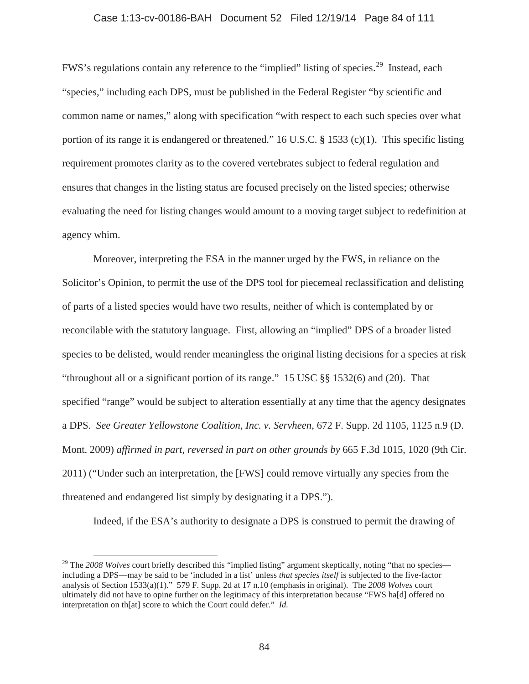### Case 1:13-cv-00186-BAH Document 52 Filed 12/19/14 Page 84 of 111

FWS's regulations contain any reference to the "implied" listing of species.<sup>29</sup> Instead, each "species," including each DPS, must be published in the Federal Register "by scientific and common name or names," along with specification "with respect to each such species over what portion of its range it is endangered or threatened." 16 U.S.C. **§** 1533 (c)(1). This specific listing requirement promotes clarity as to the covered vertebrates subject to federal regulation and ensures that changes in the listing status are focused precisely on the listed species; otherwise evaluating the need for listing changes would amount to a moving target subject to redefinition at agency whim.

Moreover, interpreting the ESA in the manner urged by the FWS, in reliance on the Solicitor's Opinion, to permit the use of the DPS tool for piecemeal reclassification and delisting of parts of a listed species would have two results, neither of which is contemplated by or reconcilable with the statutory language. First, allowing an "implied" DPS of a broader listed species to be delisted, would render meaningless the original listing decisions for a species at risk "throughout all or a significant portion of its range." 15 USC §§ 1532(6) and (20). That specified "range" would be subject to alteration essentially at any time that the agency designates a DPS. *See Greater Yellowstone Coalition, Inc. v. Servheen*, 672 F. Supp. 2d 1105, 1125 n.9 (D. Mont. 2009) *affirmed in part, reversed in part on other grounds by* 665 F.3d 1015, 1020 (9th Cir. 2011) ("Under such an interpretation, the [FWS] could remove virtually any species from the threatened and endangered list simply by designating it a DPS.").

Indeed, if the ESA's authority to designate a DPS is construed to permit the drawing of

<sup>&</sup>lt;sup>29</sup> The *2008 Wolves* court briefly described this "implied listing" argument skeptically, noting "that no species including a DPS—may be said to be 'included in a list' unless *that species itself* is subjected to the five-factor analysis of Section 1533(a)(1)." 579 F. Supp. 2d at 17 n.10 (emphasis in original). The *2008 Wolves* court ultimately did not have to opine further on the legitimacy of this interpretation because "FWS ha[d] offered no interpretation on th[at] score to which the Court could defer." *Id.*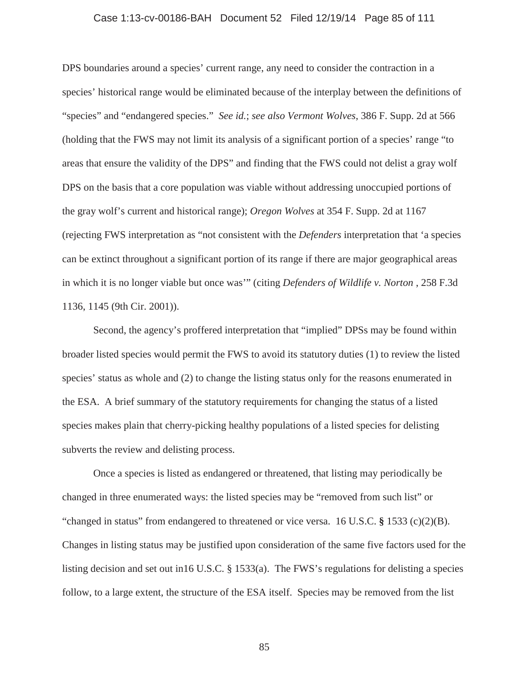# Case 1:13-cv-00186-BAH Document 52 Filed 12/19/14 Page 85 of 111

DPS boundaries around a species' current range, any need to consider the contraction in a species' historical range would be eliminated because of the interplay between the definitions of "species" and "endangered species." *See id.*; *see also Vermont Wolves*, 386 F. Supp. 2d at 566 (holding that the FWS may not limit its analysis of a significant portion of a species' range "to areas that ensure the validity of the DPS" and finding that the FWS could not delist a gray wolf DPS on the basis that a core population was viable without addressing unoccupied portions of the gray wolf's current and historical range); *Oregon Wolves* at 354 F. Supp. 2d at 1167 (rejecting FWS interpretation as "not consistent with the *Defenders* interpretation that 'a species can be extinct throughout a significant portion of its range if there are major geographical areas in which it is no longer viable but once was'" (citing *Defenders of Wildlife v. Norton* , 258 F.3d 1136, 1145 (9th Cir. 2001)).

Second, the agency's proffered interpretation that "implied" DPSs may be found within broader listed species would permit the FWS to avoid its statutory duties (1) to review the listed species' status as whole and (2) to change the listing status only for the reasons enumerated in the ESA. A brief summary of the statutory requirements for changing the status of a listed species makes plain that cherry-picking healthy populations of a listed species for delisting subverts the review and delisting process.

Once a species is listed as endangered or threatened, that listing may periodically be changed in three enumerated ways: the listed species may be "removed from such list" or "changed in status" from endangered to threatened or vice versa. 16 U.S.C. **§** 1533 (c)(2)(B). Changes in listing status may be justified upon consideration of the same five factors used for the listing decision and set out in16 U.S.C. § 1533(a). The FWS's regulations for delisting a species follow, to a large extent, the structure of the ESA itself. Species may be removed from the list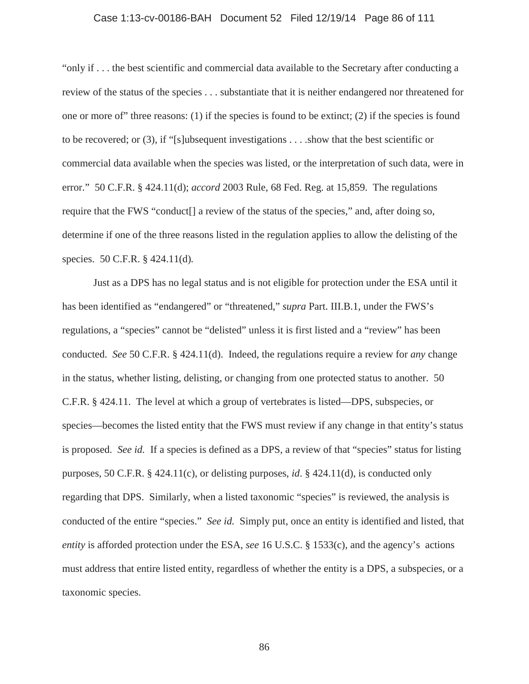# Case 1:13-cv-00186-BAH Document 52 Filed 12/19/14 Page 86 of 111

"only if . . . the best scientific and commercial data available to the Secretary after conducting a review of the status of the species . . . substantiate that it is neither endangered nor threatened for one or more of" three reasons: (1) if the species is found to be extinct; (2) if the species is found to be recovered; or (3), if "[s]ubsequent investigations . . . .show that the best scientific or commercial data available when the species was listed, or the interpretation of such data, were in error." 50 C.F.R. § 424.11(d); *accord* 2003 Rule, 68 Fed. Reg. at 15,859. The regulations require that the FWS "conduct[] a review of the status of the species," and, after doing so, determine if one of the three reasons listed in the regulation applies to allow the delisting of the species. 50 C.F.R. § 424.11(d)*.*

Just as a DPS has no legal status and is not eligible for protection under the ESA until it has been identified as "endangered" or "threatened," *supra* Part. III.B.1, under the FWS's regulations, a "species" cannot be "delisted" unless it is first listed and a "review" has been conducted. *See* 50 C.F.R. § 424.11(d). Indeed, the regulations require a review for *any* change in the status, whether listing, delisting, or changing from one protected status to another. 50 C.F.R. § 424.11. The level at which a group of vertebrates is listed—DPS, subspecies, or species—becomes the listed entity that the FWS must review if any change in that entity's status is proposed. *See id.* If a species is defined as a DPS, a review of that "species" status for listing purposes, 50 C.F.R. § 424.11(c), or delisting purposes, *id*. § 424.11(d), is conducted only regarding that DPS. Similarly, when a listed taxonomic "species" is reviewed, the analysis is conducted of the entire "species." *See id.* Simply put, once an entity is identified and listed, that *entity* is afforded protection under the ESA, *see* 16 U.S.C. § 1533(c), and the agency's actions must address that entire listed entity, regardless of whether the entity is a DPS, a subspecies, or a taxonomic species.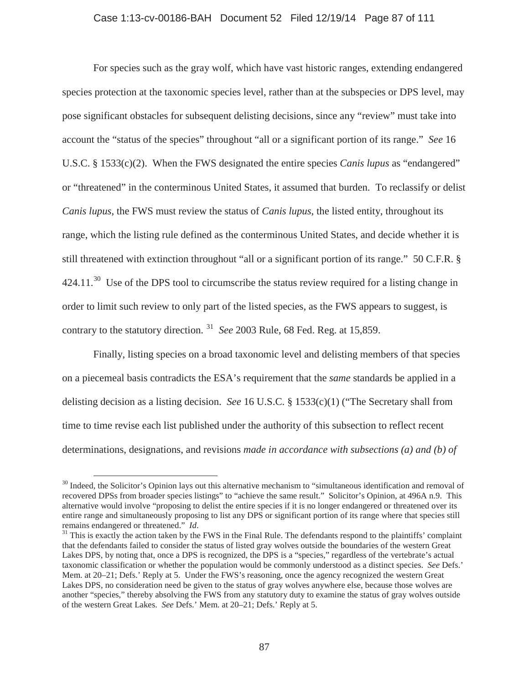# Case 1:13-cv-00186-BAH Document 52 Filed 12/19/14 Page 87 of 111

For species such as the gray wolf, which have vast historic ranges, extending endangered species protection at the taxonomic species level, rather than at the subspecies or DPS level, may pose significant obstacles for subsequent delisting decisions, since any "review" must take into account the "status of the species" throughout "all or a significant portion of its range." *See* 16 U.S.C. § 1533(c)(2). When the FWS designated the entire species *Canis lupus* as "endangered" or "threatened" in the conterminous United States, it assumed that burden. To reclassify or delist *Canis lupus*, the FWS must review the status of *Canis lupus*, the listed entity, throughout its range, which the listing rule defined as the conterminous United States, and decide whether it is still threatened with extinction throughout "all or a significant portion of its range." 50 C.F.R. §  $424.11<sup>30</sup>$  Use of the DPS tool to circumscribe the status review required for a listing change in order to limit such review to only part of the listed species, as the FWS appears to suggest, is contrary to the statutory direction. <sup>31</sup> *See* 2003 Rule, 68 Fed. Reg. at 15,859.

Finally, listing species on a broad taxonomic level and delisting members of that species on a piecemeal basis contradicts the ESA's requirement that the *same* standards be applied in a delisting decision as a listing decision. *See* 16 U.S.C. § 1533(c)(1) ("The Secretary shall from time to time revise each list published under the authority of this subsection to reflect recent determinations, designations, and revisions *made in accordance with subsections (a) and (b) of* 

 $30$  Indeed, the Solicitor's Opinion lays out this alternative mechanism to "simultaneous identification and removal of recovered DPSs from broader species listings" to "achieve the same result." Solicitor's Opinion, at 496A n.9. This alternative would involve "proposing to delist the entire species if it is no longer endangered or threatened over its entire range and simultaneously proposing to list any DPS or significant portion of its range where that species still remains endangered or threatened." *Id*.<br><sup>31</sup> This is exactly the action taken by the FWS in the Final Rule. The defendants respond to the plaintiffs' complaint

that the defendants failed to consider the status of listed gray wolves outside the boundaries of the western Great Lakes DPS, by noting that, once a DPS is recognized, the DPS is a "species," regardless of the vertebrate's actual taxonomic classification or whether the population would be commonly understood as a distinct species. *See* Defs.' Mem. at 20–21; Defs.' Reply at 5. Under the FWS's reasoning, once the agency recognized the western Great Lakes DPS, no consideration need be given to the status of gray wolves anywhere else, because those wolves are another "species," thereby absolving the FWS from any statutory duty to examine the status of gray wolves outside of the western Great Lakes. *See* Defs.' Mem. at 20–21; Defs.' Reply at 5.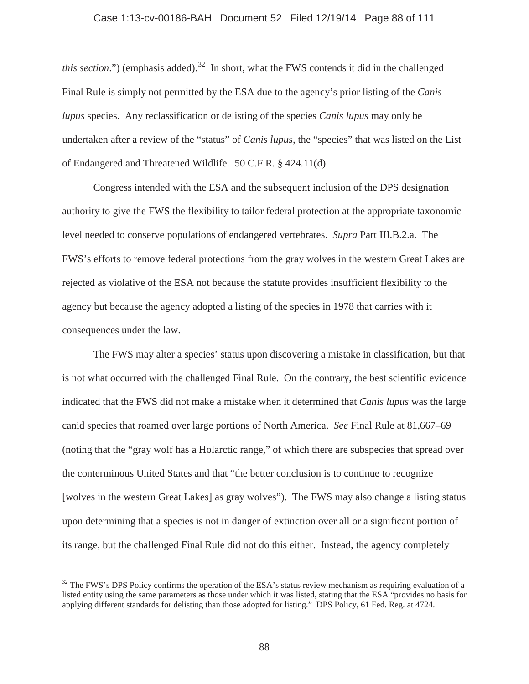### Case 1:13-cv-00186-BAH Document 52 Filed 12/19/14 Page 88 of 111

*this section*.") (emphasis added).<sup>32</sup> In short, what the FWS contends it did in the challenged Final Rule is simply not permitted by the ESA due to the agency's prior listing of the *Canis lupus* species. Any reclassification or delisting of the species *Canis lupus* may only be undertaken after a review of the "status" of *Canis lupus*, the "species" that was listed on the List of Endangered and Threatened Wildlife. 50 C.F.R. § 424.11(d).

Congress intended with the ESA and the subsequent inclusion of the DPS designation authority to give the FWS the flexibility to tailor federal protection at the appropriate taxonomic level needed to conserve populations of endangered vertebrates. *Supra* Part III.B.2.a. The FWS's efforts to remove federal protections from the gray wolves in the western Great Lakes are rejected as violative of the ESA not because the statute provides insufficient flexibility to the agency but because the agency adopted a listing of the species in 1978 that carries with it consequences under the law.

The FWS may alter a species' status upon discovering a mistake in classification, but that is not what occurred with the challenged Final Rule. On the contrary, the best scientific evidence indicated that the FWS did not make a mistake when it determined that *Canis lupus* was the large canid species that roamed over large portions of North America. *See* Final Rule at 81,667–69 (noting that the "gray wolf has a Holarctic range," of which there are subspecies that spread over the conterminous United States and that "the better conclusion is to continue to recognize [wolves in the western Great Lakes] as gray wolves"). The FWS may also change a listing status upon determining that a species is not in danger of extinction over all or a significant portion of its range, but the challenged Final Rule did not do this either. Instead, the agency completely

 $32$  The FWS's DPS Policy confirms the operation of the ESA's status review mechanism as requiring evaluation of a listed entity using the same parameters as those under which it was listed, stating that the ESA "provides no basis for applying different standards for delisting than those adopted for listing." DPS Policy, 61 Fed. Reg. at 4724.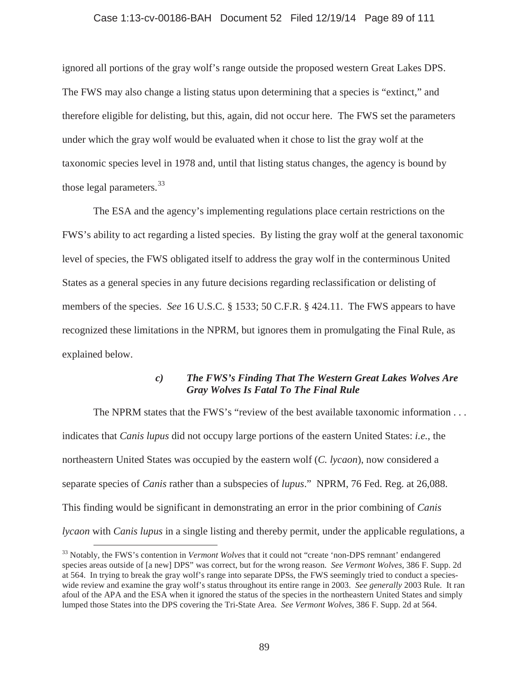### Case 1:13-cv-00186-BAH Document 52 Filed 12/19/14 Page 89 of 111

ignored all portions of the gray wolf's range outside the proposed western Great Lakes DPS. The FWS may also change a listing status upon determining that a species is "extinct," and therefore eligible for delisting, but this, again, did not occur here. The FWS set the parameters under which the gray wolf would be evaluated when it chose to list the gray wolf at the taxonomic species level in 1978 and, until that listing status changes, the agency is bound by those legal parameters.<sup>33</sup>

The ESA and the agency's implementing regulations place certain restrictions on the FWS's ability to act regarding a listed species. By listing the gray wolf at the general taxonomic level of species, the FWS obligated itself to address the gray wolf in the conterminous United States as a general species in any future decisions regarding reclassification or delisting of members of the species. *See* 16 U.S.C. § 1533; 50 C.F.R. § 424.11. The FWS appears to have recognized these limitations in the NPRM, but ignores them in promulgating the Final Rule, as explained below.

# *c) The FWS's Finding That The Western Great Lakes Wolves Are Gray Wolves Is Fatal To The Final Rule*

The NPRM states that the FWS's "review of the best available taxonomic information . . . indicates that *Canis lupus* did not occupy large portions of the eastern United States: *i.e.*, the northeastern United States was occupied by the eastern wolf (*C. lycaon*), now considered a separate species of *Canis* rather than a subspecies of *lupus*." NPRM, 76 Fed. Reg. at 26,088. This finding would be significant in demonstrating an error in the prior combining of *Canis lycaon* with *Canis lupus* in a single listing and thereby permit, under the applicable regulations, a

<sup>33</sup> Notably, the FWS's contention in *Vermont Wolves* that it could not "create 'non-DPS remnant' endangered species areas outside of [a new] DPS" was correct, but for the wrong reason. *See Vermont Wolves*, 386 F. Supp. 2d at 564. In trying to break the gray wolf's range into separate DPSs, the FWS seemingly tried to conduct a specieswide review and examine the gray wolf's status throughout its entire range in 2003. *See generally* 2003 Rule. It ran afoul of the APA and the ESA when it ignored the status of the species in the northeastern United States and simply lumped those States into the DPS covering the Tri-State Area. *See Vermont Wolves*, 386 F. Supp. 2d at 564.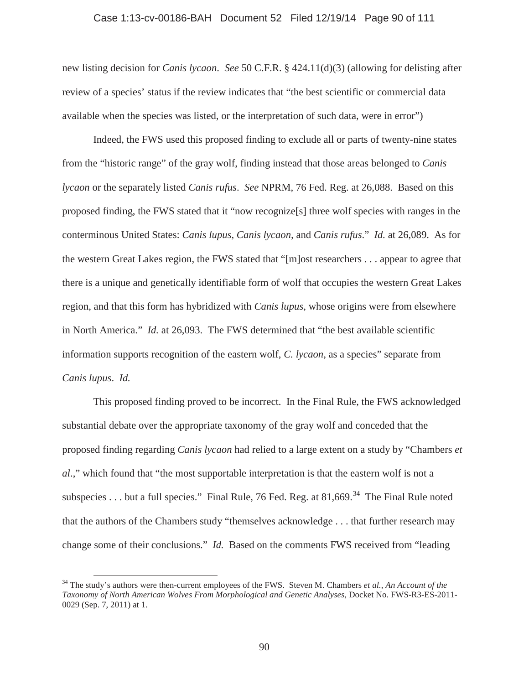### Case 1:13-cv-00186-BAH Document 52 Filed 12/19/14 Page 90 of 111

new listing decision for *Canis lycaon*. *See* 50 C.F.R. § 424.11(d)(3) (allowing for delisting after review of a species' status if the review indicates that "the best scientific or commercial data available when the species was listed, or the interpretation of such data, were in error")

Indeed, the FWS used this proposed finding to exclude all or parts of twenty-nine states from the "historic range" of the gray wolf, finding instead that those areas belonged to *Canis lycaon* or the separately listed *Canis rufus*. *See* NPRM, 76 Fed. Reg. at 26,088. Based on this proposed finding, the FWS stated that it "now recognize[s] three wolf species with ranges in the conterminous United States: *Canis lupus, Canis lycaon,* and *Canis rufus*." *Id.* at 26,089. As for the western Great Lakes region, the FWS stated that "[m]ost researchers . . . appear to agree that there is a unique and genetically identifiable form of wolf that occupies the western Great Lakes region, and that this form has hybridized with *Canis lupus*, whose origins were from elsewhere in North America." *Id.* at 26,093. The FWS determined that "the best available scientific information supports recognition of the eastern wolf, *C. lycaon*, as a species" separate from *Canis lupus*. *Id.*

This proposed finding proved to be incorrect. In the Final Rule, the FWS acknowledged substantial debate over the appropriate taxonomy of the gray wolf and conceded that the proposed finding regarding *Canis lycaon* had relied to a large extent on a study by "Chambers *et al*.," which found that "the most supportable interpretation is that the eastern wolf is not a subspecies . . . but a full species." Final Rule, 76 Fed. Reg. at  $81,669$ .<sup>34</sup> The Final Rule noted that the authors of the Chambers study "themselves acknowledge . . . that further research may change some of their conclusions." *Id.* Based on the comments FWS received from "leading

<sup>34</sup> The study's authors were then-current employees of the FWS. Steven M. Chambers *et al.*, *An Account of the Taxonomy of North American Wolves From Morphological and Genetic Analyses*, Docket No. FWS-R3-ES-2011- 0029 (Sep. 7, 2011) at 1.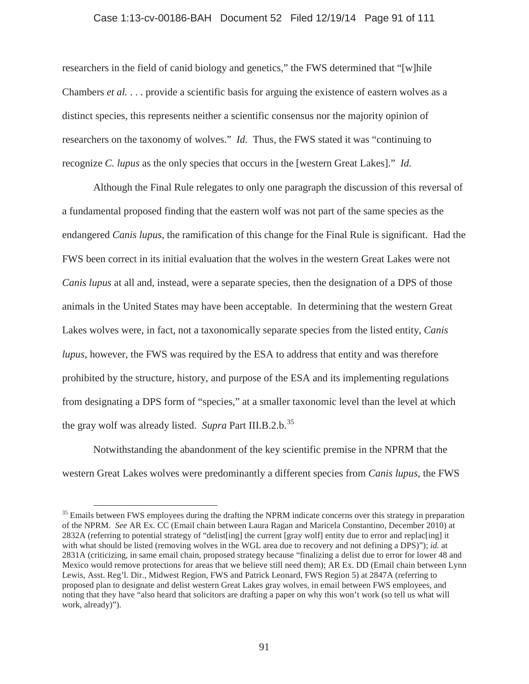#### Case 1:13-cv-00186-BAH Document 52 Filed 12/19/14 Page 91 of 111

researchers in the field of canid biology and genetics," the FWS determined that "[w]hile Chambers *et al.* . . . provide a scientific basis for arguing the existence of eastern wolves as a distinct species, this represents neither a scientific consensus nor the majority opinion of researchers on the taxonomy of wolves." *Id.* Thus, the FWS stated it was "continuing to recognize *C. lupus* as the only species that occurs in the [western Great Lakes]." *Id.*

Although the Final Rule relegates to only one paragraph the discussion of this reversal of a fundamental proposed finding that the eastern wolf was not part of the same species as the endangered *Canis lupus*, the ramification of this change for the Final Rule is significant. Had the FWS been correct in its initial evaluation that the wolves in the western Great Lakes were not *Canis lupus* at all and, instead, were a separate species, then the designation of a DPS of those animals in the United States may have been acceptable. In determining that the western Great Lakes wolves were, in fact, not a taxonomically separate species from the listed entity, *Canis lupus*, however, the FWS was required by the ESA to address that entity and was therefore prohibited by the structure, history, and purpose of the ESA and its implementing regulations from designating a DPS form of "species," at a smaller taxonomic level than the level at which the gray wolf was already listed. *Supra* Part III.B.2.b.<sup>35</sup>

Notwithstanding the abandonment of the key scientific premise in the NPRM that the western Great Lakes wolves were predominantly a different species from *Canis lupus*, the FWS

<sup>&</sup>lt;sup>35</sup> Emails between FWS employees during the drafting the NPRM indicate concerns over this strategy in preparation of the NPRM. *See* AR Ex. CC (Email chain between Laura Ragan and Maricela Constantino, December 2010) at 2832A (referring to potential strategy of "delist[ing] the current [gray wolf] entity due to error and replac[ing] it with what should be listed (removing wolves in the WGL area due to recovery and not defining a DPS)"); *id.* at 2831A (criticizing, in same email chain, proposed strategy because "finalizing a delist due to error for lower 48 and Mexico would remove protections for areas that we believe still need them); AR Ex. DD (Email chain between Lynn Lewis, Asst. Reg'l. Dir., Midwest Region, FWS and Patrick Leonard, FWS Region 5) at 2847A (referring to proposed plan to designate and delist western Great Lakes gray wolves, in email between FWS employees, and noting that they have "also heard that solicitors are drafting a paper on why this won't work (so tell us what will work, already)").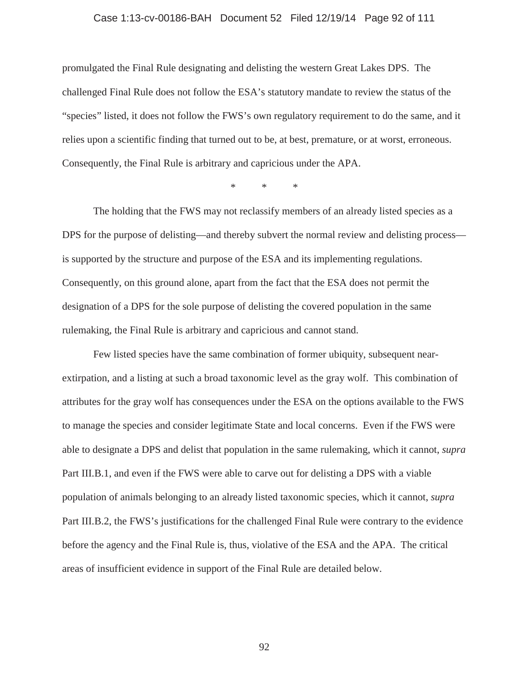#### Case 1:13-cv-00186-BAH Document 52 Filed 12/19/14 Page 92 of 111

promulgated the Final Rule designating and delisting the western Great Lakes DPS. The challenged Final Rule does not follow the ESA's statutory mandate to review the status of the "species" listed, it does not follow the FWS's own regulatory requirement to do the same, and it relies upon a scientific finding that turned out to be, at best, premature, or at worst, erroneous. Consequently, the Final Rule is arbitrary and capricious under the APA.

\*\*\*

The holding that the FWS may not reclassify members of an already listed species as a DPS for the purpose of delisting—and thereby subvert the normal review and delisting process is supported by the structure and purpose of the ESA and its implementing regulations. Consequently, on this ground alone, apart from the fact that the ESA does not permit the designation of a DPS for the sole purpose of delisting the covered population in the same rulemaking, the Final Rule is arbitrary and capricious and cannot stand.

Few listed species have the same combination of former ubiquity, subsequent nearextirpation, and a listing at such a broad taxonomic level as the gray wolf. This combination of attributes for the gray wolf has consequences under the ESA on the options available to the FWS to manage the species and consider legitimate State and local concerns. Even if the FWS were able to designate a DPS and delist that population in the same rulemaking, which it cannot, *supra* Part III.B.1, and even if the FWS were able to carve out for delisting a DPS with a viable population of animals belonging to an already listed taxonomic species, which it cannot, *supra* Part III.B.2, the FWS's justifications for the challenged Final Rule were contrary to the evidence before the agency and the Final Rule is, thus, violative of the ESA and the APA. The critical areas of insufficient evidence in support of the Final Rule are detailed below.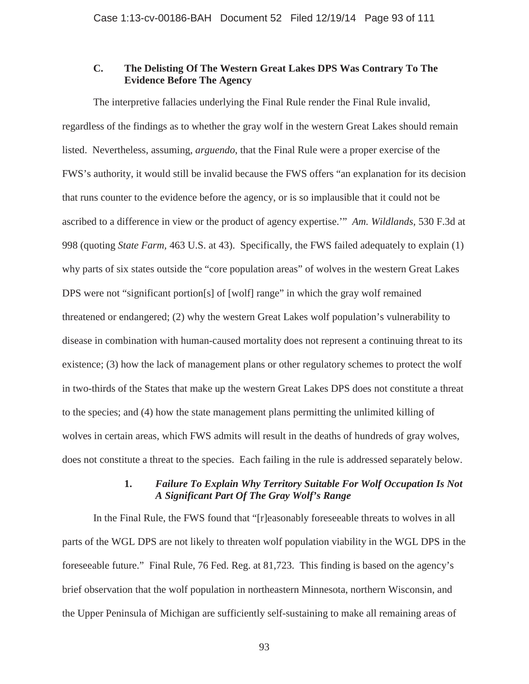# **C. The Delisting Of The Western Great Lakes DPS Was Contrary To The Evidence Before The Agency**

The interpretive fallacies underlying the Final Rule render the Final Rule invalid, regardless of the findings as to whether the gray wolf in the western Great Lakes should remain listed. Nevertheless, assuming, *arguendo*, that the Final Rule were a proper exercise of the FWS's authority, it would still be invalid because the FWS offers "an explanation for its decision that runs counter to the evidence before the agency, or is so implausible that it could not be ascribed to a difference in view or the product of agency expertise.'" *Am. Wildlands,* 530 F.3d at 998 (quoting *State Farm,* 463 U.S. at 43). Specifically, the FWS failed adequately to explain (1) why parts of six states outside the "core population areas" of wolves in the western Great Lakes DPS were not "significant portion[s] of [wolf] range" in which the gray wolf remained threatened or endangered; (2) why the western Great Lakes wolf population's vulnerability to disease in combination with human-caused mortality does not represent a continuing threat to its existence; (3) how the lack of management plans or other regulatory schemes to protect the wolf in two-thirds of the States that make up the western Great Lakes DPS does not constitute a threat to the species; and (4) how the state management plans permitting the unlimited killing of wolves in certain areas, which FWS admits will result in the deaths of hundreds of gray wolves, does not constitute a threat to the species. Each failing in the rule is addressed separately below.

# **1.** *Failure To Explain Why Territory Suitable For Wolf Occupation Is Not A Significant Part Of The Gray Wolf's Range*

In the Final Rule, the FWS found that "[r]easonably foreseeable threats to wolves in all parts of the WGL DPS are not likely to threaten wolf population viability in the WGL DPS in the foreseeable future." Final Rule, 76 Fed. Reg. at 81,723. This finding is based on the agency's brief observation that the wolf population in northeastern Minnesota, northern Wisconsin, and the Upper Peninsula of Michigan are sufficiently self-sustaining to make all remaining areas of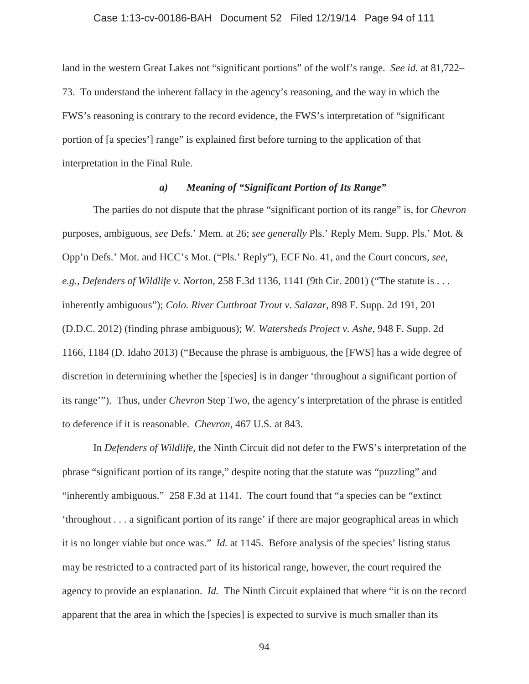# Case 1:13-cv-00186-BAH Document 52 Filed 12/19/14 Page 94 of 111

land in the western Great Lakes not "significant portions" of the wolf's range. *See id.* at 81,722– 73. To understand the inherent fallacy in the agency's reasoning, and the way in which the FWS's reasoning is contrary to the record evidence, the FWS's interpretation of "significant portion of [a species'] range" is explained first before turning to the application of that interpretation in the Final Rule.

# *a) Meaning of "Significant Portion of Its Range"*

The parties do not dispute that the phrase "significant portion of its range" is, for *Chevron*  purposes, ambiguous, *see* Defs.' Mem. at 26; *see generally* Pls.' Reply Mem. Supp. Pls.' Mot. & Opp'n Defs.' Mot. and HCC's Mot. ("Pls.' Reply"), ECF No. 41, and the Court concurs, *see, e.g.*, *Defenders of Wildlife v. Norton*, 258 F.3d 1136, 1141 (9th Cir. 2001) ("The statute is . . . inherently ambiguous"); *Colo. River Cutthroat Trout v. Salazar*, 898 F. Supp. 2d 191, 201 (D.D.C. 2012) (finding phrase ambiguous); *W. Watersheds Project v. Ashe*, 948 F. Supp. 2d 1166, 1184 (D. Idaho 2013) ("Because the phrase is ambiguous, the [FWS] has a wide degree of discretion in determining whether the [species] is in danger 'throughout a significant portion of its range'"). Thus, under *Chevron* Step Two, the agency's interpretation of the phrase is entitled to deference if it is reasonable. *Chevron*, 467 U.S. at 843.

In *Defenders of Wildlife*, the Ninth Circuit did not defer to the FWS's interpretation of the phrase "significant portion of its range," despite noting that the statute was "puzzling" and "inherently ambiguous." 258 F.3d at 1141. The court found that "a species can be "extinct 'throughout . . . a significant portion of its range' if there are major geographical areas in which it is no longer viable but once was." *Id.* at 1145. Before analysis of the species' listing status may be restricted to a contracted part of its historical range, however, the court required the agency to provide an explanation. *Id.* The Ninth Circuit explained that where "it is on the record apparent that the area in which the [species] is expected to survive is much smaller than its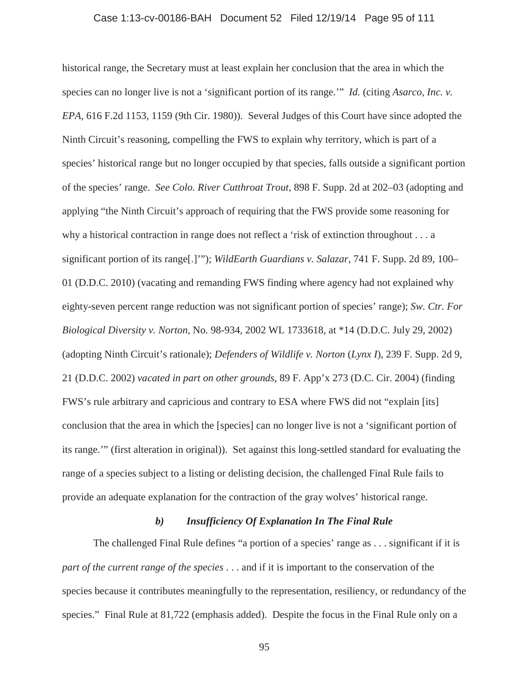### Case 1:13-cv-00186-BAH Document 52 Filed 12/19/14 Page 95 of 111

historical range, the Secretary must at least explain her conclusion that the area in which the species can no longer live is not a 'significant portion of its range.'" *Id.* (citing *Asarco, Inc. v. EPA,* 616 F.2d 1153, 1159 (9th Cir. 1980)). Several Judges of this Court have since adopted the Ninth Circuit's reasoning, compelling the FWS to explain why territory, which is part of a species' historical range but no longer occupied by that species, falls outside a significant portion of the species' range. *See Colo. River Cutthroat Trout*, 898 F. Supp. 2d at 202–03 (adopting and applying "the Ninth Circuit's approach of requiring that the FWS provide some reasoning for why a historical contraction in range does not reflect a 'risk of extinction throughout . . . a significant portion of its range[.]'"); *WildEarth Guardians v. Salazar*, 741 F. Supp. 2d 89, 100– 01 (D.D.C. 2010) (vacating and remanding FWS finding where agency had not explained why eighty-seven percent range reduction was not significant portion of species' range); *Sw. Ctr. For Biological Diversity v. Norton*, No. 98-934, 2002 WL 1733618, at \*14 (D.D.C. July 29, 2002) (adopting Ninth Circuit's rationale); *Defenders of Wildlife v. Norton* (*Lynx I*), 239 F. Supp. 2d 9, 21 (D.D.C. 2002) *vacated in part on other grounds*, 89 F. App'x 273 (D.C. Cir. 2004) (finding FWS's rule arbitrary and capricious and contrary to ESA where FWS did not "explain [its] conclusion that the area in which the [species] can no longer live is not a 'significant portion of its range.'" (first alteration in original)). Set against this long-settled standard for evaluating the range of a species subject to a listing or delisting decision, the challenged Final Rule fails to provide an adequate explanation for the contraction of the gray wolves' historical range.

# *b) Insufficiency Of Explanation In The Final Rule*

The challenged Final Rule defines "a portion of a species' range as . . . significant if it is *part of the current range of the species* . . . and if it is important to the conservation of the species because it contributes meaningfully to the representation, resiliency, or redundancy of the species." Final Rule at 81,722 (emphasis added). Despite the focus in the Final Rule only on a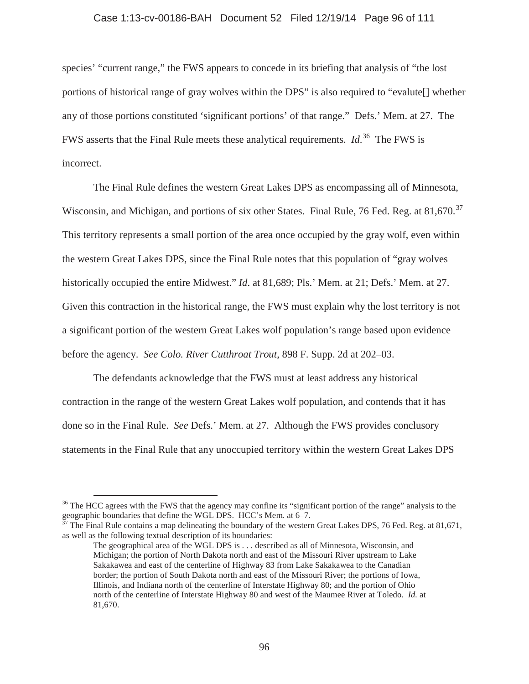#### Case 1:13-cv-00186-BAH Document 52 Filed 12/19/14 Page 96 of 111

species' "current range," the FWS appears to concede in its briefing that analysis of "the lost portions of historical range of gray wolves within the DPS" is also required to "evalute[] whether any of those portions constituted 'significant portions' of that range." Defs.' Mem. at 27. The FWS asserts that the Final Rule meets these analytical requirements. *Id*. <sup>36</sup> The FWS is incorrect.

The Final Rule defines the western Great Lakes DPS as encompassing all of Minnesota, Wisconsin, and Michigan, and portions of six other States. Final Rule, 76 Fed. Reg. at 81,670.<sup>37</sup> This territory represents a small portion of the area once occupied by the gray wolf, even within the western Great Lakes DPS, since the Final Rule notes that this population of "gray wolves historically occupied the entire Midwest." *Id*. at 81,689; Pls.' Mem. at 21; Defs.' Mem. at 27. Given this contraction in the historical range, the FWS must explain why the lost territory is not a significant portion of the western Great Lakes wolf population's range based upon evidence before the agency. *See Colo. River Cutthroat Trout*, 898 F. Supp. 2d at 202–03.

The defendants acknowledge that the FWS must at least address any historical contraction in the range of the western Great Lakes wolf population, and contends that it has done so in the Final Rule. *See* Defs.' Mem. at 27. Although the FWS provides conclusory statements in the Final Rule that any unoccupied territory within the western Great Lakes DPS

 $37$  The Final Rule contains a map delineating the boundary of the western Great Lakes DPS, 76 Fed. Reg. at 81,671, as well as the following textual description of its boundaries:

<sup>&</sup>lt;sup>36</sup> The HCC agrees with the FWS that the agency may confine its "significant portion of the range" analysis to the geographic boundaries that define the WGL DPS. HCC's Mem. at 6–7.

The geographical area of the WGL DPS is . . . described as all of Minnesota, Wisconsin, and Michigan; the portion of North Dakota north and east of the Missouri River upstream to Lake Sakakawea and east of the centerline of Highway 83 from Lake Sakakawea to the Canadian border; the portion of South Dakota north and east of the Missouri River; the portions of Iowa, Illinois, and Indiana north of the centerline of Interstate Highway 80; and the portion of Ohio north of the centerline of Interstate Highway 80 and west of the Maumee River at Toledo. *Id.* at 81,670.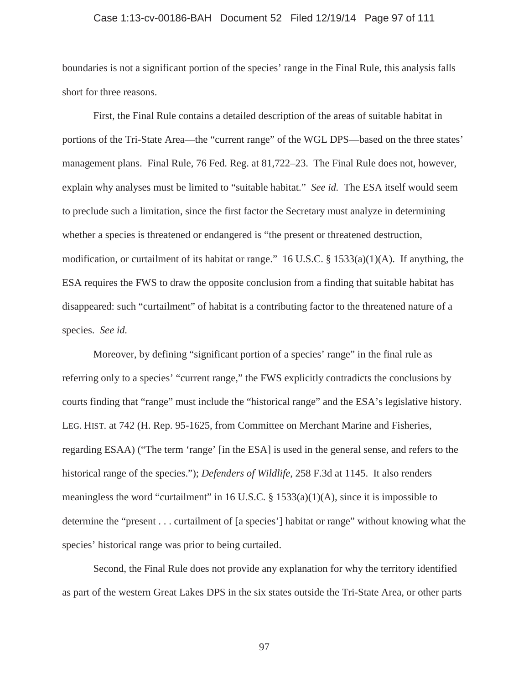# Case 1:13-cv-00186-BAH Document 52 Filed 12/19/14 Page 97 of 111

boundaries is not a significant portion of the species' range in the Final Rule, this analysis falls short for three reasons.

First, the Final Rule contains a detailed description of the areas of suitable habitat in portions of the Tri-State Area—the "current range" of the WGL DPS—based on the three states' management plans. Final Rule, 76 Fed. Reg. at 81,722–23. The Final Rule does not, however, explain why analyses must be limited to "suitable habitat." *See id.* The ESA itself would seem to preclude such a limitation, since the first factor the Secretary must analyze in determining whether a species is threatened or endangered is "the present or threatened destruction, modification, or curtailment of its habitat or range." 16 U.S.C. § 1533(a)(1)(A). If anything, the ESA requires the FWS to draw the opposite conclusion from a finding that suitable habitat has disappeared: such "curtailment" of habitat is a contributing factor to the threatened nature of a species. *See id.*

Moreover, by defining "significant portion of a species' range" in the final rule as referring only to a species' "current range," the FWS explicitly contradicts the conclusions by courts finding that "range" must include the "historical range" and the ESA's legislative history. LEG. HIST. at 742 (H. Rep. 95-1625, from Committee on Merchant Marine and Fisheries, regarding ESAA) ("The term 'range' [in the ESA] is used in the general sense, and refers to the historical range of the species."); *Defenders of Wildlife*, 258 F.3d at 1145. It also renders meaningless the word "curtailment" in 16 U.S.C.  $\S$  1533(a)(1)(A), since it is impossible to determine the "present . . . curtailment of [a species'] habitat or range" without knowing what the species' historical range was prior to being curtailed.

Second, the Final Rule does not provide any explanation for why the territory identified as part of the western Great Lakes DPS in the six states outside the Tri-State Area, or other parts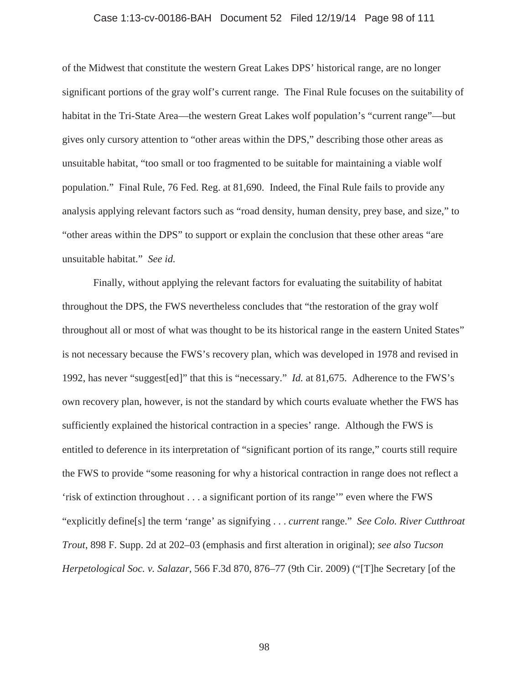### Case 1:13-cv-00186-BAH Document 52 Filed 12/19/14 Page 98 of 111

of the Midwest that constitute the western Great Lakes DPS' historical range, are no longer significant portions of the gray wolf's current range. The Final Rule focuses on the suitability of habitat in the Tri-State Area—the western Great Lakes wolf population's "current range"—but gives only cursory attention to "other areas within the DPS," describing those other areas as unsuitable habitat, "too small or too fragmented to be suitable for maintaining a viable wolf population." Final Rule, 76 Fed. Reg. at 81,690. Indeed, the Final Rule fails to provide any analysis applying relevant factors such as "road density, human density, prey base, and size," to "other areas within the DPS" to support or explain the conclusion that these other areas "are unsuitable habitat." *See id.*

Finally, without applying the relevant factors for evaluating the suitability of habitat throughout the DPS, the FWS nevertheless concludes that "the restoration of the gray wolf throughout all or most of what was thought to be its historical range in the eastern United States" is not necessary because the FWS's recovery plan, which was developed in 1978 and revised in 1992, has never "suggest[ed]" that this is "necessary." *Id.* at 81,675. Adherence to the FWS's own recovery plan, however, is not the standard by which courts evaluate whether the FWS has sufficiently explained the historical contraction in a species' range. Although the FWS is entitled to deference in its interpretation of "significant portion of its range," courts still require the FWS to provide "some reasoning for why a historical contraction in range does not reflect a 'risk of extinction throughout . . . a significant portion of its range'" even where the FWS "explicitly define[s] the term 'range' as signifying . . . *current* range." *See Colo. River Cutthroat Trout*, 898 F. Supp. 2d at 202–03 (emphasis and first alteration in original); *see also Tucson Herpetological Soc. v. Salazar*, 566 F.3d 870, 876–77 (9th Cir. 2009) ("[T]he Secretary [of the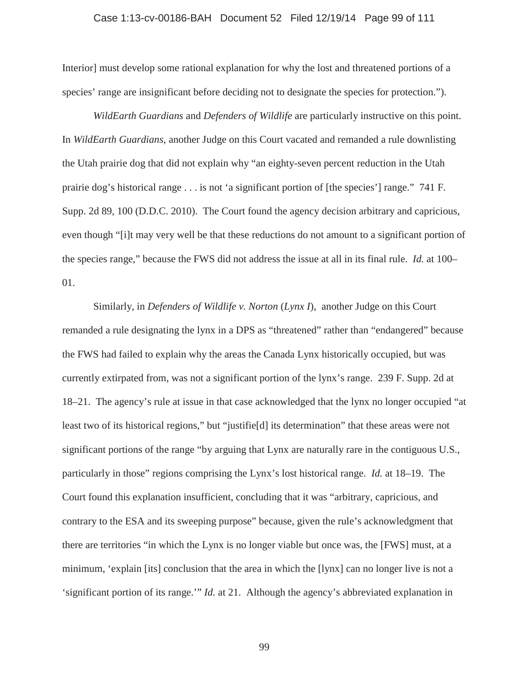### Case 1:13-cv-00186-BAH Document 52 Filed 12/19/14 Page 99 of 111

Interior] must develop some rational explanation for why the lost and threatened portions of a species' range are insignificant before deciding not to designate the species for protection.").

*WildEarth Guardians* and *Defenders of Wildlife* are particularly instructive on this point. In *WildEarth Guardians*, another Judge on this Court vacated and remanded a rule downlisting the Utah prairie dog that did not explain why "an eighty-seven percent reduction in the Utah prairie dog's historical range . . . is not 'a significant portion of [the species'] range." 741 F. Supp. 2d 89, 100 (D.D.C. 2010). The Court found the agency decision arbitrary and capricious, even though "[i]t may very well be that these reductions do not amount to a significant portion of the species range," because the FWS did not address the issue at all in its final rule. *Id.* at 100– 01.

Similarly, in *Defenders of Wildlife v. Norton* (*Lynx I*), another Judge on this Court remanded a rule designating the lynx in a DPS as "threatened" rather than "endangered" because the FWS had failed to explain why the areas the Canada Lynx historically occupied, but was currently extirpated from, was not a significant portion of the lynx's range. 239 F. Supp. 2d at 18–21. The agency's rule at issue in that case acknowledged that the lynx no longer occupied "at least two of its historical regions," but "justifie[d] its determination" that these areas were not significant portions of the range "by arguing that Lynx are naturally rare in the contiguous U.S., particularly in those" regions comprising the Lynx's lost historical range. *Id.* at 18–19. The Court found this explanation insufficient, concluding that it was "arbitrary, capricious, and contrary to the ESA and its sweeping purpose" because, given the rule's acknowledgment that there are territories "in which the Lynx is no longer viable but once was, the [FWS] must, at a minimum, 'explain [its] conclusion that the area in which the [lynx] can no longer live is not a 'significant portion of its range.'" *Id.* at 21. Although the agency's abbreviated explanation in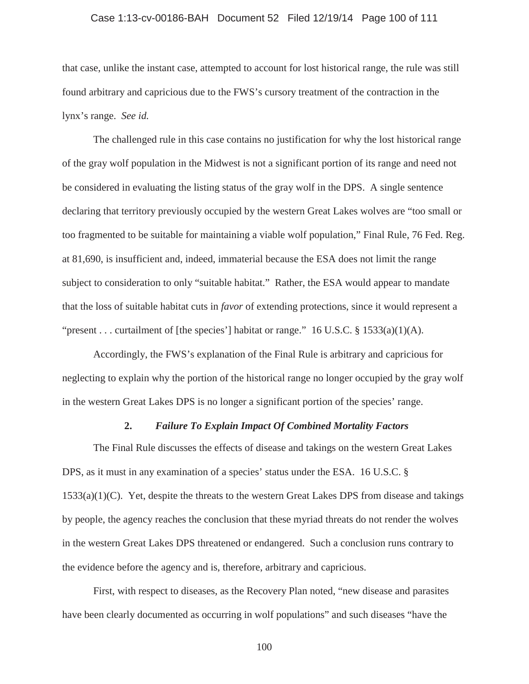# Case 1:13-cv-00186-BAH Document 52 Filed 12/19/14 Page 100 of 111

that case, unlike the instant case, attempted to account for lost historical range, the rule was still found arbitrary and capricious due to the FWS's cursory treatment of the contraction in the lynx's range. *See id.*

The challenged rule in this case contains no justification for why the lost historical range of the gray wolf population in the Midwest is not a significant portion of its range and need not be considered in evaluating the listing status of the gray wolf in the DPS. A single sentence declaring that territory previously occupied by the western Great Lakes wolves are "too small or too fragmented to be suitable for maintaining a viable wolf population," Final Rule, 76 Fed. Reg. at 81,690, is insufficient and, indeed, immaterial because the ESA does not limit the range subject to consideration to only "suitable habitat." Rather, the ESA would appear to mandate that the loss of suitable habitat cuts in *favor* of extending protections, since it would represent a "present . . . curtailment of [the species'] habitat or range."  $16$  U.S.C. §  $1533(a)(1)(A)$ .

Accordingly, the FWS's explanation of the Final Rule is arbitrary and capricious for neglecting to explain why the portion of the historical range no longer occupied by the gray wolf in the western Great Lakes DPS is no longer a significant portion of the species' range.

### **2.** *Failure To Explain Impact Of Combined Mortality Factors*

The Final Rule discusses the effects of disease and takings on the western Great Lakes DPS, as it must in any examination of a species' status under the ESA. 16 U.S.C. §  $1533(a)(1)(C)$ . Yet, despite the threats to the western Great Lakes DPS from disease and takings by people, the agency reaches the conclusion that these myriad threats do not render the wolves in the western Great Lakes DPS threatened or endangered. Such a conclusion runs contrary to the evidence before the agency and is, therefore, arbitrary and capricious.

First, with respect to diseases, as the Recovery Plan noted, "new disease and parasites have been clearly documented as occurring in wolf populations" and such diseases "have the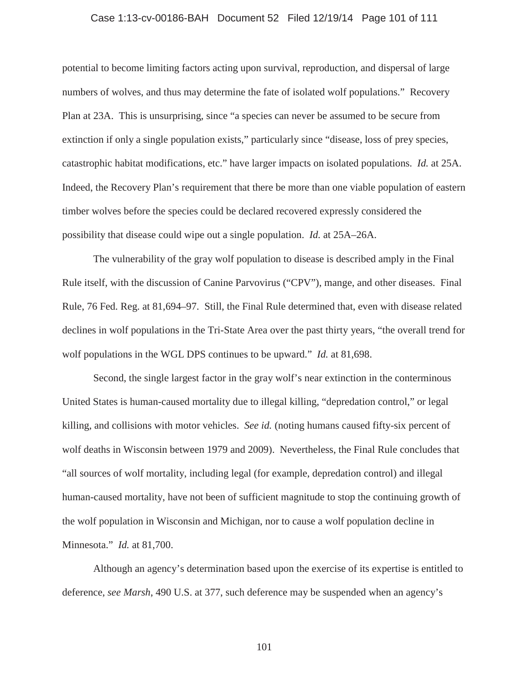# Case 1:13-cv-00186-BAH Document 52 Filed 12/19/14 Page 101 of 111

potential to become limiting factors acting upon survival, reproduction, and dispersal of large numbers of wolves, and thus may determine the fate of isolated wolf populations." Recovery Plan at 23A. This is unsurprising, since "a species can never be assumed to be secure from extinction if only a single population exists," particularly since "disease, loss of prey species, catastrophic habitat modifications, etc." have larger impacts on isolated populations. *Id.* at 25A. Indeed, the Recovery Plan's requirement that there be more than one viable population of eastern timber wolves before the species could be declared recovered expressly considered the possibility that disease could wipe out a single population. *Id.* at 25A–26A.

The vulnerability of the gray wolf population to disease is described amply in the Final Rule itself, with the discussion of Canine Parvovirus ("CPV"), mange, and other diseases. Final Rule, 76 Fed. Reg. at 81,694–97. Still, the Final Rule determined that, even with disease related declines in wolf populations in the Tri-State Area over the past thirty years, "the overall trend for wolf populations in the WGL DPS continues to be upward." *Id.* at 81,698.

Second, the single largest factor in the gray wolf's near extinction in the conterminous United States is human-caused mortality due to illegal killing, "depredation control," or legal killing, and collisions with motor vehicles. *See id.* (noting humans caused fifty-six percent of wolf deaths in Wisconsin between 1979 and 2009). Nevertheless, the Final Rule concludes that "all sources of wolf mortality, including legal (for example, depredation control) and illegal human-caused mortality, have not been of sufficient magnitude to stop the continuing growth of the wolf population in Wisconsin and Michigan, nor to cause a wolf population decline in Minnesota." *Id.* at 81,700.

Although an agency's determination based upon the exercise of its expertise is entitled to deference, *see Marsh*, 490 U.S. at 377, such deference may be suspended when an agency's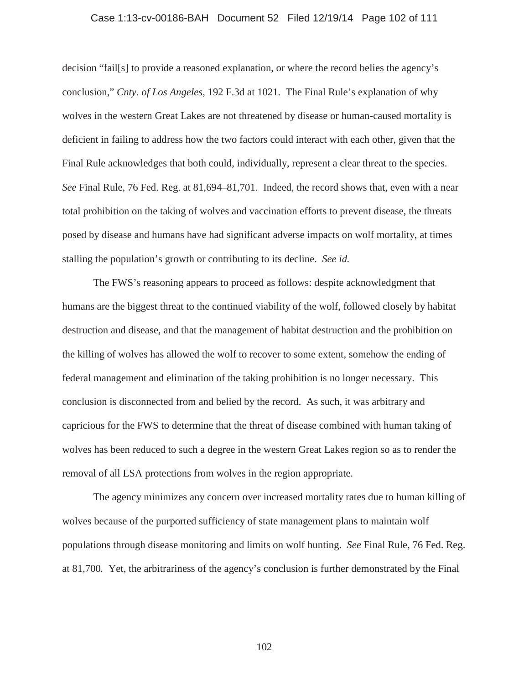# Case 1:13-cv-00186-BAH Document 52 Filed 12/19/14 Page 102 of 111

decision "fail[s] to provide a reasoned explanation, or where the record belies the agency's conclusion," *Cnty. of Los Angeles*, 192 F.3d at 1021. The Final Rule's explanation of why wolves in the western Great Lakes are not threatened by disease or human-caused mortality is deficient in failing to address how the two factors could interact with each other, given that the Final Rule acknowledges that both could, individually, represent a clear threat to the species. *See* Final Rule, 76 Fed. Reg. at 81,694–81,701. Indeed, the record shows that, even with a near total prohibition on the taking of wolves and vaccination efforts to prevent disease, the threats posed by disease and humans have had significant adverse impacts on wolf mortality, at times stalling the population's growth or contributing to its decline. *See id.*

The FWS's reasoning appears to proceed as follows: despite acknowledgment that humans are the biggest threat to the continued viability of the wolf, followed closely by habitat destruction and disease, and that the management of habitat destruction and the prohibition on the killing of wolves has allowed the wolf to recover to some extent, somehow the ending of federal management and elimination of the taking prohibition is no longer necessary. This conclusion is disconnected from and belied by the record. As such, it was arbitrary and capricious for the FWS to determine that the threat of disease combined with human taking of wolves has been reduced to such a degree in the western Great Lakes region so as to render the removal of all ESA protections from wolves in the region appropriate.

The agency minimizes any concern over increased mortality rates due to human killing of wolves because of the purported sufficiency of state management plans to maintain wolf populations through disease monitoring and limits on wolf hunting. *See* Final Rule, 76 Fed. Reg. at 81,700*.* Yet, the arbitrariness of the agency's conclusion is further demonstrated by the Final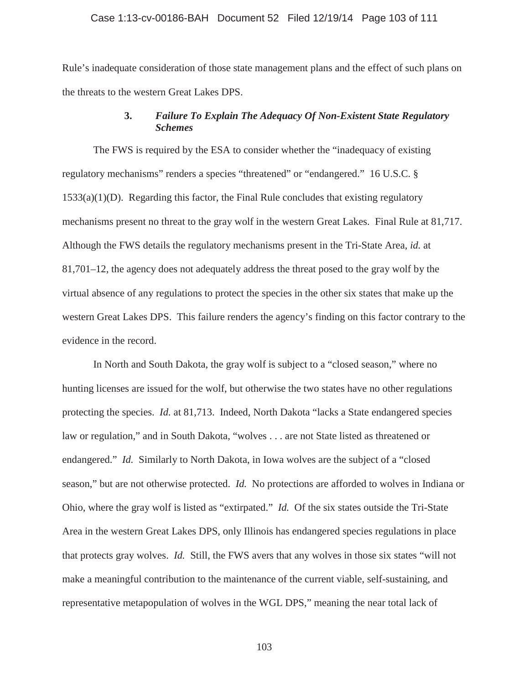#### Case 1:13-cv-00186-BAH Document 52 Filed 12/19/14 Page 103 of 111

Rule's inadequate consideration of those state management plans and the effect of such plans on the threats to the western Great Lakes DPS.

# **3.** *Failure To Explain The Adequacy Of Non-Existent State Regulatory Schemes*

The FWS is required by the ESA to consider whether the "inadequacy of existing regulatory mechanisms" renders a species "threatened" or "endangered." 16 U.S.C. §  $1533(a)(1)(D)$ . Regarding this factor, the Final Rule concludes that existing regulatory mechanisms present no threat to the gray wolf in the western Great Lakes. Final Rule at 81,717. Although the FWS details the regulatory mechanisms present in the Tri-State Area, *id.* at 81,701–12, the agency does not adequately address the threat posed to the gray wolf by the virtual absence of any regulations to protect the species in the other six states that make up the western Great Lakes DPS. This failure renders the agency's finding on this factor contrary to the evidence in the record.

In North and South Dakota, the gray wolf is subject to a "closed season," where no hunting licenses are issued for the wolf, but otherwise the two states have no other regulations protecting the species. *Id.* at 81,713. Indeed, North Dakota "lacks a State endangered species law or regulation," and in South Dakota, "wolves . . . are not State listed as threatened or endangered." *Id.* Similarly to North Dakota, in Iowa wolves are the subject of a "closed season," but are not otherwise protected. *Id.* No protections are afforded to wolves in Indiana or Ohio, where the gray wolf is listed as "extirpated." *Id.* Of the six states outside the Tri-State Area in the western Great Lakes DPS, only Illinois has endangered species regulations in place that protects gray wolves. *Id.* Still, the FWS avers that any wolves in those six states "will not make a meaningful contribution to the maintenance of the current viable, self-sustaining, and representative metapopulation of wolves in the WGL DPS," meaning the near total lack of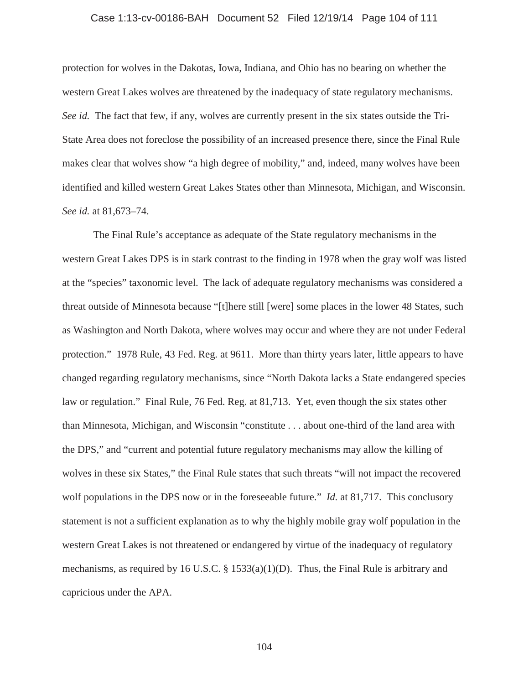# Case 1:13-cv-00186-BAH Document 52 Filed 12/19/14 Page 104 of 111

protection for wolves in the Dakotas, Iowa, Indiana, and Ohio has no bearing on whether the western Great Lakes wolves are threatened by the inadequacy of state regulatory mechanisms. *See id.* The fact that few, if any, wolves are currently present in the six states outside the Tri-State Area does not foreclose the possibility of an increased presence there, since the Final Rule makes clear that wolves show "a high degree of mobility," and, indeed, many wolves have been identified and killed western Great Lakes States other than Minnesota, Michigan, and Wisconsin. *See id.* at 81,673–74.

The Final Rule's acceptance as adequate of the State regulatory mechanisms in the western Great Lakes DPS is in stark contrast to the finding in 1978 when the gray wolf was listed at the "species" taxonomic level. The lack of adequate regulatory mechanisms was considered a threat outside of Minnesota because "[t]here still [were] some places in the lower 48 States, such as Washington and North Dakota, where wolves may occur and where they are not under Federal protection." 1978 Rule, 43 Fed. Reg. at 9611. More than thirty years later, little appears to have changed regarding regulatory mechanisms, since "North Dakota lacks a State endangered species law or regulation." Final Rule, 76 Fed. Reg. at 81,713. Yet, even though the six states other than Minnesota, Michigan, and Wisconsin "constitute . . . about one-third of the land area with the DPS," and "current and potential future regulatory mechanisms may allow the killing of wolves in these six States," the Final Rule states that such threats "will not impact the recovered wolf populations in the DPS now or in the foreseeable future." *Id.* at 81,717. This conclusory statement is not a sufficient explanation as to why the highly mobile gray wolf population in the western Great Lakes is not threatened or endangered by virtue of the inadequacy of regulatory mechanisms, as required by 16 U.S.C. § 1533(a)(1)(D). Thus, the Final Rule is arbitrary and capricious under the APA.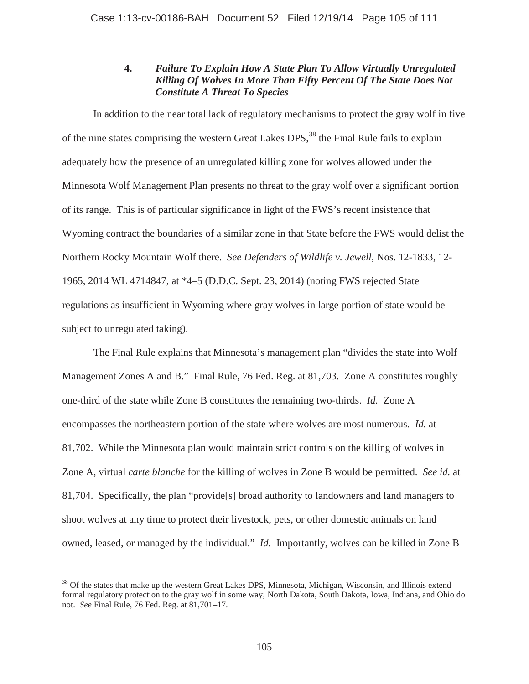# **4.** *Failure To Explain How A State Plan To Allow Virtually Unregulated Killing Of Wolves In More Than Fifty Percent Of The State Does Not Constitute A Threat To Species*

In addition to the near total lack of regulatory mechanisms to protect the gray wolf in five of the nine states comprising the western Great Lakes DPS,<sup>38</sup> the Final Rule fails to explain adequately how the presence of an unregulated killing zone for wolves allowed under the Minnesota Wolf Management Plan presents no threat to the gray wolf over a significant portion of its range. This is of particular significance in light of the FWS's recent insistence that Wyoming contract the boundaries of a similar zone in that State before the FWS would delist the Northern Rocky Mountain Wolf there. *See Defenders of Wildlife v. Jewell*, Nos. 12-1833, 12- 1965, 2014 WL 4714847, at \*4–5 (D.D.C. Sept. 23, 2014) (noting FWS rejected State regulations as insufficient in Wyoming where gray wolves in large portion of state would be subject to unregulated taking).

The Final Rule explains that Minnesota's management plan "divides the state into Wolf Management Zones A and B." Final Rule, 76 Fed. Reg. at 81,703. Zone A constitutes roughly one-third of the state while Zone B constitutes the remaining two-thirds. *Id.* Zone A encompasses the northeastern portion of the state where wolves are most numerous. *Id.* at 81,702. While the Minnesota plan would maintain strict controls on the killing of wolves in Zone A, virtual *carte blanche* for the killing of wolves in Zone B would be permitted. *See id.* at 81,704. Specifically, the plan "provide[s] broad authority to landowners and land managers to shoot wolves at any time to protect their livestock, pets, or other domestic animals on land owned, leased, or managed by the individual." *Id.* Importantly, wolves can be killed in Zone B

<sup>&</sup>lt;sup>38</sup> Of the states that make up the western Great Lakes DPS, Minnesota, Michigan, Wisconsin, and Illinois extend formal regulatory protection to the gray wolf in some way; North Dakota, South Dakota, Iowa, Indiana, and Ohio do not. *See* Final Rule, 76 Fed. Reg. at 81,701–17.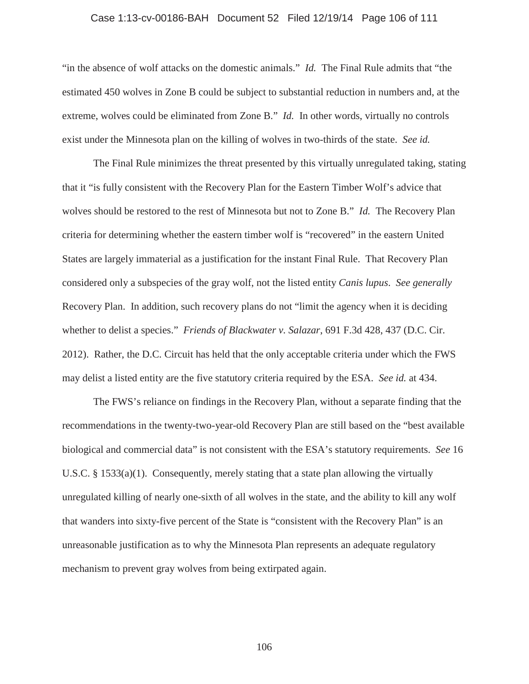# Case 1:13-cv-00186-BAH Document 52 Filed 12/19/14 Page 106 of 111

"in the absence of wolf attacks on the domestic animals." *Id.* The Final Rule admits that "the estimated 450 wolves in Zone B could be subject to substantial reduction in numbers and, at the extreme, wolves could be eliminated from Zone B." *Id.* In other words, virtually no controls exist under the Minnesota plan on the killing of wolves in two-thirds of the state. *See id.*

The Final Rule minimizes the threat presented by this virtually unregulated taking, stating that it "is fully consistent with the Recovery Plan for the Eastern Timber Wolf's advice that wolves should be restored to the rest of Minnesota but not to Zone B." *Id.* The Recovery Plan criteria for determining whether the eastern timber wolf is "recovered" in the eastern United States are largely immaterial as a justification for the instant Final Rule. That Recovery Plan considered only a subspecies of the gray wolf, not the listed entity *Canis lupus*. *See generally* Recovery Plan. In addition, such recovery plans do not "limit the agency when it is deciding whether to delist a species." *Friends of Blackwater v. Salazar*, 691 F.3d 428, 437 (D.C. Cir. 2012). Rather, the D.C. Circuit has held that the only acceptable criteria under which the FWS may delist a listed entity are the five statutory criteria required by the ESA. *See id.* at 434.

The FWS's reliance on findings in the Recovery Plan, without a separate finding that the recommendations in the twenty-two-year-old Recovery Plan are still based on the "best available biological and commercial data" is not consistent with the ESA's statutory requirements. *See* 16 U.S.C.  $\S 1533(a)(1)$ . Consequently, merely stating that a state plan allowing the virtually unregulated killing of nearly one-sixth of all wolves in the state, and the ability to kill any wolf that wanders into sixty-five percent of the State is "consistent with the Recovery Plan" is an unreasonable justification as to why the Minnesota Plan represents an adequate regulatory mechanism to prevent gray wolves from being extirpated again.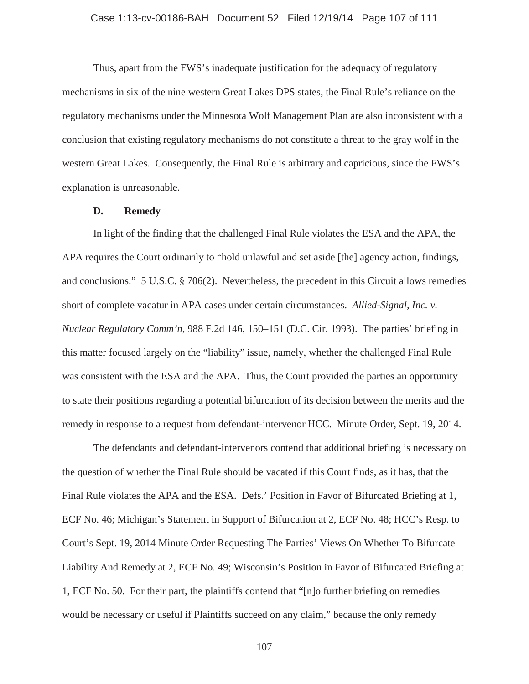# Case 1:13-cv-00186-BAH Document 52 Filed 12/19/14 Page 107 of 111

Thus, apart from the FWS's inadequate justification for the adequacy of regulatory mechanisms in six of the nine western Great Lakes DPS states, the Final Rule's reliance on the regulatory mechanisms under the Minnesota Wolf Management Plan are also inconsistent with a conclusion that existing regulatory mechanisms do not constitute a threat to the gray wolf in the western Great Lakes. Consequently, the Final Rule is arbitrary and capricious, since the FWS's explanation is unreasonable.

### **D. Remedy**

In light of the finding that the challenged Final Rule violates the ESA and the APA, the APA requires the Court ordinarily to "hold unlawful and set aside [the] agency action, findings, and conclusions." 5 U.S.C. § 706(2). Nevertheless, the precedent in this Circuit allows remedies short of complete vacatur in APA cases under certain circumstances. *Allied-Signal, Inc. v. Nuclear Regulatory Comm'n*, 988 F.2d 146, 150–151 (D.C. Cir. 1993). The parties' briefing in this matter focused largely on the "liability" issue, namely, whether the challenged Final Rule was consistent with the ESA and the APA. Thus, the Court provided the parties an opportunity to state their positions regarding a potential bifurcation of its decision between the merits and the remedy in response to a request from defendant-intervenor HCC. Minute Order, Sept. 19, 2014.

The defendants and defendant-intervenors contend that additional briefing is necessary on the question of whether the Final Rule should be vacated if this Court finds, as it has, that the Final Rule violates the APA and the ESA. Defs.' Position in Favor of Bifurcated Briefing at 1, ECF No. 46; Michigan's Statement in Support of Bifurcation at 2, ECF No. 48; HCC's Resp. to Court's Sept. 19, 2014 Minute Order Requesting The Parties' Views On Whether To Bifurcate Liability And Remedy at 2, ECF No. 49; Wisconsin's Position in Favor of Bifurcated Briefing at 1, ECF No. 50. For their part, the plaintiffs contend that "[n]o further briefing on remedies would be necessary or useful if Plaintiffs succeed on any claim," because the only remedy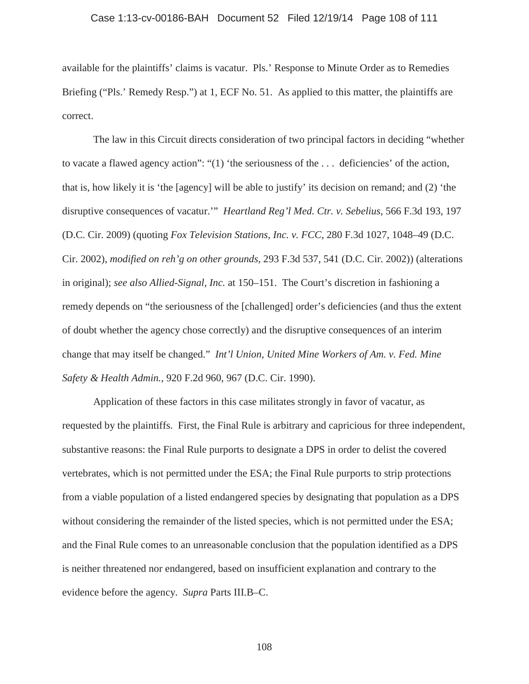# Case 1:13-cv-00186-BAH Document 52 Filed 12/19/14 Page 108 of 111

available for the plaintiffs' claims is vacatur. Pls.' Response to Minute Order as to Remedies Briefing ("Pls.' Remedy Resp.") at 1, ECF No. 51. As applied to this matter, the plaintiffs are correct.

The law in this Circuit directs consideration of two principal factors in deciding "whether to vacate a flawed agency action": "(1) 'the seriousness of the . . . deficiencies' of the action, that is, how likely it is 'the [agency] will be able to justify' its decision on remand; and (2) 'the disruptive consequences of vacatur.'" *Heartland Reg'l Med. Ctr. v. Sebelius*, 566 F.3d 193, 197 (D.C. Cir. 2009) (quoting *Fox Television Stations, Inc. v. FCC*, 280 F.3d 1027, 1048–49 (D.C. Cir. 2002), *modified on reh'g on other grounds*, 293 F.3d 537, 541 (D.C. Cir. 2002)) (alterations in original); *see also Allied-Signal, Inc.* at 150–151. The Court's discretion in fashioning a remedy depends on "the seriousness of the [challenged] order's deficiencies (and thus the extent of doubt whether the agency chose correctly) and the disruptive consequences of an interim change that may itself be changed." *Int'l Union, United Mine Workers of Am. v. Fed. Mine Safety & Health Admin.*, 920 F.2d 960, 967 (D.C. Cir. 1990).

Application of these factors in this case militates strongly in favor of vacatur, as requested by the plaintiffs. First, the Final Rule is arbitrary and capricious for three independent, substantive reasons: the Final Rule purports to designate a DPS in order to delist the covered vertebrates, which is not permitted under the ESA; the Final Rule purports to strip protections from a viable population of a listed endangered species by designating that population as a DPS without considering the remainder of the listed species, which is not permitted under the ESA; and the Final Rule comes to an unreasonable conclusion that the population identified as a DPS is neither threatened nor endangered, based on insufficient explanation and contrary to the evidence before the agency. *Supra* Parts III.B–C.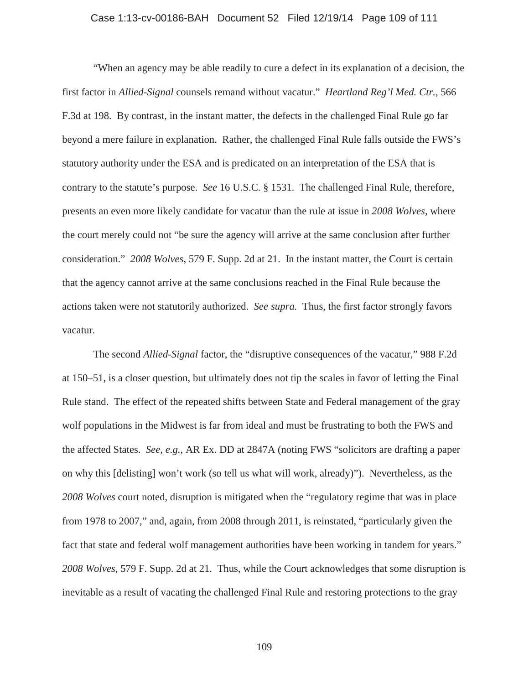## Case 1:13-cv-00186-BAH Document 52 Filed 12/19/14 Page 109 of 111

"When an agency may be able readily to cure a defect in its explanation of a decision, the first factor in *Allied-Signal* counsels remand without vacatur." *Heartland Reg'l Med. Ctr.*, 566 F.3d at 198. By contrast, in the instant matter, the defects in the challenged Final Rule go far beyond a mere failure in explanation. Rather, the challenged Final Rule falls outside the FWS's statutory authority under the ESA and is predicated on an interpretation of the ESA that is contrary to the statute's purpose. *See* 16 U.S.C. § 1531. The challenged Final Rule, therefore, presents an even more likely candidate for vacatur than the rule at issue in *2008 Wolves*, where the court merely could not "be sure the agency will arrive at the same conclusion after further consideration." *2008 Wolves*, 579 F. Supp. 2d at 21. In the instant matter, the Court is certain that the agency cannot arrive at the same conclusions reached in the Final Rule because the actions taken were not statutorily authorized. *See supra.* Thus, the first factor strongly favors vacatur.

The second *Allied-Signal* factor, the "disruptive consequences of the vacatur," 988 F.2d at 150–51, is a closer question, but ultimately does not tip the scales in favor of letting the Final Rule stand. The effect of the repeated shifts between State and Federal management of the gray wolf populations in the Midwest is far from ideal and must be frustrating to both the FWS and the affected States. *See, e.g.*, AR Ex. DD at 2847A (noting FWS "solicitors are drafting a paper on why this [delisting] won't work (so tell us what will work, already)"). Nevertheless, as the *2008 Wolves* court noted, disruption is mitigated when the "regulatory regime that was in place from 1978 to 2007," and, again, from 2008 through 2011, is reinstated, "particularly given the fact that state and federal wolf management authorities have been working in tandem for years." *2008 Wolves*, 579 F. Supp. 2d at 21. Thus, while the Court acknowledges that some disruption is inevitable as a result of vacating the challenged Final Rule and restoring protections to the gray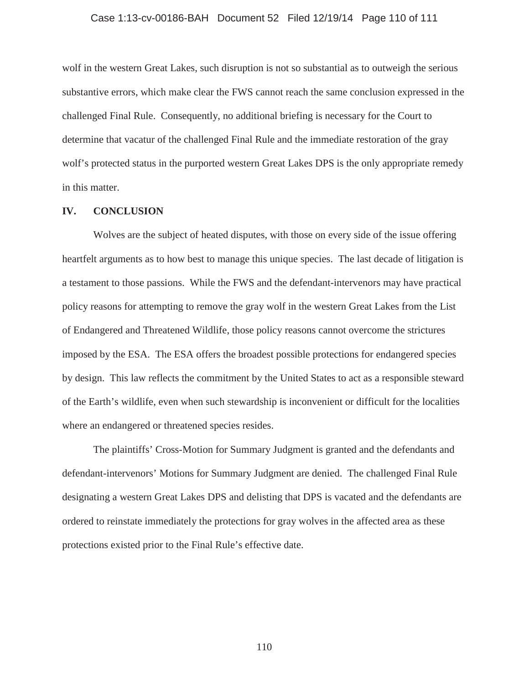## Case 1:13-cv-00186-BAH Document 52 Filed 12/19/14 Page 110 of 111

wolf in the western Great Lakes, such disruption is not so substantial as to outweigh the serious substantive errors, which make clear the FWS cannot reach the same conclusion expressed in the challenged Final Rule. Consequently, no additional briefing is necessary for the Court to determine that vacatur of the challenged Final Rule and the immediate restoration of the gray wolf's protected status in the purported western Great Lakes DPS is the only appropriate remedy in this matter.

## **IV. CONCLUSION**

Wolves are the subject of heated disputes, with those on every side of the issue offering heartfelt arguments as to how best to manage this unique species. The last decade of litigation is a testament to those passions. While the FWS and the defendant-intervenors may have practical policy reasons for attempting to remove the gray wolf in the western Great Lakes from the List of Endangered and Threatened Wildlife, those policy reasons cannot overcome the strictures imposed by the ESA. The ESA offers the broadest possible protections for endangered species by design. This law reflects the commitment by the United States to act as a responsible steward of the Earth's wildlife, even when such stewardship is inconvenient or difficult for the localities where an endangered or threatened species resides.

The plaintiffs' Cross-Motion for Summary Judgment is granted and the defendants and defendant-intervenors' Motions for Summary Judgment are denied. The challenged Final Rule designating a western Great Lakes DPS and delisting that DPS is vacated and the defendants are ordered to reinstate immediately the protections for gray wolves in the affected area as these protections existed prior to the Final Rule's effective date.